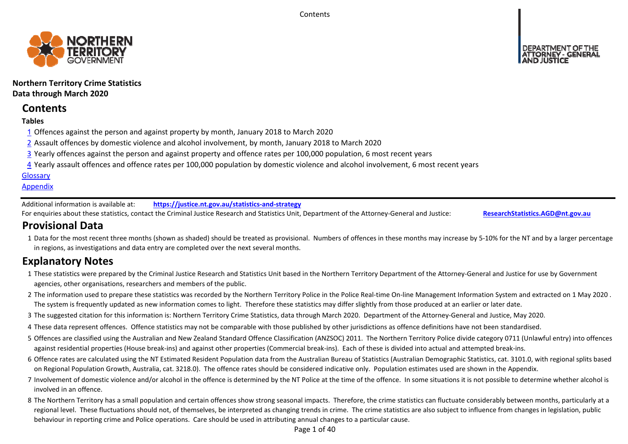**Contents** 



## **Northern Territory Crime Statistics Data through March 2020**

# **Contents**

## **Tables**

- 1 Offences against the person and against property by month, January 2018 to March 2020
- 2 Assault offences by domestic violence and alcohol involvement, by month, January 2018 to March 2020
- 3 Yearly offences against the person and against property and offence rates per 100,000 population, 6 most recent years
- 4 Yearly assault offences and offence rates per 100,000 population by domestic violence and alcohol involvement, 6 most recent years

## **Glossary**

## **Appendix**

Additional information is available at:**https://justice.nt.gov.au/statistics‐and‐strategy**

For enquiries about these statistics, contact the Criminal Justice Research and Statistics Unit, Department of the Attorney‐General and Justice: **ResearchStatistics.AGD@nt.gov.au**

# **Provisional Data**

1 Data for the most recent three months (shown as shaded) should be treated as provisional. Numbers of offences in these months may increase by 5‐10% for the NT and by a larger percentage in regions, as investigations and data entry are completed over the next several months.

# **Explanatory Notes**

- 1These statistics were prepared by the Criminal Justice Research and Statistics Unit based in the Northern Territory Department of the Attorney‐General and Justice for use by Government agencies, other organisations, researchers and members of the public.
- 2 The information used to prepare these statistics was recorded by the Northern Territory Police in the Police Real‐time On‐line Management Information System and extracted on 1 May 2020 . The system is frequently updated as new information comes to light. Therefore these statistics may differ slightly from those produced at an earlier or later date.
- 3 The suggested citation for this information is: Northern Territory Crime Statistics, data through March 2020. Department of the Attorney‐General and Justice, May 2020.
- 4These data represent offences. Offence statistics may not be comparable with those published by other jurisdictions as offence definitions have not been standardised.
- 5 Offences are classified using the Australian and New Zealand Standard Offence Classification (ANZSOC) 2011. The Northern Territory Police divide category 0711 (Unlawful entry) into offences against residential properties (House break‐ins) and against other properties (Commercial break‐ins). Each of these is divided into actual and attempted break‐ins.
- 6 Offence rates are calculated using the NT Estimated Resident Population data from the Australian Bureau of Statistics (Australian Demographic Statistics, cat. 3101.0, with regional splits based on Regional Population Growth, Australia, cat. 3218.0). The offence rates should be considered indicative only. Population estimates used are shown in the Appendix.
- 7 Involvement of domestic violence and/or alcohol in the offence is determined by the NT Police at the time of the offence. In some situations it is not possible to determine whether alcohol is involved in an offence.
- 8 The Northern Territory has a small population and certain offences show strong seasonal impacts. Therefore, the crime statistics can fluctuate considerably between months, particularly at a regional level. These fluctuations should not, of themselves, be interpreted as changing trends in crime. The crime statistics are also subject to influence from changes in legislation, public behaviour in reporting crime and Police operations. Care should be used in attributing annual changes to a particular cause.

Page 1 of 40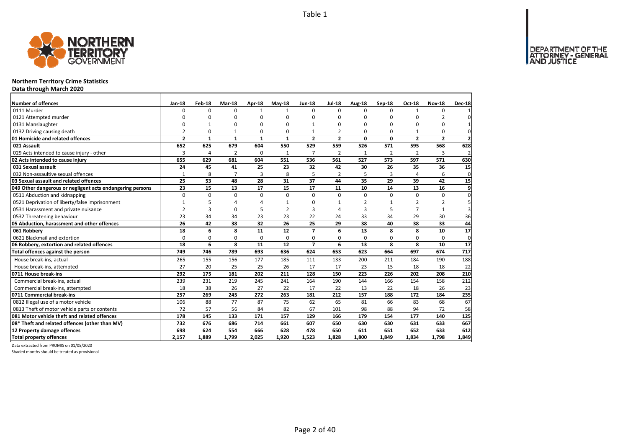

## **Northern Territory Crime Statistics**

**Data through March 2020**

| Number of offences                                        | <b>Jan-18</b>  | Feb-18       | Mar-18         | Apr-18       | $May-18$       | <b>Jun-18</b>  | <b>Jul-18</b>  | Aug-18   | Sep-18         | Oct-18         | <b>Nov-18</b>  | <b>Dec-18</b>  |
|-----------------------------------------------------------|----------------|--------------|----------------|--------------|----------------|----------------|----------------|----------|----------------|----------------|----------------|----------------|
| 0111 Murder                                               | <sup>0</sup>   | <sup>0</sup> | $\Omega$       | $\mathbf{1}$ | $\mathbf{1}$   | $\Omega$       | $\Omega$       | $\Omega$ | $\Omega$       | $\mathbf{1}$   | $\Omega$       |                |
| 0121 Attempted murder                                     | $\Omega$       | 0            | $\Omega$       | $\Omega$     |                | $\Omega$       | O              | ŋ        | $\Omega$       |                | $\overline{2}$ |                |
| 0131 Manslaughter                                         | 0              | 1            | 0              | 0            |                |                | $\Omega$       | O        | $\Omega$       | $\Omega$       | 0              |                |
| 0132 Driving causing death                                | $\mathfrak{p}$ | 0            | 1              | $\Omega$     | $\Omega$       |                | $\mathfrak{p}$ | O        | $\Omega$       |                | $\Omega$       | $\Omega$       |
| 01 Homicide and related offences                          | $\overline{2}$ | $\mathbf{1}$ | $\mathbf{1}$   | $\mathbf{1}$ | $\mathbf{1}$   | $\overline{2}$ | $\overline{2}$ | 0        | $\mathbf 0$    | $\mathbf{2}$   | $\overline{2}$ | $\overline{2}$ |
| 021 Assault                                               | 652            | 625          | 679            | 604          | 550            | 529            | 559            | 526      | 571            | 595            | 568            | 628            |
| 029 Acts intended to cause injury - other                 | 3              | 4            | $\overline{2}$ | $\Omega$     | 1              | $\overline{7}$ | $\overline{2}$ | 1        | $\overline{2}$ | 2              | 3              | $\overline{a}$ |
| 02 Acts intended to cause injury                          | 655            | 629          | 681            | 604          | 551            | 536            | 561            | 527      | 573            | 597            | 571            | 630            |
| 031 Sexual assault                                        | 24             | 45           | 41             | 25           | 23             | 32             | 42             | 30       | 26             | 35             | 36             | 15             |
| 032 Non-assaultive sexual offences                        | $\mathbf{1}$   | 8            | $\overline{7}$ | 3            | 8              | 5              | $\overline{2}$ | 5        | 3              | $\overline{4}$ | 6              | $\mathbf{0}$   |
| 03 Sexual assault and related offences                    | 25             | 53           | 48             | 28           | 31             | 37             | 44             | 35       | 29             | 39             | 42             | 15             |
| 049 Other dangerous or negligent acts endangering persons | 23             | 15           | 13             | 17           | 15             | 17             | 11             | 10       | 14             | 13             | 16             | 9              |
| 0511 Abduction and kidnapping                             | $\Omega$       | $\Omega$     | $\mathbf 0$    | $\Omega$     | $\Omega$       | $\Omega$       | 0              | $\Omega$ | $\Omega$       | $\Omega$       | $\Omega$       | $\Omega$       |
| 0521 Deprivation of liberty/false imprisonment            | 1              | 5            | 4              | $\Lambda$    |                | O              | $\mathbf{1}$   | 2        | $\mathbf{1}$   | 2              | $\overline{2}$ | 5              |
| 0531 Harassment and private nuisance                      | $\overline{2}$ | 3            | 0              | 5            | $\overline{2}$ | 3              | $\Delta$       | 3        | 5              | $\overline{7}$ | $\mathbf{1}$   |                |
| 0532 Threatening behaviour                                | 23             | 34           | 34             | 23           | 23             | 22             | 24             | 33       | 34             | 29             | 30             | 36             |
| 05 Abduction, harassment and other offences               | 26             | 42           | 38             | 32           | 26             | 25             | 29             | 38       | 40             | 38             | 33             | 44             |
| 061 Robberv                                               | 18             | 6            | 8              | 11           | 12             | $\overline{ }$ | 6              | 13       | 8              | 8              | 10             | 17             |
| 0621 Blackmail and extortion                              | $\Omega$       | 0            | 0              | $\mathbf 0$  | 0              | 0              | 0              | 0        | 0              | 0              | 0              | $\mathbf 0$    |
| 06 Robbery, extortion and related offences                | 18             | 6            | 8              | 11           | 12             | $\overline{ }$ | 6              | 13       | 8              | 8              | 10             | 17             |
| Total offences against the person                         | 749            | 746          | 789            | 693          | 636            | 624            | 653            | 623      | 664            | 697            | 674            | 717            |
| House break-ins, actual                                   | 265            | 155          | 156            | 177          | 185            | 111            | 133            | 200      | 211            | 184            | 190            | 188            |
| House break-ins, attempted                                | 27             | 20           | 25             | 25           | 26             | 17             | 17             | 23       | 15             | 18             | 18             | 22             |
| 0711 House break-ins                                      | 292            | 175          | 181            | 202          | 211            | 128            | 150            | 223      | 226            | 202            | 208            | 210            |
| Commercial break-ins, actual                              | 239            | 231          | 219            | 245          | 241            | 164            | 190            | 144      | 166            | 154            | 158            | 212            |
| Commercial break-ins, attempted                           | 18             | 38           | 26             | 27           | 22             | 17             | 22             | 13       | 22             | 18             | 26             | 23             |
| 0711 Commercial break-ins                                 | 257            | 269          | 245            | 272          | 263            | 181            | 212            | 157      | 188            | 172            | 184            | 235            |
| 0812 Illegal use of a motor vehicle                       | 106            | 88           | 77             | 87           | 75             | 62             | 65             | 81       | 66             | 83             | 68             | 67             |
| 0813 Theft of motor vehicle parts or contents             | 72             | 57           | 56             | 84           | 82             | 67             | 101            | 98       | 88             | 94             | 72             | 58             |
| 081 Motor vehicle theft and related offences              | 178            | 145          | 133            | 171          | 157            | 129            | 166            | 179      | 154            | 177            | 140            | 125            |
| 08* Theft and related offences (other than MV)            | 732            | 676          | 686            | 714          | 661            | 607            | 650            | 630      | 630            | 631            | 633            | 667            |
| 12 Property damage offences                               | 698            | 624          | 554            | 666          | 628            | 478            | 650            | 611      | 651            | 652            | 633            | 612            |
| <b>Total property offences</b>                            | 2.157          | 1.889        | 1.799          | 2.025        | 1,920          | 1.523          | 1.828          | 1.800    | 1.849          | 1.834          | 1.798          | 1.849          |

Data extracted from PROMIS on 01/05/2020

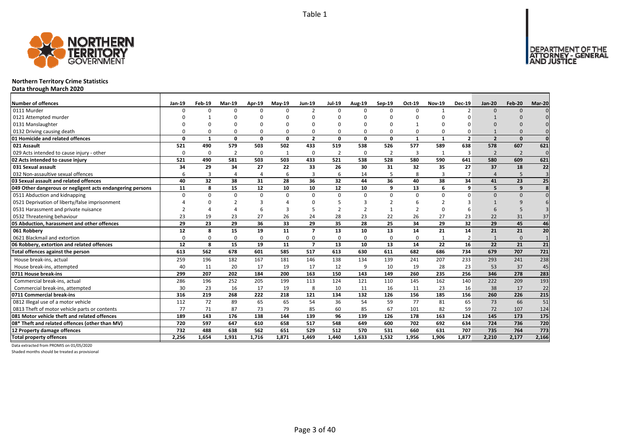DEPARTMENT OF THE<br>ATTORNEY - GENERAL



## **Northern Territory Crime Statistics**

**Data through March 2020**

| <b>Number of offences</b>                                 | Jan-19   | Feb-19       | Mar-19         | Apr-19         | <b>Mav-19</b> | <b>Jun-19</b>  | Jul-19         | Aug-19       | Sep-19         | Oct-19         | <b>Nov-19</b> | <b>Dec-19</b>  | Jan-20         | Feb-20         | Mar-20           |
|-----------------------------------------------------------|----------|--------------|----------------|----------------|---------------|----------------|----------------|--------------|----------------|----------------|---------------|----------------|----------------|----------------|------------------|
| 0111 Murder                                               |          | n            | $\Omega$       | $\Omega$       | U             |                | $\Omega$       | <sup>n</sup> | $\Omega$       | $\Omega$       |               | $\mathcal{D}$  | $\Omega$       | $\Omega$       |                  |
| 0121 Attempted murder                                     |          |              | n              |                |               |                |                | n            |                |                |               |                |                |                |                  |
| 0131 Manslaughter                                         |          |              | U              | $\Omega$       |               |                |                | n            |                | $\mathbf{1}$   |               |                |                |                |                  |
| 0132 Driving causing death                                |          |              | $\Omega$       | $\Omega$       | 0             |                |                | $\Omega$     | $\Omega$       | $\Omega$       | $\Omega$      |                |                |                |                  |
| 01 Homicide and related offences                          | $\Omega$ | $\mathbf{1}$ | 0              | $\mathbf 0$    | 0             | $\overline{2}$ | 0              | $\Omega$     | 0              | $\mathbf{1}$   | $\mathbf{1}$  | $\overline{2}$ | $\overline{2}$ | $\Omega$       | $\Omega$         |
| 021 Assault                                               | 521      | 490          | 579            | 503            | 502           | 433            | 519            | 538          | 526            | 577            | 589           | 638            | 578            | 607            | 621              |
| 029 Acts intended to cause injury - other                 | n        | $\Omega$     | $\overline{2}$ | 0              | $\mathbf{1}$  | $\Omega$       | $\overline{2}$ | $\Omega$     | $\overline{2}$ | 3              | $\mathbf{1}$  | 3              | $\overline{2}$ | $\overline{2}$ | $\Omega$         |
| 02 Acts intended to cause injury                          | 521      | 490          | 581            | 503            | 503           | 433            | 521            | 538          | 528            | 580            | 590           | 641            | 580            | 609            | 621              |
| 031 Sexual assault                                        | 34       | 29           | 34             | 27             | 22            | 33             | 26             | 30           | 31             | 32             | 35            | 27             | 37             | 18             | 22               |
| 032 Non-assaultive sexual offences                        | 6        | 3            | 4              | $\overline{4}$ | 6             |                | 6              | 14           | 5              | 8              | 3             |                | Δ              | 5              | $\overline{3}$   |
| 03 Sexual assault and related offences                    | 40       | 32           | 38             | 31             | 28            | 36             | 32             | 44           | 36             | 40             | 38            | 34             | 41             | 23             | 25               |
| 049 Other dangerous or negligent acts endangering persons | 11       | 8            | 15             | 12             | 10            | 10             | 12             | 10           | 9              | 13             | 6             | q              | 5              | q              | 8                |
| 0511 Abduction and kidnapping                             | $\Omega$ | U            | $\Omega$       | $\mathbf 0$    | 0             | $\Omega$       | $\mathbf 0$    | $\Omega$     | $\Omega$       | $\mathbf 0$    | 0             | $\Omega$       | $\Omega$       | $\Omega$       |                  |
| 0521 Deprivation of liberty/false imprisonment            |          |              | $\mathcal{P}$  | 3              |               |                |                | 3            |                | 6              | $\mathcal{P}$ |                |                |                |                  |
| 0531 Harassment and private nuisance                      |          |              |                | 6              | 3             |                |                | ຳ            |                | $\overline{2}$ | <sup>n</sup>  |                |                | 5              |                  |
| 0532 Threatening behaviour                                | 23       | 19           | 23             | 27             | 26            | 24             | 28             | 23           | 22             | 26             | 27            | 23             | 22             | 31             | 37               |
| 05 Abduction, harassment and other offences               | 29       | 23           | 29             | 36             | 33            | 29             | 35             | 28           | 25             | 34             | 29            | 32             | 29             | 45             | 46               |
| 061 Robbery                                               | 12       | 8            | 15             | 19             | 11            | $\overline{ }$ | 13             | 10           | 13             | 14             | 21            | 14             | 21             | 21             | 20               |
| 0621 Blackmail and extortion                              | $\Omega$ | <sup>0</sup> | $\Omega$       | 0              | 0             | $\Omega$       | $\Omega$       | $\Omega$     | $\Omega$       | $\Omega$       |               | $\overline{2}$ |                | $\Omega$       |                  |
| 06 Robbery, extortion and related offences                | 12       | 8            | 15             | 19             | 11            | $\overline{ }$ | 13             | 10           | 13             | 14             | 22            | 16             | 22             | 21             | 21               |
| Total offences against the person                         | 613      | 562          | 678            | 601            | 585           | 517            | 613            | 630          | 611            | 682            | 686           | 734            | 679            | 707            | $\overline{721}$ |
| House break-ins, actual                                   | 259      | 196          | 182            | 167            | 181           | 146            | 138            | 134          | 139            | 241            | 207           | 233            | 293            | 241            | 238              |
| House break-ins, attempted                                | 40       | 11           | 20             | 17             | 19            | 17             | 12             | 9            | 10             | 19             | 28            | 23             | 53             | 37             | 45               |
| 0711 House break-ins                                      | 299      | 207          | 202            | 184            | 200           | 163            | 150            | 143          | 149            | 260            | 235           | 256            | 346            | 278            | 283              |
| Commercial break-ins, actual                              | 286      | 196          | 252            | 205            | 199           | 113            | 124            | 121          | 110            | 145            | 162           | 140            | 222            | 209            | 193              |
| Commercial break-ins, attempted                           | 30       | 23           | 16             | 17             | 19            |                | 10             | 11           | 16             | 11             | 23            | 16             | 38             | 17             | 22               |
| 0711 Commercial break-ins                                 | 316      | 219          | 268            | 222            | 218           | 121            | 134            | 132          | 126            | 156            | 185           | 156            | 260            | 226            | 215              |
| 0812 Illegal use of a motor vehicle                       | 112      | 72           | 89             | 65             | 65            | 54             | 36             | 54           | 59             | 77             | 81            | 65             | 73             | 66             | 51               |
| 0813 Theft of motor vehicle parts or contents             | 77       | 71           | 87             | 73             | 79            | 85             | 60             | 85           | 67             | 101            | 82            | 59             | 72             | 107            | 124              |
| 081 Motor vehicle theft and related offences              | 189      | 143          | 176            | 138            | 144           | 139            | 96             | 139          | 126            | 178            | 163           | 124            | 145            | 173            | 175              |
| 08* Theft and related offences (other than MV)            | 720      | 597          | 647            | 610            | 658           | 517            | 548            | 649          | 600            | 702            | 692           | 634            | 724            | 736            | 720              |
| 12 Property damage offences                               | 732      | 488          | 638            | 562            | 651           | 529            | 512            | 570          | 531            | 660            | 631           | 707            | 735            | 764            | 773              |
| <b>Total property offences</b>                            | 2.256    | 1.654        | 1.931          | 1.716          | 1.871         | 1.469          | 1.440          | 1.633        | 1.532          | 1.956          | 1.906         | 1.877          | 2,210          | 2,177          | 2,166            |

Data extracted from PROMIS on 01/05/2020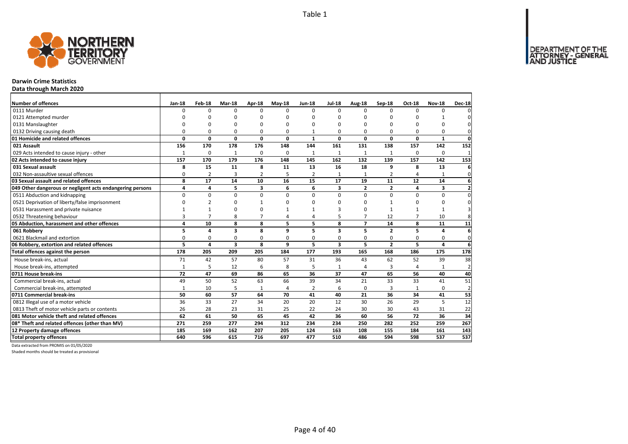

## **Darwin Crime Statistics**

**Data through March 2020**

| <b>Number of offences</b>                                 | <b>Jan-18</b> | Feb-18         | Mar-18                  | Apr-18         | $May-18$       | <b>Jun-18</b>  | <b>Jul-18</b>           | Aug-18         | <b>Sep-18</b>           | <b>Oct-18</b>  | <b>Nov-18</b> | <b>Dec-18</b>           |
|-----------------------------------------------------------|---------------|----------------|-------------------------|----------------|----------------|----------------|-------------------------|----------------|-------------------------|----------------|---------------|-------------------------|
| 0111 Murder                                               | O             | $\Omega$       | 0                       | $\Omega$       | $\Omega$       | $\Omega$       | $\Omega$                | <sup>0</sup>   | $\Omega$                | $\Omega$       | $\Omega$      | ΩI                      |
| 0121 Attempted murder                                     | O             | O              | O                       | $\Omega$       |                | O              | O                       | $\Omega$       | $\Omega$                |                |               | $\Omega$                |
| 0131 Manslaughter                                         | O             | ŋ              | 0                       | $\Omega$       |                | O              | ŋ                       | 0              | $\Omega$                | $\Omega$       | O             | 0l                      |
| 0132 Driving causing death                                | 0             | $\Omega$       | 0                       | $\Omega$       | O              |                | 0                       | 0              | $\Omega$                | 0              | 0             | $\mathbf{0}$            |
| 01 Homicide and related offences                          | 0             | $\mathbf{0}$   | $\mathbf{0}$            | $\mathbf 0$    | 0              | $\mathbf{1}$   | 0                       | 0              | 0                       | 0              | $\mathbf{1}$  | $\mathbf{0}$            |
| 021 Assault                                               | 156           | 170            | 178                     | 176            | 148            | 144            | 161                     | 131            | 138                     | 157            | 142           | 152                     |
| 029 Acts intended to cause injury - other                 | $\mathbf{1}$  | 0              | $\mathbf{1}$            | 0              | 0              | $\mathbf{1}$   | 1                       | 1              | $\mathbf{1}$            | 0              | 0             | $\mathbf{1}$            |
| 02 Acts intended to cause injury                          | 157           | 170            | 179                     | 176            | 148            | 145            | 162                     | 132            | 139                     | 157            | 142           | 153                     |
| 031 Sexual assault                                        | 8             | 15             | 11                      | 8              | 11             | 13             | 16                      | 18             | 9                       | 8              | 13            | 6                       |
| 032 Non-assaultive sexual offences                        | 0             | $\overline{2}$ | 3                       | $\overline{2}$ | 5              | $\overline{2}$ | $\mathbf{1}$            | $\mathbf{1}$   | $\overline{2}$          | 4              |               | $\mathbf 0$             |
| 03 Sexual assault and related offences                    | 8             | 17             | 14                      | 10             | 16             | 15             | 17                      | 19             | 11                      | 12             | 14            | $6 \mid$                |
| 049 Other dangerous or negligent acts endangering persons | 4             | 4              | 5                       | 3              | 6              | 6              | 3                       | $\overline{2}$ | $\overline{\mathbf{2}}$ | 4              | 3             | $\mathbf{2}$            |
| 0511 Abduction and kidnapping                             | $\Omega$      | 0              | $\mathbf 0$             | $\mathbf 0$    | $\Omega$       | 0              | $\Omega$                | $\Omega$       | $\Omega$                | $\Omega$       | 0             | $\mathbf 0$             |
| 0521 Deprivation of liberty/false imprisonment            | $\Omega$      | $\overline{2}$ | 0                       | -1             |                | ŋ              | n                       | 0              |                         | $\Omega$       | 0             | $\mathbf{0}$            |
| 0531 Harassment and private nuisance                      |               | $\mathbf{1}$   | 0                       | $\Omega$       |                |                | 3                       | 0              | $\overline{1}$          | $\mathbf{1}$   | 1             | $\overline{\mathsf{3}}$ |
| 0532 Threatening behaviour                                | 3             | $\overline{7}$ | 8                       | $\overline{7}$ |                | Δ              | 5                       | $\overline{7}$ | 12                      | $\overline{7}$ | 10            | 8                       |
| 05 Abduction, harassment and other offences               | 4             | 10             | 8                       | 8              | 5              | 5              | 8                       | $\overline{7}$ | 14                      | 8              | 11            | 11                      |
| 061 Robbery                                               | 5             | 4              | 3                       | 8              | q              | 5              | 3                       | 5              | $\overline{2}$          | 5              | 4             | $6 \mid$                |
| 0621 Blackmail and extortion                              | 0             | 0              | 0                       | 0              | $\Omega$       | 0              | 0                       | 0              | 0                       | 0              | 0             | $\mathbf{0}$            |
| 06 Robbery, extortion and related offences                | 5             | 4              | $\overline{\mathbf{3}}$ | 8              | 9              | 5              | $\overline{\mathbf{3}}$ | 5              | $\overline{2}$          | 5              | 4             | $6 \mid$                |
| Total offences against the person                         | 178           | 205            | 209                     | 205            | 184            | 177            | 193                     | 165            | 168                     | 186            | 175           | 178                     |
| House break-ins, actual                                   | 71            | 42             | 57                      | 80             | 57             | 31             | 36                      | 43             | 62                      | 52             | 39            | 38                      |
| House break-ins, attempted                                | $\mathbf{1}$  | 5              | 12                      | 6              | 8              | 5              | $\mathbf{1}$            | 4              | 3                       |                |               | $\overline{2}$          |
| 0711 House break-ins                                      | 72            | 47             | 69                      | 86             | 65             | 36             | 37                      | 47             | 65                      | 56             | 40            | 40                      |
| Commercial break-ins, actual                              | 49            | 50             | 52                      | 63             | 66             | 39             | 34                      | 21             | 33                      | 33             | 41            | 51                      |
| Commercial break-ins, attempted                           | 1             | 10             | 5                       | $\mathbf{1}$   | $\overline{4}$ | 2              | 6                       | $\Omega$       | 3                       | $\mathbf{1}$   | 0             | $\overline{2}$          |
| 0711 Commercial break-ins                                 | 50            | 60             | 57                      | 64             | 70             | 41             | 40                      | 21             | 36                      | 34             | 41            | 53                      |
| 0812 Illegal use of a motor vehicle                       | 36            | 33             | 27                      | 34             | 20             | 20             | 12                      | 30             | 26                      | 29             | 5             | 12                      |
| 0813 Theft of motor vehicle parts or contents             | 26            | 28             | 23                      | 31             | 25             | 22             | 24                      | 30             | 30                      | 43             | 31            | 22                      |
| 081 Motor vehicle theft and related offences              | 62            | 61             | 50                      | 65             | 45             | 42             | 36                      | 60             | 56                      | 72             | 36            | 34                      |
| 08* Theft and related offences (other than MV)            | 271           | 259            | 277                     | 294            | 312            | 234            | 234                     | 250            | 282                     | 252            | 259           | 267                     |
| 12 Property damage offences                               | 185           | 169            | 162                     | 207            | 205            | 124            | 163                     | 108            | 155                     | 184            | 161           | 143                     |
| <b>Total property offences</b>                            | 640           | 596            | 615                     | 716            | 697            | 477            | 510                     | 486            | 594                     | 598            | 537           | 537                     |

Data extracted from PROMIS on 01/05/2020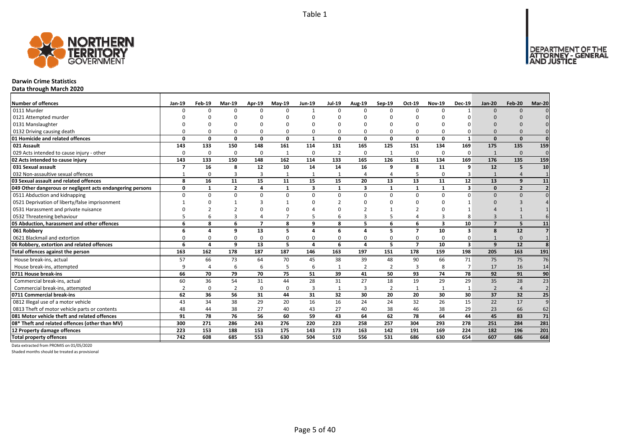

## **Darwin Crime Statistics**

**Data through March 2020**

| <b>Number of offences</b>                                 | Jan-19         | Feb-19   | Mar-19         | Apr-19         | $May-19$       | <b>Jun-19</b> | <b>Jul-19</b>  | <b>Aug-19</b>  | Sep-19         | Oct-19         | <b>Nov-19</b>           | <b>Dec-19</b>           | $Jan-20$       | Feb-20         | Mar-20          |
|-----------------------------------------------------------|----------------|----------|----------------|----------------|----------------|---------------|----------------|----------------|----------------|----------------|-------------------------|-------------------------|----------------|----------------|-----------------|
| 0111 Murder                                               | <sup>n</sup>   | $\Omega$ | n              | $\Omega$       | $\Omega$       | $\mathbf{1}$  | $\Omega$       | $\Omega$       | $\Omega$       | $\Omega$       | n                       |                         | $\Omega$       | $\Omega$       |                 |
| 0121 Attempted murder                                     |                |          |                |                |                |               |                |                |                |                |                         |                         |                |                |                 |
| 0131 Manslaughter                                         |                |          |                |                |                |               |                |                |                |                |                         |                         |                |                |                 |
| 0132 Driving causing death                                |                |          |                | 0              | $\Omega$       |               |                |                | $\Omega$       | 0              |                         |                         | $\Omega$       |                |                 |
| 01 Homicide and related offences                          | O              | $\Omega$ | $\Omega$       | 0              | 0              | $\mathbf{1}$  | n              | $\Omega$       | $\mathbf{0}$   | 0              | $\Omega$                | -1                      | $\Omega$       | $\Omega$       | $\mathbf 0$     |
| 021 Assault                                               | 143            | 133      | 150            | 148            | 161            | 114           | 131            | 165            | 125            | 151            | 134                     | 169                     | 175            | 135            | 159             |
| 029 Acts intended to cause injury - other                 | 0              | $\Omega$ | $\Omega$       | 0              | $\mathbf{1}$   | 0             | $\overline{2}$ | $\Omega$       | 1              | 0              | $\Omega$                | 0                       | $\mathbf{1}$   | $\Omega$       | $\Omega$        |
| 02 Acts intended to cause injury                          | 143            | 133      | 150            | 148            | 162            | 114           | 133            | 165            | 126            | 151            | 134                     | 169                     | 176            | 135            | 159             |
| 031 Sexual assault                                        |                | 16       | 8              | 12             | 10             | 14            | 14             | 16             | 9              | 8              | 11                      | 9                       | 12             | 5              | 10              |
| 032 Non-assaultive sexual offences                        |                | $\Omega$ | 3              | $\overline{3}$ | $\mathbf{1}$   |               |                | Δ              | $\Delta$       | 5              |                         |                         |                |                |                 |
| 03 Sexual assault and related offences                    | 8              | 16       | 11             | 15             | 11             | 15            | 15             | 20             | 13             | 13             | 11                      | 12                      | 13             | $\mathbf{q}$   | 11              |
| 049 Other dangerous or negligent acts endangering persons | 0              | 1        | $\overline{2}$ | 4              | 1              | 3             | $\mathbf{1}$   | 3              | 1              | 1              | 1                       | 3                       | $\Omega$       | $\overline{2}$ | $\overline{2}$  |
| 0511 Abduction and kidnapping                             | 0              | $\Omega$ | $\Omega$       | $\Omega$       | $\Omega$       | $\Omega$      | 0              | $\Omega$       | $\Omega$       | $\Omega$       | $\Omega$                | $\Omega$                | $\Omega$       | $\Omega$       |                 |
| 0521 Deprivation of liberty/false imprisonment            |                |          |                |                |                |               |                |                |                | ŋ              |                         |                         | $\Omega$       |                |                 |
| 0531 Harassment and private nuisance                      |                |          |                |                | $\Omega$       |               |                |                |                |                |                         |                         |                |                |                 |
| 0532 Threatening behaviour                                |                |          | 3              | $\overline{4}$ | $\overline{7}$ |               |                | 3              | 5              | 4              |                         |                         |                |                |                 |
| 05 Abduction, harassment and other offences               | 6              | 8        | 6              | $\overline{7}$ | 8              | 9             | 8              | 5.             | 6              | 6              | $\overline{\mathbf{3}}$ | 10                      | $\overline{ }$ | 5              | 11              |
| 061 Robbery                                               | 6              | 4        | 9              | 13             | 5              | 4             | 6              | 4              | 5              | $\overline{7}$ | 10                      | $\overline{\mathbf{3}}$ | 8              | 12             |                 |
| 0621 Blackmail and extortion                              | 0              | 0        | $\Omega$       | $\Omega$       | 0              | $\Omega$      | 0              | $\Omega$       | $\mathbf 0$    | 0              | $\Omega$                | 0                       |                | $\Omega$       |                 |
| 06 Robbery, extortion and related offences                | 6              | $\Delta$ | 9              | 13             | 5              | $\Delta$      | 6              | 4              | 5              | $\overline{7}$ | 10                      | $\overline{\mathbf{3}}$ | 9              | 12             | 8               |
| Total offences against the person                         | 163            | 162      | 178            | 187            | 187            | 146           | 163            | 197            | 151            | 178            | 159                     | 198                     | 205            | 163            | 191             |
| House break-ins, actual                                   | 57             | 66       | 73             | 64             | 70             | 45            | 38             | 39             | 48             | 90             | 66                      | 71                      | 75             | 75             | 76              |
| House break-ins, attempted                                | q              |          | 6              | 6              | 5              | 6             |                | $\overline{2}$ | $\overline{2}$ | 3              | 8                       | $\overline{7}$          | 17             | 16             | 14              |
| 0711 House break-ins                                      | 66             | 70       | 79             | 70             | 75             | 51            | 39             | 41             | 50             | 93             | 74                      | 78                      | 92             | 91             | 90              |
| Commercial break-ins, actual                              | 60             | 36       | 54             | 31             | 44             | 28            | 31             | 27             | 18             | 19             | 29                      | 29                      | 35             | 28             | 23              |
| Commercial break-ins, attempted                           | $\overline{2}$ | $\Omega$ | 2              | 0              | 0              | 3             | 1              | 3              | $\overline{2}$ | 1              |                         |                         | $\overline{2}$ | $\overline{4}$ | $\overline{2}$  |
| 0711 Commercial break-ins                                 | 62             | 36       | 56             | 31             | 44             | 31            | 32             | 30             | 20             | 20             | 30                      | 30                      | 37             | 32             | $\overline{25}$ |
| 0812 Illegal use of a motor vehicle                       | 43             | 34       | 38             | 29             | 20             | 16            | 16             | 24             | 24             | 32             | 26                      | 15                      | 22             | 17             | 9               |
| 0813 Theft of motor vehicle parts or contents             | 48             | 44       | 38             | 27             | 40             | 43            | 27             | 40             | 38             | 46             | 38                      | 29                      | 23             | 66             | 62              |
| 081 Motor vehicle theft and related offences              | 91             | 78       | 76             | 56             | 60             | 59            | 43             | 64             | 62             | 78             | 64                      | 44                      | 45             | 83             | $\overline{71}$ |
| 08* Theft and related offences (other than MV)            | 300            | 271      | 286            | 243            | 276            | 220           | 223            | 258            | 257            | 304            | 293                     | 278                     | 251            | 284            | 281             |
| 12 Property damage offences                               | 223            | 153      | 188            | 153            | 175            | 143           | 173            | 163            | 142            | 191            | 169                     | 224                     | 182            | 196            | 201             |
| <b>Total property offences</b>                            | 742            | 608      | 685            | 553            | 630            | 504           | 510            | 556            | 531            | 686            | 630                     | 654                     | 607            | 686            | 668             |

Data extracted from PROMIS on 01/05/2020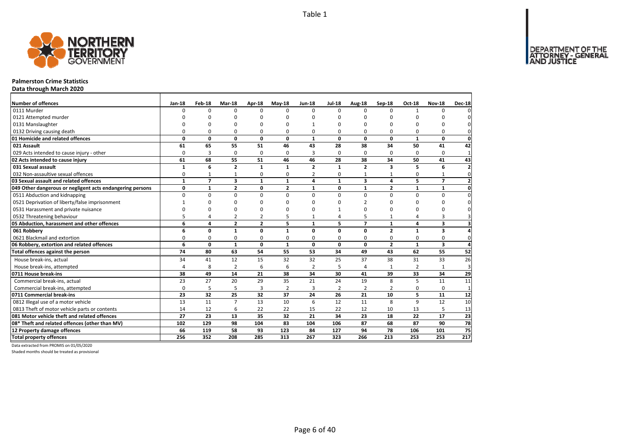DEPARTMENT OF THE<br>ATTORNEY - GENERAL



#### **Palmerston Crime Statistics**

**Data through March 2020**

| <b>Number of offences</b>                                 | <b>Jan-18</b>  | Feb-18         | Mar-18                  | Apr-18         | $May-18$     | <b>Jun-18</b>  | <b>Jul-18</b>  | Aug-18         | Sep-18         | Oct-18         | <b>Nov-18</b>           | <b>Dec-18</b>           |
|-----------------------------------------------------------|----------------|----------------|-------------------------|----------------|--------------|----------------|----------------|----------------|----------------|----------------|-------------------------|-------------------------|
| 0111 Murder                                               | $\Omega$       | $\Omega$       | $\Omega$                | $\Omega$       | 0            | $\Omega$       | $\Omega$       | $\Omega$       | $\Omega$       |                | $\Omega$                | $\Omega$                |
| 0121 Attempted murder                                     |                | ŋ              | n                       | n              | n            | n              | n              | O              | ŋ              | O              | ∩                       | 0                       |
| 0131 Manslaughter                                         |                | ŋ              | O                       | C              | n            |                | $\Omega$       | $\Omega$       | $\Omega$       | $\Omega$       | $\Omega$                | 0                       |
| 0132 Driving causing death                                | 0              | 0              | $\Omega$                | $\Omega$       | 0            | $\Omega$       | 0              | $\Omega$       | 0              | 0              | 0                       | 0                       |
| 01 Homicide and related offences                          | 0              | 0              | 0                       | $\mathbf{0}$   | 0            | $\mathbf{1}$   | 0              | 0              | 0              | $\mathbf{1}$   | 0                       | 0                       |
| 021 Assault                                               | 61             | 65             | 55                      | 51             | 46           | 43             | 28             | 38             | 34             | 50             | 41                      | 42                      |
| 029 Acts intended to cause injury - other                 | $\Omega$       | 3              | 0                       | $\Omega$       | $\Omega$     | 3              | 0              | $\Omega$       | $\Omega$       | 0              | $\mathbf 0$             | $\mathbf 1$             |
| 02 Acts intended to cause injury                          | 61             | 68             | 55                      | 51             | 46           | 46             | 28             | 38             | 34             | 50             | 41                      | 43                      |
| 031 Sexual assault                                        | 1              | 6              | $\overline{2}$          | $\mathbf{1}$   | 1            | $\overline{2}$ | 1              | $\overline{2}$ | 3              | 5              | 6                       | $\overline{\mathbf{2}}$ |
| 032 Non-assaultive sexual offences                        | 0              | $\mathbf{1}$   | $\mathbf{1}$            | 0              | $\Omega$     | $\overline{2}$ | 0              | $\mathbf{1}$   | $\mathbf{1}$   | 0              | $\mathbf{1}$            | 0                       |
| 03 Sexual assault and related offences                    | $\mathbf{1}$   | $\overline{7}$ | 3                       | $\mathbf{1}$   | $\mathbf{1}$ | $\overline{a}$ | $\mathbf{1}$   | 3              | 4              | 5              | $\overline{7}$          | $\overline{2}$          |
| 049 Other dangerous or negligent acts endangering persons | 0              | $\mathbf{1}$   | $\overline{\mathbf{2}}$ | 0              | $\mathbf{2}$ | $\mathbf{1}$   | 0              | $\mathbf{1}$   | $\overline{2}$ | 1              | $\mathbf{1}$            | 0                       |
| 0511 Abduction and kidnapping                             | $\Omega$       | $\mathbf 0$    | 0                       | $\Omega$       | $\Omega$     | $\Omega$       | $\Omega$       | $\Omega$       | $\Omega$       | 0              | $\mathbf 0$             | $\pmb{0}$               |
| 0521 Deprivation of liberty/false imprisonment            |                | O              | $\Omega$                | ŋ              | n            | ŋ              | $\Omega$       | $\mathfrak{p}$ | <sup>0</sup>   | 0              | $\Omega$                | 0                       |
| 0531 Harassment and private nuisance                      |                | 0              | 0                       | O              | n            | O              |                | $\Omega$       | 0              | 0              | $\Omega$                | 0                       |
| 0532 Threatening behaviour                                | 5              | 4              | $\overline{2}$          | $\overline{2}$ | 5            | 1              | 4              | 5              | $\mathbf{1}$   | 4              | 3                       | 3                       |
| 05 Abduction, harassment and other offences               | 6              | 4              | $\overline{2}$          | $\overline{2}$ | 5            | $\mathbf{1}$   | 5              | $\overline{7}$ | $\mathbf{1}$   | 4              | $\overline{\mathbf{3}}$ | 3                       |
| 061 Robbery                                               | 6              | $\mathbf{0}$   | $\mathbf{1}$            | $\Omega$       | $\mathbf{1}$ | $\Omega$       | $\Omega$       | 0              | $\overline{2}$ | $\mathbf{1}$   | 3                       | $\overline{\mathbf{4}}$ |
| 0621 Blackmail and extortion                              | 0              | 0              | 0                       | 0              | 0            | 0              | 0              | 0              | 0              | 0              | 0                       | $\mathbf 0$             |
| 06 Robbery, extortion and related offences                | 6              | $\mathbf 0$    | $\mathbf{1}$            | 0              | $\mathbf{1}$ | $\mathbf 0$    | $\mathbf 0$    | 0              | $\overline{2}$ | $\mathbf{1}$   | 3                       | 4                       |
| Total offences against the person                         | 74             | 80             | 63                      | 54             | 55           | 53             | 34             | 49             | 43             | 62             | 55                      | 52                      |
| House break-ins, actual                                   | 34             | 41             | 12                      | 15             | 32           | 32             | 25             | 37             | 38             | 31             | 33                      | 26                      |
| House break-ins, attempted                                | $\overline{4}$ | 8              | $\overline{2}$          | 6              | 6            | $\overline{2}$ | 5              | 4              |                | $\overline{2}$ | $\mathbf{1}$            | 3                       |
| 0711 House break-ins                                      | 38             | 49             | 14                      | 21             | 38           | 34             | 30             | 41             | 39             | 33             | 34                      | 29                      |
| Commercial break-ins, actual                              | 23             | 27             | 20                      | 29             | 35           | 21             | 24             | 19             | 8              | 5              | 11                      | 11                      |
| Commercial break-ins, attempted                           | 0              | 5              | 5                       | 3              | 2            | 3              | $\overline{2}$ | $\overline{2}$ | $\overline{2}$ | 0              | $\mathbf 0$             | $\mathbf{1}$            |
| 0711 Commercial break-ins                                 | 23             | 32             | 25                      | 32             | 37           | 24             | 26             | 21             | 10             | 5              | 11                      | 12                      |
| 0812 Illegal use of a motor vehicle                       | 13             | 11             | $\overline{7}$          | 13             | 10           | 6              | 12             | 11             | 8              | 9              | 12                      | 10                      |
| 0813 Theft of motor vehicle parts or contents             | 14             | 12             | 6                       | 22             | 22           | 15             | 22             | 12             | 10             | 13             | 5                       | 13                      |
| 081 Motor vehicle theft and related offences              | 27             | 23             | 13                      | 35             | 32           | 21             | 34             | 23             | 18             | 22             | 17                      | 23                      |
| 08* Theft and related offences (other than MV)            | 102            | 129            | 98                      | 104            | 83           | 104            | 106            | 87             | 68             | 87             | 90                      | 78                      |
| 12 Property damage offences                               | 66             | 119            | 58                      | 93             | 123          | 84             | 127            | 94             | 78             | 106            | 101                     | 75                      |
| <b>Total property offences</b>                            | 256            | 352            | 208                     | 285            | 313          | 267            | 323            | 266            | 213            | 253            | 253                     | 217                     |

Data extracted from PROMIS on 01/05/2020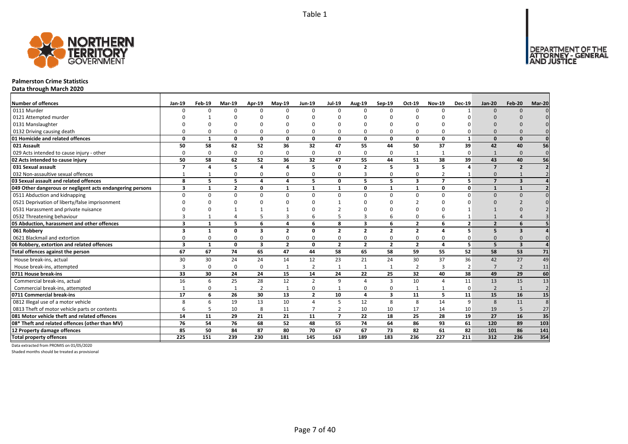

#### **Palmerston Crime Statistics**

**Data through March 2020**

| <b>Number of offences</b>                                 | Jan-19                  | Feb-19       | Mar-19         | Apr-19                  | <b>Mav-19</b>  | <b>Jun-19</b>  | <b>Jul-19</b>  | Aug-19         | Sep-19         | Oct-19                  | <b>Nov-19</b>  | <b>Dec-19</b>  | <b>Jan-20</b>           | <b>Feb-20</b>           | Mar-20                  |
|-----------------------------------------------------------|-------------------------|--------------|----------------|-------------------------|----------------|----------------|----------------|----------------|----------------|-------------------------|----------------|----------------|-------------------------|-------------------------|-------------------------|
| 0111 Murder                                               |                         |              | $\Omega$       | $\Omega$                | $\Omega$       |                | $\Omega$       | $\Omega$       | $\Omega$       | $\Omega$                | $\Omega$       |                | $\Omega$                | $\Omega$                |                         |
| 0121 Attempted murder                                     |                         |              |                |                         |                |                |                |                |                |                         |                |                |                         |                         |                         |
| 0131 Manslaughter                                         |                         |              |                |                         |                |                |                |                |                |                         |                |                |                         |                         |                         |
| 0132 Driving causing death                                |                         |              | $\Omega$       | $\Omega$                | 0              |                |                | $\Omega$       | $\Omega$       | 0                       |                |                | $\Omega$                |                         |                         |
| 01 Homicide and related offences                          | $\Omega$                | $\mathbf{1}$ | 0              | $\mathbf{0}$            | $\mathbf{0}$   | $\mathbf 0$    | 0              | 0              | $\mathbf{0}$   | $\mathbf{0}$            | 0              | $\mathbf{1}$   | $\Omega$                | $\Omega$                |                         |
| 021 Assault                                               | 50                      | 58           | 62             | 52                      | 36             | 32             | 47             | 55             | 44             | 50                      | 37             | 39             | 42                      | 40                      | 56                      |
| 029 Acts intended to cause injury - other                 | $\Omega$                | $\Omega$     | $\Omega$       | $\mathbf 0$             | 0              | $\Omega$       | $\Omega$       | $\Omega$       | $\Omega$       | 1                       |                | $\Omega$       | $\mathbf{1}$            | $\Omega$                | $\mathbf 0$             |
| 02 Acts intended to cause injury                          | 50                      | 58           | 62             | 52                      | 36             | 32             | 47             | 55             | 44             | 51                      | 38             | 39             | 43                      | 40                      | 56                      |
| 031 Sexual assault                                        | 7                       |              | 5              | $\mathbf{A}$            | 4              |                | O              | $\overline{2}$ | 5              | $\overline{\mathbf{3}}$ | 5              |                | $\overline{\mathbf{z}}$ | $\overline{2}$          | $\overline{\mathbf{z}}$ |
| 032 Non-assaultive sexual offences                        |                         |              | $\Omega$       | $\Omega$                | 0              | ŋ              | 0              | 3              | $\Omega$       | 0                       | 2              |                | $\Omega$                |                         |                         |
| 03 Sexual assault and related offences                    | 8                       | 5            | 5              | $\overline{\mathbf{A}}$ | 4              | 5              | 0              | 5              | 5              | 3                       | $\overline{ }$ | 5 <sup>1</sup> | $\overline{ }$          | $\overline{\mathbf{3}}$ |                         |
| 049 Other dangerous or negligent acts endangering persons | 3                       |              | $\overline{2}$ | 0                       | $\mathbf{1}$   | $\mathbf 1$    | $\mathbf{1}$   | 0              | $\mathbf{1}$   | $\mathbf{1}$            | $\Omega$       | $\mathbf{0}$   |                         | $\mathbf{1}$            |                         |
| 0511 Abduction and kidnapping                             | ŋ                       | U            | $\Omega$       | $\Omega$                | $\Omega$       | $\Omega$       | $\Omega$       | $\Omega$       | $\Omega$       | $\Omega$                | $\Omega$       | ŋ              | $\Omega$                | $\Omega$                |                         |
| 0521 Deprivation of liberty/false imprisonment            |                         |              |                |                         |                |                |                | n              |                |                         |                |                |                         |                         |                         |
| 0531 Harassment and private nuisance                      |                         |              |                |                         | $\mathbf{1}$   |                |                | n              |                |                         |                |                |                         |                         |                         |
| 0532 Threatening behaviour                                |                         |              |                | 5                       | 3              | 6              |                |                | 6              | 0                       | 6              |                |                         |                         |                         |
| 05 Abduction, harassment and other offences               | $\overline{\mathbf{3}}$ | $\mathbf{1}$ | 5              | 6                       | 4              | 6              | 8              | 3              | 6              | $\overline{2}$          | 6              | $\overline{2}$ | $\overline{2}$          | 6                       |                         |
| 061 Robbery                                               | 3                       | $\mathbf{1}$ | $\Omega$       | $\overline{\mathbf{3}}$ | $\overline{2}$ | $\Omega$       | $\overline{2}$ | $\overline{2}$ | $\overline{2}$ | $\overline{2}$          |                | 5              | 5                       | 3                       |                         |
| 0621 Blackmail and extortion                              |                         |              | $\Omega$       | $\Omega$                | 0              |                | O              | O              | $\Omega$       | 0                       |                |                | $\Omega$                | $\Omega$                |                         |
| 06 Robbery, extortion and related offences                | $\overline{\mathbf{3}}$ | $\mathbf{1}$ | 0              | $\overline{\mathbf{3}}$ | $\overline{2}$ | $\mathbf 0$    | $\overline{2}$ | $\overline{2}$ | $\overline{2}$ | $\overline{2}$          | 4              | 5 <sup>1</sup> | 5                       | $\overline{\mathbf{3}}$ |                         |
| Total offences against the person                         | 67                      | 67           | 74             | 65                      | 47             | 44             | 58             | 65             | 58             | 59                      | 55             | 52             | 58                      | 53                      | 71                      |
| House break-ins, actual                                   | 30                      | 30           | 24             | 24                      | 14             | 12             | 23             | 21             | 24             | 30                      | 37             | 36             | 42                      | 27                      | 49                      |
| House break-ins, attempted                                | 3                       | 0            | $\Omega$       | 0                       | 1              | 2              | $\mathbf{1}$   | $\mathbf{1}$   | 1              | 2                       | 3              | $\overline{2}$ | $\overline{7}$          | $\overline{2}$          | 11                      |
| 0711 House break-ins                                      | 33                      | 30           | 24             | 24                      | 15             | 14             | 24             | 22             | 25             | 32                      | 40             | 38             | 49                      | 29                      | 60                      |
| Commercial break-ins, actual                              | 16                      | 6            | 25             | 28                      | 12             | $\overline{2}$ | 9              | $\Delta$       | $\overline{3}$ | 10                      | $\Delta$       | 11             | 13                      | 15                      | 13                      |
| Commercial break-ins, attempted                           |                         |              |                | $\overline{2}$          | $\mathbf{1}$   | 0              |                | $\Omega$       | 0              | $\mathbf{1}$            |                | $\Omega$       | $\overline{2}$          | $\mathbf{1}$            | $\overline{2}$          |
| 0711 Commercial break-ins                                 | 17                      | 6            | 26             | 30                      | 13             | $\overline{2}$ | 10             | 4              | 3              | 11                      | 5              | 11             | 15                      | 16                      | 15                      |
| 0812 Illegal use of a motor vehicle                       | 8                       | 6            | 19             | 13                      | 10             | $\Delta$       | 5              | 12             | 8              | 8                       | 14             | 9              | 8                       | 11                      | $\overline{8}$          |
| 0813 Theft of motor vehicle parts or contents             | 6                       |              | 10             | 8                       | 11             | $\overline{ }$ |                | 10             | 10             | 17                      | 14             | 10             | 19                      | 5                       | 27                      |
| 081 Motor vehicle theft and related offences              | 14                      | 11           | 29             | 21                      | 21             | 11             | $\overline{7}$ | 22             | 18             | 25                      | 28             | 19             | 27                      | 16                      | 35                      |
| 08* Theft and related offences (other than MV)            | 76                      | 54           | 76             | 68                      | 52             | 48             | 55             | 74             | 64             | 86                      | 93             | 61             | 120                     | 89                      | 103                     |
| 12 Property damage offences                               | 85                      | 50           | 84             | 87                      | 80             | 70             | 67             | 67             | 73             | 82                      | 61             | 82             | 101                     | 86                      | 141                     |
| <b>Total property offences</b>                            | 225                     | 151          | 239            | 230                     | 181            | 145            | 163            | 189            | 183            | 236                     | 227            | 211            | 312                     | 236                     | 354                     |

Data extracted from PROMIS on 01/05/2020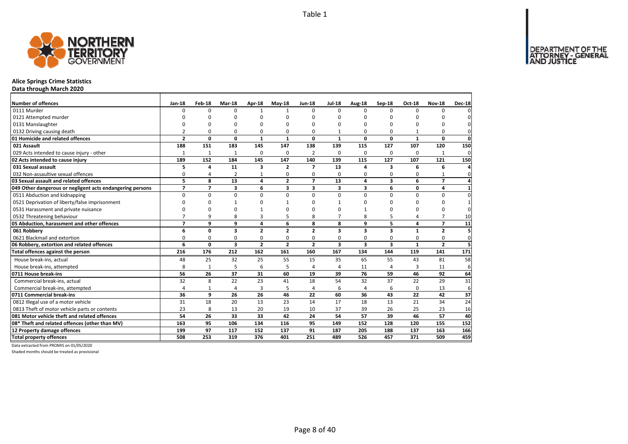DEPARTMENT OF THE<br>ATTORNEY - GENERAL<br>AND JUSTICE



## **Alice Springs Crime Statistics**

**Data through March 2020**

| Number of offences                                        | <b>Jan-18</b>  | Feb-18         | Mar-18         | Apr-18                  | $May-18$       | <b>Jun-18</b>  | <b>Jul-18</b>  | Aug-18                  | Sep-18                  | <b>Oct-18</b> | <b>Nov-18</b>  | <b>Dec-18</b>  |
|-----------------------------------------------------------|----------------|----------------|----------------|-------------------------|----------------|----------------|----------------|-------------------------|-------------------------|---------------|----------------|----------------|
| 0111 Murder                                               | $\Omega$       | 0              | $\Omega$       | -1                      | 1              | $\Omega$       | $\Omega$       | $\Omega$                | $\Omega$                | $\Omega$      | 0              | 0              |
| 0121 Attempted murder                                     |                | O              | 0              | O                       | ŋ              | n              | O              | O                       | O                       |               |                | 0              |
| 0131 Manslaughter                                         |                | 0              | 0              | $\Omega$                |                | $\Omega$       | 0              | 0                       | $\Omega$                | $\Omega$      | $\Omega$       | $\Omega$       |
| 0132 Driving causing death                                | $\overline{2}$ | 0              | 0              | $\Omega$                | 0              | 0              | $\mathbf{1}$   | 0                       | $\Omega$                |               | 0              | $\mathbf{0}$   |
| 01 Homicide and related offences                          | $\overline{2}$ | 0              | 0              | 1                       | 1              | 0              | $\mathbf{1}$   | 0                       | 0                       | $\mathbf{1}$  | $\mathbf 0$    | $\mathbf{0}$   |
| 021 Assault                                               | 188            | 151            | 183            | 145                     | 147            | 138            | 139            | 115                     | 127                     | 107           | 120            | 150            |
| 029 Acts intended to cause injury - other                 | $\mathbf{1}$   | 1              | $\mathbf{1}$   | 0                       | 0              | 2              | 0              | 0                       | 0                       | 0             | $\mathbf{1}$   | $\mathbf{0}$   |
| 02 Acts intended to cause injury                          | 189            | 152            | 184            | 145                     | 147            | 140            | 139            | 115                     | 127                     | 107           | 121            | 150            |
| 031 Sexual assault                                        | 5              | 4              | 11             | 3                       | $\overline{2}$ | 7              | 13             | 4                       | 3                       | 6             | 6              | $\overline{4}$ |
| 032 Non-assaultive sexual offences                        | 0              | 4              | $\overline{2}$ |                         | 0              | $\Omega$       | $\Omega$       | O                       | $\Omega$                | 0             |                | $\mathbf{0}$   |
| 03 Sexual assault and related offences                    | 5              | 8              | 13             | $\overline{\mathbf{4}}$ | $\overline{2}$ | $\overline{ }$ | 13             | 4                       | $\overline{\mathbf{3}}$ | 6             | $\overline{7}$ | $\overline{4}$ |
| 049 Other dangerous or negligent acts endangering persons | $\overline{ }$ | $\overline{7}$ | 3              | 6                       | 3              | 3              | 3              | 3                       | 6                       | 0             | 4              | $\mathbf{1}$   |
| 0511 Abduction and kidnapping                             | 0              | 0              | $\mathbf 0$    | $\Omega$                | $\Omega$       | $\Omega$       | $\Omega$       | $\Omega$                | $\Omega$                | 0             | 0              | $\mathbf 0$    |
| 0521 Deprivation of liberty/false imprisonment            | $\Omega$       | $\Omega$       | 1              | $\Omega$                |                | $\Omega$       | 1              | 0                       | 0                       | $\Omega$      | 0              | $\mathbf{1}$   |
| 0531 Harassment and private nuisance                      | $\Omega$       | $\Omega$       | 0              |                         |                | n              | $\Omega$       |                         | $\Omega$                | 0             | 0              | 0l             |
| 0532 Threatening behaviour                                | $\overline{7}$ | 9              | 8              | 3                       |                | 8              | $\overline{7}$ | 8                       | 5                       | 4             | $\overline{7}$ | 10             |
| 05 Abduction, harassment and other offences               | $\overline{ }$ | 9              | 9              | 4                       | 6              | 8              | 8              | 9                       | 5                       | 4             | $\overline{ }$ | 11             |
| 061 Robbery                                               | 6              | 0              | 3              | $\overline{2}$          | $\overline{2}$ | $\overline{2}$ | 3              | 3                       | $\overline{\mathbf{3}}$ | $\mathbf{1}$  | $\overline{2}$ | 5              |
| 0621 Blackmail and extortion                              | $\Omega$       | 0              | 0              | 0                       | 0              | 0              | 0              | 0                       | 0                       | $\Omega$      | 0              | $\mathbf{0}$   |
| 06 Robbery, extortion and related offences                | 6              | 0              | 3              | $\overline{\mathbf{2}}$ | $\overline{2}$ | $\overline{2}$ | 3              | $\overline{\mathbf{3}}$ | $\overline{\mathbf{3}}$ | $\mathbf{1}$  | $\overline{2}$ | 5 <sup>1</sup> |
| Total offences against the person                         | 216            | 176            | 212            | 162                     | 161            | 160            | 167            | 134                     | 144                     | 119           | 141            | 171            |
| House break-ins, actual                                   | 48             | 25             | 32             | 25                      | 55             | 15             | 35             | 65                      | 55                      | 43            | 81             | 58             |
| House break-ins, attempted                                | 8              | $\mathbf{1}$   | 5              | 6                       | 5              | 4              | 4              | 11                      | $\Delta$                | 3             | 11             | 6              |
| 0711 House break-ins                                      | 56             | 26             | 37             | 31                      | 60             | 19             | 39             | 76                      | 59                      | 46            | 92             | 64             |
| Commercial break-ins, actual                              | 32             | 8              | 22             | 23                      | 41             | 18             | 54             | 32                      | 37                      | 22            | 29             | 31             |
| Commercial break-ins, attempted                           | 4              | 1              | 4              | 3                       | 5              | 4              | 6              | 4                       | 6                       | $\Omega$      | 13             | 6              |
| 0711 Commercial break-ins                                 | 36             | 9              | 26             | 26                      | 46             | 22             | 60             | 36                      | 43                      | 22            | 42             | 37             |
| 0812 Illegal use of a motor vehicle                       | 31             | 18             | 20             | 13                      | 23             | 14             | 17             | 18                      | 13                      | 21            | 34             | 24             |
| 0813 Theft of motor vehicle parts or contents             | 23             | 8              | 13             | 20                      | 19             | 10             | 37             | 39                      | 26                      | 25            | 23             | 16             |
| 081 Motor vehicle theft and related offences              | 54             | 26             | 33             | 33                      | 42             | 24             | 54             | 57                      | 39                      | 46            | 57             | 40             |
| 08* Theft and related offences (other than MV)            | 163            | 95             | 106            | 134                     | 116            | 95             | 149            | 152                     | 128                     | 120           | 155            | 152            |
| 12 Property damage offences                               | 199            | 97             | 117            | 152                     | 137            | 91             | 187            | 205                     | 188                     | 137           | 163            | 166            |
| <b>Total property offences</b>                            | 508            | 253            | 319            | 376                     | 401            | 251            | 489            | 526                     | 457                     | 371           | 509            | 459            |

Data extracted from PROMIS on 01/05/2020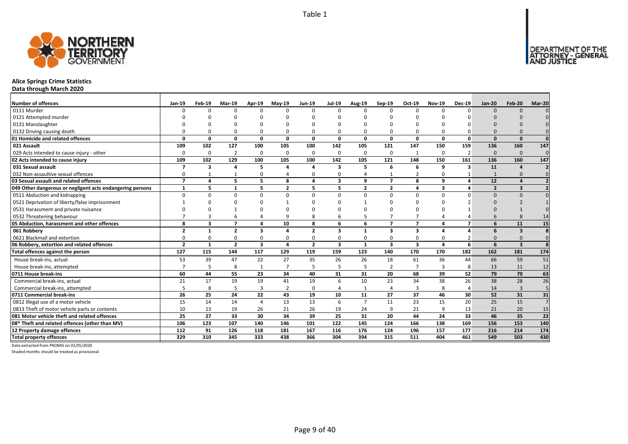

## **Alice Springs Crime Statistics**

**Data through March 2020**

| <b>Number of offences</b>                                 | <b>Jan-19</b>            | Feb-19       | <b>Mar-19</b>            | Apr-19         | $May-19$       | <b>Jun-19</b>  | <b>Jul-19</b>           | Aug-19         | Sep-19         | Oct-19                  | <b>Nov-19</b> | <b>Dec-19</b> | <b>Jan-20</b>  | Feb-20                  | Mar-20         |
|-----------------------------------------------------------|--------------------------|--------------|--------------------------|----------------|----------------|----------------|-------------------------|----------------|----------------|-------------------------|---------------|---------------|----------------|-------------------------|----------------|
| 0111 Murder                                               | n                        | n            | $\Omega$                 | $\Omega$       | $\Omega$       | $\Omega$       | $\Omega$                | U              | $\Omega$       | $\Omega$                | <sup>0</sup>  | $\Omega$      | ŋ              | $\Omega$                |                |
| 0121 Attempted murder                                     |                          |              |                          |                |                |                |                         |                |                |                         |               |               |                |                         |                |
| 0131 Manslaughter                                         |                          |              |                          |                |                |                |                         |                |                |                         |               |               |                |                         |                |
| 0132 Driving causing death                                |                          |              | $\Omega$                 | $\Omega$       | 0              |                |                         | U              |                | $\Omega$                |               |               |                |                         |                |
| 01 Homicide and related offences                          | n                        | 0            | 0                        | $\mathbf{0}$   | 0              | 0              | 0                       | 0              | $\Omega$       | $\mathbf 0$             | 0             | $\Omega$      | n              | $\Omega$                | $\Omega$       |
| 021 Assault                                               | 109                      | 102          | 127                      | 100            | 105            | 100            | 142                     | 105            | 121            | 147                     | 150           | 159           | 136            | 160                     | 147            |
| 029 Acts intended to cause injury - other                 | $\Omega$                 | 0            | $\overline{2}$           | $\Omega$       | 0              | $\Omega$       | $\Omega$                | $\Omega$       | $\Omega$       | $\overline{1}$          | $\Omega$      |               | $\Omega$       | $\Omega$                | $\mathbf 0$    |
| 02 Acts intended to cause injury                          | 109                      | 102          | 129                      | 100            | 105            | 100            | 142                     | 105            | 121            | 148                     | 150           | 161           | 136            | 160                     | 147            |
| 031 Sexual assault                                        |                          | 3            | $\Delta$                 | 5              | Δ              |                | 3                       | 5              | 6              | 6                       | 9             | 3             | 11             | $\Delta$                |                |
| 032 Non-assaultive sexual offences                        | 0                        |              |                          | 0              | 4              | $\Omega$       | 0                       | Δ              | $\mathbf{1}$   | $\overline{2}$          | 0             |               |                | $\Omega$                | $\Omega$       |
| 03 Sexual assault and related offences                    | $\overline{\phantom{a}}$ | 4            | 5                        | 5.             | 8              | $\Delta$       | $\overline{\mathbf{3}}$ | q              | $\overline{7}$ | 8                       | q             |               | 12             | $\Delta$                |                |
| 049 Other dangerous or negligent acts endangering persons | $\mathbf{1}$             | 5            | $\mathbf{1}$             | 5              | $\overline{2}$ | 5              | 5                       | $\mathbf{2}$   | $\overline{2}$ | 4                       | 3             |               | $\overline{2}$ | 3                       |                |
| 0511 Abduction and kidnapping                             | n                        | <sup>n</sup> | $\Omega$                 | $\Omega$       | $\Omega$       | $\Omega$       | $\Omega$                | $\Omega$       | $\Omega$       | $\Omega$                | $\Omega$      |               | U              | $\Omega$                |                |
| 0521 Deprivation of liberty/false imprisonment            |                          |              | $\Omega$                 |                |                |                |                         |                |                | ſ                       | n             |               |                |                         |                |
| 0531 Harassment and private nuisance                      |                          |              |                          | $\Omega$       |                |                |                         |                |                | C                       |               |               |                |                         |                |
| 0532 Threatening behaviour                                |                          |              | 6                        | 4              | 9              |                | 6                       |                |                | $\overline{7}$          |               |               |                | $\mathsf{R}$            | 14             |
| 05 Abduction, harassment and other offences               | 8                        | 3            | $\overline{\phantom{a}}$ | 4              | 10             | 8              | 6                       | 6              | $\overline{7}$ | $\overline{7}$          | 4             |               |                | 11                      | 15             |
| 061 Robbery                                               | $\overline{2}$           | $\mathbf{1}$ | $\overline{2}$           | 3              | 4              | $\overline{2}$ | $\overline{\mathbf{3}}$ | 1              | 3              | $\overline{\mathbf{3}}$ | Δ             |               | 6              | $\overline{\mathbf{3}}$ | 8              |
| 0621 Blackmail and extortion                              | $\Omega$                 | n            | $\Omega$                 | $\mathbf 0$    | 0              | $\Omega$       | 0                       | 0              | $\Omega$       | $\mathbf 0$             | 0             |               |                | $\Omega$                | $\mathbf 0$    |
| 06 Robbery, extortion and related offences                | $\overline{2}$           | $\mathbf{1}$ | $\overline{2}$           | 3              | 4              | $\overline{2}$ | $\mathbf{3}$            | $\mathbf{1}$   | 3              | $\overline{\mathbf{3}}$ | 4             | 6             | 6              | $\overline{\mathbf{3}}$ | $\mathbf{g}$   |
| Total offences against the person                         | 127                      | 115          | 144                      | 117            | 129            | 119            | 159                     | 123            | 140            | 170                     | 170           | 182           | 162            | 181                     | 174            |
| House break-ins, actual                                   | 53                       | 39           | 47                       | 22             | 27             | 35             | 26                      | 26             | 18             | 61                      | 36            | 44            | 66             | 59                      | 51             |
| House break-ins, attempted                                |                          | 5            | 8                        | $\mathbf{1}$   | $\overline{7}$ |                | 5                       | 5              | $\overline{2}$ | $\overline{7}$          | 3             | 8             | 13             | 11                      | 12             |
| 0711 House break-ins                                      | 60                       | 44           | 55                       | 23             | 34             | 40             | 31                      | 31             | 20             | 68                      | 39            | 52            | 79             | 70                      | 63             |
| Commercial break-ins, actual                              | 21                       | 17           | 19                       | 19             | 41             | 19             | 6                       | 10             | 23             | 34                      | 38            | 26            | 38             | 28                      | 26             |
| Commercial break-ins, attempted                           |                          | 8            | 5                        | $\overline{3}$ | $\overline{2}$ | $\Omega$       |                         |                | $\overline{4}$ | $\overline{3}$          | 8             |               | 14             | $\overline{3}$          | 5              |
| 0711 Commercial break-ins                                 | 26                       | 25           | 24                       | 22             | 43             | 19             | 10                      | 11             | 27             | 37                      | 46            | 30            | 52             | 31                      | 31             |
| 0812 Illegal use of a motor vehicle                       | 15                       | 14           | 14                       | $\overline{4}$ | 13             | 13             | 6                       | $\overline{7}$ | 11             | 23                      | 15            | 20            | 25             | 15                      | $\overline{7}$ |
| 0813 Theft of motor vehicle parts or contents             | 10                       | 13           | 19                       | 26             | 21             | 26             | 19                      | 24             | 9              | 21                      | 9             | 13            | 21             | 20                      | 15             |
| 081 Motor vehicle theft and related offences              | 25                       | 27           | 33                       | 30             | 34             | 39             | 25                      | 31             | 20             | 44                      | 24            | 33            | 46             | 35                      | 22             |
| 08* Theft and related offences (other than MV)            | 106                      | 123          | 107                      | 140            | 146            | 101            | 122                     | 145            | 124            | 166                     | 138           | 169           | 156            | 153                     | 140            |
| 12 Property damage offences                               | 112                      | 91           | 126                      | 118            | 181            | 167            | 116                     | 176            | 124            | 196                     | 157           | 177           | 216            | 214                     | 174            |
| <b>Total property offences</b>                            | 329                      | 310          | 345                      | 333            | 438            | 366            | 304                     | 394            | 315            | 511                     | 404           | 461           | 549            | 503                     | 430            |

Data extracted from PROMIS on 01/05/2020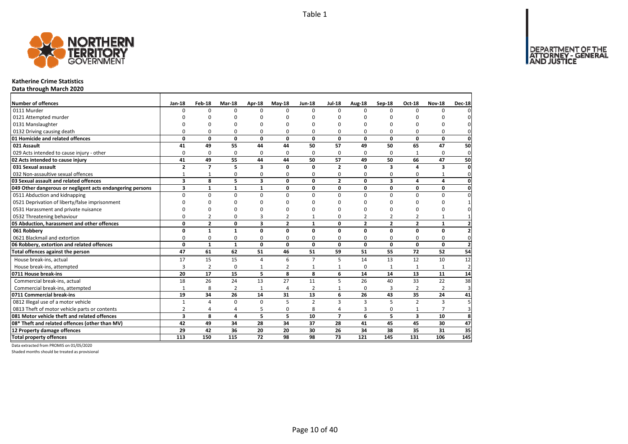

## **Katherine Crime Statistics**

**Data through March 2020**

| Number of offences                                        | Jan-18                  | Feb-18         | Mar-18         | Apr-18                  | $May-18$       | <b>Jun-18</b>  | <b>Jul-18</b>  | Aug-18         | Sep-18                  | Oct-18                  | <b>Nov-18</b>  | <b>Dec-18</b>           |
|-----------------------------------------------------------|-------------------------|----------------|----------------|-------------------------|----------------|----------------|----------------|----------------|-------------------------|-------------------------|----------------|-------------------------|
| 0111 Murder                                               | $\Omega$                | $\Omega$       | $\Omega$       | $\Omega$                | $\Omega$       | $\Omega$       | $\Omega$       | $\Omega$       | $\Omega$                | $\Omega$                | $\Omega$       |                         |
| 0121 Attempted murder                                     |                         | n              | n              | n                       |                | $\Omega$       | n              | n              | n                       |                         |                |                         |
| 0131 Manslaughter                                         |                         | O              | O              | $\Omega$                |                | $\Omega$       | O              | O              | $\Omega$                |                         | O              |                         |
| 0132 Driving causing death                                | $\Omega$                | 0              | $\Omega$       | $\Omega$                |                | $\Omega$       | 0              | O              | $\Omega$                |                         | $\Omega$       |                         |
| 01 Homicide and related offences                          | 0                       | 0              | $\mathbf 0$    | $\mathbf{0}$            | 0              | 0              | 0              | 0              | $\mathbf 0$             | 0                       | 0              | $\mathbf 0$             |
| 021 Assault                                               | 41                      | 49             | 55             | 44                      | 44             | 50             | 57             | 49             | 50                      | 65                      | 47             | 50                      |
| 029 Acts intended to cause injury - other                 | $\Omega$                | $\Omega$       | $\mathbf 0$    | $\Omega$                | $\Omega$       | $\Omega$       | 0              | $\Omega$       | $\Omega$                |                         | $\Omega$       | $\mathbf{0}$            |
| 02 Acts intended to cause injury                          | 41                      | 49             | 55             | 44                      | 44             | 50             | 57             | 49             | 50                      | 66                      | 47             | 50                      |
| 031 Sexual assault                                        | $\overline{2}$          | $\overline{7}$ | 5              | $\overline{\mathbf{3}}$ | O              | $\Omega$       | $\overline{2}$ | $\Omega$       | $\overline{\mathbf{3}}$ | $\lambda$               | 3              | $\Omega$                |
| 032 Non-assaultive sexual offences                        | $\mathbf{1}$            | $\mathbf{1}$   | 0              | 0                       | $\Omega$       | 0              | 0              | 0              | $\Omega$                | $\Omega$                | $\mathbf{1}$   | $\Omega$                |
| 03 Sexual assault and related offences                    | 3                       | 8              | 5              | $\overline{\mathbf{3}}$ | $\Omega$       | 0              | $\overline{2}$ | 0              | $\overline{\mathbf{3}}$ | 4                       | 4              | 0                       |
| 049 Other dangerous or negligent acts endangering persons | 3                       | $\mathbf{1}$   | $\mathbf{1}$   | $\mathbf{1}$            | 0              | 0              | 0              | 0              | 0                       | 0                       | 0              | 0                       |
| 0511 Abduction and kidnapping                             | $\Omega$                | $\Omega$       | $\Omega$       | $\Omega$                | $\Omega$       | $\Omega$       | $\Omega$       | $\Omega$       | $\Omega$                | $\Omega$                | $\Omega$       |                         |
| 0521 Deprivation of liberty/false imprisonment            | $\Omega$                | <sup>0</sup>   | n              | n                       |                | ŋ              | ŋ              | n              | $\Omega$                | n                       | 0              |                         |
| 0531 Harassment and private nuisance                      | $\Omega$                | O              | O              | n                       |                | $\Omega$       | n              | ŋ              | $\Omega$                |                         | 0              |                         |
| 0532 Threatening behaviour                                | $\Omega$                | $\overline{2}$ | 0              | 3                       | 2              |                | 0              | $\overline{2}$ | $\overline{2}$          | $\overline{2}$          | $\mathbf{1}$   |                         |
| 05 Abduction, harassment and other offences               | 0                       | $\overline{2}$ | 0              | $\overline{\mathbf{3}}$ | $\overline{2}$ | $\mathbf{1}$   | 0              | $\overline{2}$ | $\overline{2}$          | $\mathbf{z}$            | $\mathbf{1}$   | $\overline{\mathbf{z}}$ |
| 061 Robbery                                               | 0                       | $\mathbf{1}$   | $\mathbf{1}$   | $\mathbf{0}$            | $\Omega$       | $\Omega$       | $\Omega$       | 0              | $\mathbf 0$             | $\Omega$                | 0              |                         |
| 0621 Blackmail and extortion                              | 0                       | 0              | 0              | 0                       | 0              | 0              | 0              | 0              | 0                       | 0                       | 0              | 0                       |
| 06 Robbery, extortion and related offences                | $\mathbf{0}$            | $\mathbf{1}$   | $\mathbf{1}$   | $\mathbf 0$             | $\Omega$       | $\mathbf{0}$   | 0              | $\mathbf{0}$   | $\mathbf{0}$            | $\mathbf{0}$            | $\mathbf{0}$   | $\overline{2}$          |
| Total offences against the person                         | 47                      | 61             | 62             | 51                      | 46             | 51             | 59             | 51             | 55                      | 72                      | 52             | 54                      |
| House break-ins, actual                                   | 17                      | 15             | 15             | $\overline{4}$          | 6              | $\overline{7}$ | 5              | 14             | 13                      | 12                      | 10             | 12                      |
| House break-ins, attempted                                | 3                       | $\overline{2}$ | $\mathbf 0$    | $\mathbf{1}$            | 2              | $\mathbf{1}$   | $\mathbf{1}$   | $\Omega$       | $\overline{1}$          |                         | 1              | $\overline{2}$          |
| 0711 House break-ins                                      | 20                      | 17             | 15             | 5                       | 8              | 8              | 6              | 14             | 14                      | 13                      | 11             | 14                      |
| Commercial break-ins, actual                              | 18                      | 26             | 24             | 13                      | 27             | 11             | 5              | 26             | 40                      | 33                      | 22             | 38                      |
| Commercial break-ins, attempted                           | $\mathbf{1}$            | 8              | $\overline{2}$ | $\mathbf{1}$            | 4              | $\overline{2}$ | 1              | 0              | 3                       | 2                       | $\overline{2}$ | 3                       |
| 0711 Commercial break-ins                                 | 19                      | 34             | 26             | 14                      | 31             | 13             | 6              | 26             | 43                      | 35                      | 24             | 41                      |
| 0812 Illegal use of a motor vehicle                       | $\mathbf{1}$            | 4              | 0              | $\mathbf 0$             | 5              | $\overline{2}$ | 3              | 3              | 5                       | $\overline{2}$          | 3              |                         |
| 0813 Theft of motor vehicle parts or contents             | $\overline{2}$          | 4              | 4              | 5                       | $\Omega$       | 8              | 4              | 3              | 0                       | $\mathbf{1}$            | $\overline{7}$ | 3                       |
| 081 Motor vehicle theft and related offences              | $\overline{\mathbf{3}}$ | 8              | 4              | 5                       | 5              | 10             | $\overline{ }$ | 6              | 5                       | $\overline{\mathbf{3}}$ | 10             | 8                       |
| 08* Theft and related offences (other than MV)            | 42                      | 49             | 34             | 28                      | 34             | 37             | 28             | 41             | 45                      | 45                      | 30             | 47                      |
| 12 Property damage offences                               | 29                      | 42             | 36             | 20                      | 20             | 30             | 26             | 34             | 38                      | 35                      | 31             | 35                      |
| <b>Total property offences</b>                            | 113                     | 150            | 115            | 72                      | 98             | 98             | 73             | 121            | 145                     | 131                     | 106            | 145                     |

Data extracted from PROMIS on 01/05/2020

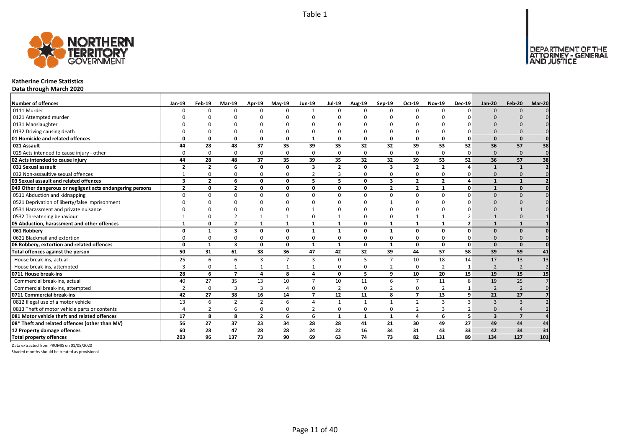

## **Katherine Crime Statistics**

**Data through March 2020**

| Number of offences                                        | Jan-19                  | Feb-19         | <b>Mar-19</b>  | Apr-19         | <b>Mav-19</b>  | <b>Jun-19</b>           | <b>Jul-19</b>  | Aug-19       | Sep-19                  | Oct-19          | <b>Nov-19</b>  | <b>Dec-19</b>  | <b>Jan-20</b>  | Feb-20          | Mar-20         |
|-----------------------------------------------------------|-------------------------|----------------|----------------|----------------|----------------|-------------------------|----------------|--------------|-------------------------|-----------------|----------------|----------------|----------------|-----------------|----------------|
| 0111 Murder                                               |                         |                | $\Omega$       | $\Omega$       | $\Omega$       |                         | $\Omega$       | $\Omega$     | $\Omega$                | $\Omega$        | $\Omega$       | $\Omega$       | $\Omega$       | $\Omega$        |                |
| 0121 Attempted murder                                     |                         |                |                |                |                |                         |                |              |                         |                 |                |                |                |                 |                |
| 0131 Manslaughter                                         |                         |                |                |                |                |                         |                |              |                         |                 |                |                |                |                 |                |
| 0132 Driving causing death                                |                         |                |                | $\Omega$       | O              |                         |                | O            | $\Omega$                | O               |                |                |                |                 |                |
| 01 Homicide and related offences                          | O                       | O              | 0              | $\mathbf{0}$   | $\mathbf{0}$   | $\mathbf 1$             | 0              | 0            | $\mathbf{0}$            | 0               | $\Omega$       | 0              | $\Omega$       | $\Omega$        |                |
| 021 Assault                                               | 44                      | 28             | 48             | 37             | 35             | 39                      | 35             | 32           | 32                      | 39              | 53             | 52             | 36             | 57              | 38             |
| 029 Acts intended to cause injury - other                 |                         | <sup>0</sup>   | $\Omega$       | $\mathbf 0$    | 0              | $\Omega$                | $\Omega$       | $\Omega$     | $\Omega$                | 0               | $\Omega$       | $\Omega$       | $\Omega$       | $\Omega$        | $\mathbf 0$    |
| 02 Acts intended to cause injury                          | 44                      | 28             | 48             | 37             | 35             | 39                      | 35             | 32           | 32                      | 39              | 53             | 52             | 36             | 57              | 38             |
| 031 Sexual assault                                        | $\overline{2}$          | $\overline{2}$ | 6              | $\mathbf{0}$   | 0              | $\overline{\mathbf{3}}$ | $\overline{2}$ | $\Omega$     | $\overline{\mathbf{3}}$ | $\overline{2}$  | $\overline{2}$ |                | 1              | $\mathbf{1}$    |                |
| 032 Non-assaultive sexual offences                        |                         | O              | $\Omega$       | $\Omega$       | 0              |                         |                | $\Omega$     | $\Omega$                | 0               | $\Omega$       |                | $\Omega$       | $\Omega$        |                |
| 03 Sexual assault and related offences                    | $\overline{\mathbf{3}}$ | $\overline{2}$ | 6              | $\mathbf{0}$   | $\mathbf{0}$   | 5                       | 5              | $\Omega$     | $\overline{\mathbf{3}}$ | $\mathbf{2}$    | $\overline{2}$ | $\mathbf{A}$   | $\mathbf{1}$   | $\mathbf{1}$    |                |
| 049 Other dangerous or negligent acts endangering persons | $\overline{2}$          | 0              | $\overline{2}$ | 0              | 0              | 0                       | 0              | 0            | $\overline{2}$          | $\overline{2}$  | $\mathbf{1}$   | $\mathbf{0}$   | $\mathbf{1}$   | $\Omega$        |                |
| 0511 Abduction and kidnapping                             | $\Omega$                | U              | $\Omega$       | $\Omega$       | $\Omega$       | $\Omega$                | $\Omega$       | $\Omega$     | $\Omega$                | $\Omega$        | $\Omega$       | $\Omega$       | $\Omega$       | $\Omega$        |                |
| 0521 Deprivation of liberty/false imprisonment            |                         |                | $\Omega$       | n              | ŋ              |                         |                | n            |                         | U               |                |                | $\Omega$       |                 |                |
| 0531 Harassment and private nuisance                      |                         |                | $\Omega$       | $\Omega$       | O              |                         |                | n            |                         | O               |                |                |                |                 |                |
| 0532 Threatening behaviour                                |                         |                | 2              | $\mathbf{1}$   | $\mathbf{1}$   |                         |                | 0            | $\Omega$                | $\mathbf{1}$    |                |                |                |                 |                |
| 05 Abduction, harassment and other offences               | $\mathbf{1}$            | O              | $\overline{2}$ | $\mathbf{1}$   | $\mathbf{1}$   | 1                       | 1              | 0            | $\mathbf{1}$            | $\mathbf{1}$    | $\mathbf{1}$   | $\overline{2}$ | $\mathbf{1}$   | $\mathbf{1}$    |                |
| 061 Robbery                                               | O                       | $\mathbf{1}$   | 3              | 0              | 0              | 1                       | $\mathbf{1}$   | 0            | $\mathbf{1}$            | 0               | 0              | $\Omega$       | $\Omega$       | $\Omega$        |                |
| 0621 Blackmail and extortion                              |                         |                | $\Omega$       | $\mathbf 0$    | 0              | $\Omega$                | 0              | $\Omega$     | 0                       | 0               | $\Omega$       |                | $\Omega$       |                 |                |
| 06 Robbery, extortion and related offences                | $\Omega$                | $\mathbf{1}$   | 3              | $\mathbf 0$    | $\mathbf 0$    | $\mathbf{1}$            | $\mathbf{1}$   | 0            | $\mathbf{1}$            | 0               | 0              | 0              | $\Omega$       | $\Omega$        |                |
| Total offences against the person                         | 50                      | 31             | 61             | 38             | 36             | 47                      | 42             | 32           | 39                      | 44              | 57             | 58             | 39             | 59              | 41             |
| House break-ins, actual                                   | 25                      | 6              | 6              | 3              | $\overline{7}$ | 3                       | $\Omega$       | 5            | $\overline{7}$          | 10              | 18             | 14             | 17             | 13              | 13             |
| House break-ins, attempted                                | 3                       | n              |                | $\mathbf{1}$   | 1              |                         | 0              | $\Omega$     | $\overline{2}$          | 0               | $\overline{2}$ |                | $\overline{2}$ | $\overline{2}$  | $\overline{2}$ |
| 0711 House break-ins                                      | 28                      | 6              | $\overline{ }$ | $\overline{a}$ | 8              | 4                       | 0              | 5            | 9                       | 10              | 20             | 15             | 19             | 15              | 15             |
| Commercial break-ins, actual                              | 40                      | 27             | 35             | 13             | 10             | $\overline{7}$          | 10             | 11           | 6                       | $\overline{7}$  | 11             | 8              | 19             | 25              |                |
| Commercial break-ins, attempted                           |                         | <sup>0</sup>   | 3              | 3              | 4              | $\Omega$                | $\overline{2}$ | $\Omega$     | $\overline{2}$          | 0               | $\overline{2}$ |                | $\overline{2}$ | $\overline{2}$  |                |
| 0711 Commercial break-ins                                 | 42                      | 27             | 38             | 16             | 14             | $\overline{7}$          | 12             | 11           | 8                       | $\overline{7}$  | 13             | 9              | 21             | 27              |                |
| 0812 Illegal use of a motor vehicle                       | 13                      | 6              | $\mathcal{P}$  | $\overline{2}$ | 6              | $\Delta$                |                | $\mathbf{1}$ | $\mathbf{1}$            | $\overline{2}$  | 3              | ₹              | $\mathbf{3}$   | $\mathbf{B}$    |                |
| 0813 Theft of motor vehicle parts or contents             |                         |                | 6              | $\mathbf 0$    | 0              | $\overline{2}$          | 0              | $\Omega$     | 0                       | 2               |                |                | $\Omega$       |                 |                |
| 081 Motor vehicle theft and related offences              | 17                      | $\mathbf{a}$   | 8              | $\overline{2}$ | 6              | 6                       | $\mathbf{1}$   | $\mathbf{1}$ | $\mathbf{1}$            | 4               | 6              | 5              | $\overline{3}$ | $\overline{7}$  |                |
| 08* Theft and related offences (other than MV)            | 56                      | 27             | 37             | 23             | 34             | 28                      | 28             | 41           | 21                      | 30              | 49             | 27             | 49             | 44              | 44             |
| 12 Property damage offences                               | 60                      | 28             | 47             | 28             | 28             | 24                      | 22             | 16           | 34                      | 31              | 43             | 33             | 42             | 34              | 31             |
| <b>Total property offences</b>                            | 203                     | 96             | 137            | 73             | 90             | 69                      | 63             | 74           | 73                      | $\overline{82}$ | 131            | 89             | 134            | $\frac{127}{2}$ | 101            |

Data extracted from PROMIS on 01/05/2020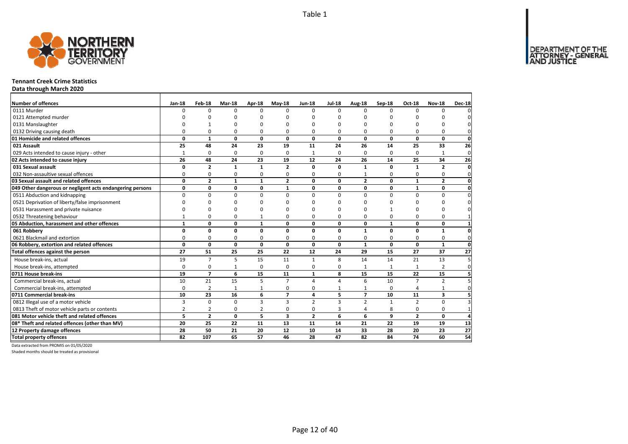DEPARTMENT OF THE<br>ATTORNEY - GENERAL<br>AND JUSTICE



#### **Tennant Creek Crime Statistics**

**Data through March 2020**

| Number of offences                                        | $Jan-18$        | Feb-18         | Mar-18       | Apr-18          | $May-18$                | <b>Jun-18</b>  | <b>Jul-18</b> |                    | Sep-18       | Oct-18          | <b>Nov-18</b>  | <b>Dec-18</b>   |
|-----------------------------------------------------------|-----------------|----------------|--------------|-----------------|-------------------------|----------------|---------------|--------------------|--------------|-----------------|----------------|-----------------|
| 0111 Murder                                               | $\Omega$        | $\Omega$       | 0            | $\Omega$        | $\Omega$                | $\Omega$       | <sup>0</sup>  | Aug-18<br>$\Omega$ | $\Omega$     | $\Omega$        | $\Omega$       |                 |
| 0121 Attempted murder                                     |                 | O              | O            | C               |                         | O              | ŋ             | ŋ                  | O            |                 |                |                 |
| 0131 Manslaughter                                         |                 |                | 0            | $\Omega$        |                         | O              | ŋ             | 0                  | O            |                 | ŋ              |                 |
| 0132 Driving causing death                                | $\Omega$        | 0              | 0            | 0               | O                       | O              | 0             | 0                  | 0            | O               | 0              | O               |
| 01 Homicide and related offences                          | 0               | $\mathbf{1}$   | $\mathbf 0$  | $\mathbf{0}$    | 0                       | 0              | 0             | 0                  | $\mathbf{0}$ | $\mathbf{0}$    | $\mathbf{0}$   | $\mathbf 0$     |
| 021 Assault                                               | 25              | 48             | 24           | 23              | 19                      | 11             | 24            | 26                 | 14           | 25              | 33             | 26              |
| 029 Acts intended to cause injury - other                 | $\mathbf{1}$    | 0              | 0            | 0               | 0                       | $\mathbf{1}$   | 0             | 0                  | 0            | 0               | $\mathbf{1}$   | $\overline{0}$  |
| 02 Acts intended to cause injury                          | 26              | 48             | 24           | 23              | 19                      | 12             | 24            | 26                 | 14           | 25              | 34             | 26              |
| 031 Sexual assault                                        | 0               | $\overline{2}$ | $\mathbf{1}$ | $\mathbf{1}$    | $\overline{2}$          | $\Omega$       | $\Omega$      | 1                  | $\mathbf 0$  | 1               | $\overline{2}$ | $\mathbf{0}$    |
| 032 Non-assaultive sexual offences                        | $\Omega$        | 0              | 0            | $\Omega$        | $\Omega$                | 0              | 0             | 1                  | $\Omega$     | $\Omega$        | 0              | $\Omega$        |
| 03 Sexual assault and related offences                    | 0               | $\overline{2}$ | $\mathbf{1}$ | $\mathbf{1}$    | $\mathbf{2}$            | 0              | 0             | $\overline{2}$     | 0            | $\mathbf{1}$    | $\overline{2}$ | 0               |
| 049 Other dangerous or negligent acts endangering persons | 0               | 0              | 0            | $\mathbf 0$     | 1                       | 0              | 0             | 0                  | $\mathbf 0$  | $\mathbf{1}$    | 0              | $\mathbf 0$     |
| 0511 Abduction and kidnapping                             | 0               | 0              | 0            | 0               | $\Omega$                | $\Omega$       | 0             | $\Omega$           | 0            | $\Omega$        | 0              | $\Omega$        |
| 0521 Deprivation of liberty/false imprisonment            | $\Omega$        | $\Omega$       | O            | $\Omega$        |                         | ŋ              | n             | ŋ                  | O            |                 | O              |                 |
| 0531 Harassment and private nuisance                      | n               | 0              | 0            | $\Omega$        |                         | n              | n             | ŋ                  |              |                 | O              |                 |
| 0532 Threatening behaviour                                |                 | $\Omega$       | 0            | $\mathbf{1}$    |                         | $\Omega$       | 0             | 0                  | $\Omega$     | O               | $\Omega$       |                 |
| 05 Abduction, harassment and other offences               | $\mathbf{1}$    | 0              | 0            | $\mathbf{1}$    | 0                       | 0              | 0             | 0                  | $\mathbf{1}$ | 0               | 0              | $\mathbf{1}$    |
| 061 Robbery                                               | 0               | 0              | $\mathbf 0$  | $\mathbf 0$     | $\Omega$                | $\Omega$       | $\Omega$      | $\mathbf{1}$       | $\mathbf 0$  | $\Omega$        | $\mathbf{1}$   | $\Omega$        |
| 0621 Blackmail and extortion                              | $\Omega$        | 0              | 0            | 0               | $\Omega$                | 0              | 0             | 0                  | 0            | $\Omega$        | 0              | $\mathbf{0}$    |
| 06 Robbery, extortion and related offences                | $\mathbf{0}$    | 0              | $\mathbf 0$  | $\mathbf{0}$    | 0                       | $\mathbf{0}$   | 0             | $\mathbf{1}$       | $\mathbf{0}$ | $\mathbf 0$     | $\mathbf{1}$   | $\mathbf 0$     |
| Total offences against the person                         | $\overline{27}$ | 51             | 25           | $\overline{25}$ | 22                      | 12             | 24            | 29                 | 15           | 27              | 37             | $\overline{27}$ |
| House break-ins, actual                                   | 19              | $\overline{7}$ | 5            | 15              | 11                      | $\mathbf{1}$   | 8             | 14                 | 14           | 21              | 13             |                 |
| House break-ins, attempted                                | $\Omega$        | 0              | $\mathbf{1}$ | $\mathbf 0$     | $\Omega$                | $\Omega$       | 0             | 1                  | $\mathbf{1}$ |                 | $\overline{2}$ | $\mathbf{0}$    |
| 0711 House break-ins                                      | 19              | $\overline{z}$ | 6            | 15              | 11                      | $\mathbf{1}$   | 8             | 15                 | 15           | 22              | 15             |                 |
| Commercial break-ins, actual                              | 10              | 21             | 15           | 5               | $\overline{7}$          | $\Delta$       | 4             | 6                  | 10           | $\overline{7}$  | $\overline{2}$ |                 |
| Commercial break-ins, attempted                           | $\Omega$        | $\overline{2}$ | 1            | 1               | $\Omega$                | 0              | 1             |                    | 0            | $\overline{a}$  | 1              | 0               |
| 0711 Commercial break-ins                                 | 10              | 23             | 16           | 6               | $\overline{7}$          | 4              | 5             | $\overline{7}$     | 10           | 11              | 3              | 5               |
| 0812 Illegal use of a motor vehicle                       | 3               | $\Omega$       | $\mathbf 0$  | $\overline{3}$  | $\overline{\mathbf{3}}$ | $\overline{2}$ | 3             | $\overline{2}$     | $\mathbf{1}$ | $\overline{2}$  | 0              |                 |
| 0813 Theft of motor vehicle parts or contents             | $\overline{2}$  | $\overline{2}$ | 0            | $\overline{2}$  | $\Omega$                | 0              | 3             | 4                  | 8            | $\Omega$        | 0              | $\mathbf 1$     |
| 081 Motor vehicle theft and related offences              | 5               | $\overline{2}$ | 0            | 5               | $\overline{\mathbf{3}}$ | $\overline{2}$ | 6             | 6                  | 9            | $\mathbf{z}$    | 0              | Δ               |
| 08* Theft and related offences (other than MV)            | 20              | 25             | 22           | 11              | 13                      | 11             | 14            | 21                 | 22           | 19              | 19             | 13              |
| 12 Property damage offences                               | 28              | 50             | 21           | 20              | 12                      | 10             | 14            | 33                 | 28           | 20              | 23             | $\overline{27}$ |
| <b>Total property offences</b>                            | 82              | 107            | 65           | 57              | 46                      | 28             | 47            | 82                 | 84           | $\overline{74}$ | 60             | 54              |

Data extracted from PROMIS on 01/05/2020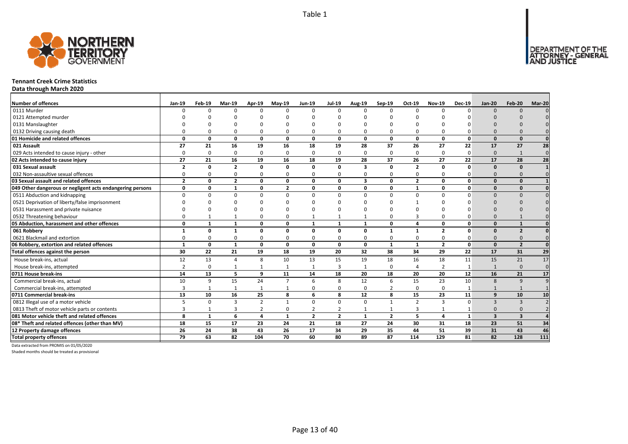

#### **Tennant Creek Crime Statistics**

**Data through March 2020**

| <b>Number of offences</b>                                 | Jan-19         | Feb-19       | Mar-19         | Apr-19         | $Mav-19$       | <b>Jun-19</b>  | <b>Jul-19</b>  | Aug-19       | Sep-19         | Oct-19         | <b>Nov-19</b>  | <b>Dec-19</b> | <b>Jan-20</b>           | <b>Feb-20</b>            | Mar-20   |
|-----------------------------------------------------------|----------------|--------------|----------------|----------------|----------------|----------------|----------------|--------------|----------------|----------------|----------------|---------------|-------------------------|--------------------------|----------|
| 0111 Murder                                               | n              | $\Omega$     | $\Omega$       | $\Omega$       | $\Omega$       | $\Omega$       | $\Omega$       | $\Omega$     | $\Omega$       | $\Omega$       | $\Omega$       | $\Omega$      | $\Omega$                | $\Omega$                 |          |
| 0121 Attempted murder                                     |                |              |                |                |                |                |                |              |                |                |                |               |                         |                          |          |
| 0131 Manslaughter                                         |                |              |                |                | ŋ              |                |                |              |                |                |                |               |                         |                          |          |
| 0132 Driving causing death                                |                |              |                | $\Omega$       | $\Omega$       |                |                | $\Omega$     | $\Omega$       | 0              |                |               |                         |                          |          |
| 01 Homicide and related offences                          | $\Omega$       | 0            | $\Omega$       | $\mathbf{0}$   | 0              | $\mathbf{0}$   | 0              | 0            | $\mathbf{0}$   | 0              | 0              | $\mathbf 0$   | $\Omega$                | $\Omega$                 |          |
| 021 Assault                                               | 27             | 21           | 16             | 19             | 16             | 18             | 19             | 28           | 37             | 26             | 27             | 22            | 17                      | 27                       | 28       |
| 029 Acts intended to cause injury - other                 | $\Omega$       | $\Omega$     | $\Omega$       | 0              | $\mathbf 0$    | $\Omega$       | $\Omega$       | $\Omega$     | 0              | 0              | $\Omega$       | $\Omega$      | $\mathbf{0}$            | $\mathbf{1}$             | $\Omega$ |
| 02 Acts intended to cause injury                          | 27             | 21           | 16             | 19             | 16             | 18             | 19             | 28           | 37             | 26             | 27             | 22            | 17                      | 28                       | 28       |
| 031 Sexual assault                                        | $\overline{2}$ | 0            | $\overline{2}$ | $\mathbf{0}$   | 0              | 0              | 0              | 3            | $\mathbf{0}$   | $\overline{2}$ | 0              | $\Omega$      | $\Omega$                | $\Omega$                 |          |
| 032 Non-assaultive sexual offences                        | $\Omega$       | <sup>0</sup> | $\Omega$       | $\Omega$       | $\mathbf 0$    | $\Omega$       | 0              | $\Omega$     | $\Omega$       | 0              | $\Omega$       | ŋ             | $\Omega$                |                          |          |
| 03 Sexual assault and related offences                    | $\overline{2}$ | $\Omega$     | $\overline{2}$ | $\mathbf{0}$   | 0              | $\Omega$       | $\Omega$       | 3            | $\mathbf{0}$   | $\overline{2}$ | 0              | $\Omega$      | $\Omega$                | $\Omega$                 |          |
| 049 Other dangerous or negligent acts endangering persons | 0              | $\Omega$     | $\mathbf{1}$   | 0              | $\overline{2}$ | $\Omega$       | O              | 0            | 0              | $\mathbf{1}$   | 0              | $\Omega$      | $\Omega$                | $\Omega$                 |          |
| 0511 Abduction and kidnapping                             | $\Omega$       | O            | n              | $\Omega$       | $\Omega$       | $\Omega$       | O              | $\Omega$     | $\Omega$       | $\Omega$       | $\Omega$       | O             | $\Omega$                | $\Omega$                 |          |
| 0521 Deprivation of liberty/false imprisonment            |                |              |                |                | n              |                |                | n            |                |                |                |               |                         |                          |          |
| 0531 Harassment and private nuisance                      |                |              |                |                | ŋ              |                |                | n            |                |                |                |               |                         |                          |          |
| 0532 Threatening behaviour                                |                |              |                | $\Omega$       | 0              |                |                |              | $\Omega$       | 3              |                |               |                         |                          |          |
| 05 Abduction, harassment and other offences               | 0              | $\mathbf{1}$ | $\mathbf{1}$   | $\mathbf{0}$   | 0              | $\mathbf{1}$   | 1              | $\mathbf{1}$ | $\mathbf{0}$   | 4              | 0              | O             | $\Omega$                | $\mathbf{1}$             |          |
| 061 Robbery                                               |                | $\Omega$     |                | Ω              | 0              | $\Omega$       | O              | O            | $\mathbf{1}$   | $\mathbf{1}$   | $\overline{2}$ | ŋ             | n                       | $\overline{\phantom{a}}$ |          |
| 0621 Blackmail and extortion                              |                | O            |                | $\Omega$       | 0              | 0              | ŋ              | $\Omega$     | $\Omega$       | 0              |                |               | $\Omega$                |                          |          |
| 06 Robbery, extortion and related offences                | $\mathbf{1}$   | 0            | 1              | $\mathbf{0}$   | 0              | $\mathbf{0}$   | 0              | 0            | $\mathbf{1}$   | $\mathbf{1}$   | $\overline{2}$ | $\mathbf 0$   | $\Omega$                | $\overline{2}$           | $\Omega$ |
| Total offences against the person                         | 30             | 22           | 21             | 19             | 18             | 19             | 20             | 32           | 38             | 34             | 29             | 22            | 17                      | 31                       | 29       |
| House break-ins, actual                                   | 12             | 13           | 4              | 8              | 10             | 13             | 15             | 19           | 18             | 16             | 18             | 11            | 15                      | 21                       | 17       |
| House break-ins, attempted                                | $\overline{2}$ | $\Omega$     |                | $\mathbf{1}$   | $\mathbf{1}$   | $\mathbf{1}$   | 3              | $\mathbf{1}$ | $\mathbf 0$    | 4              | $\overline{2}$ | 1             | $\mathbf{1}$            | $\Omega$                 | $\Omega$ |
| 0711 House break-ins                                      | 14             | 13           | 5.             | 9              | 11             | 14             | 18             | 20           | 18             | 20             | 20             | 12            | 16                      | 21                       | 17       |
| Commercial break-ins, actual                              | 10             | 9            | 15             | 24             | $\overline{7}$ | 6              | 8              | 12           | 6              | 15             | 23             | 10            | 8                       | 9                        |          |
| Commercial break-ins, attempted                           |                |              |                | $\mathbf{1}$   | 1              | 0              | 0              | $\Omega$     | $\overline{2}$ | 0              | $\Omega$       |               |                         |                          |          |
| 0711 Commercial break-ins                                 | 13             | 10           | 16             | 25             | 8              | 6              | 8              | 12           | 8              | 15             | 23             | 11            | 9                       | 10                       | 10       |
| 0812 Illegal use of a motor vehicle                       |                | $\Omega$     | $\mathbf{R}$   | $\overline{2}$ | $\mathbf{1}$   | 0              | $\Omega$       | $\Omega$     | $\mathbf{1}$   | $\overline{2}$ | 3              | $\Omega$      | $\overline{3}$          | $\mathbf{3}$             |          |
| 0813 Theft of motor vehicle parts or contents             |                |              | 3              | $\overline{2}$ | 0              | $\overline{2}$ | 2              |              | 1              | 3              |                |               | $\Omega$                |                          |          |
| 081 Motor vehicle theft and related offences              | 8              | $\mathbf{1}$ | 6              | $\overline{a}$ | $\mathbf{1}$   | $\overline{2}$ | $\overline{2}$ | $\mathbf{1}$ | $\overline{2}$ | 5              | 4              | $\mathbf{1}$  | $\overline{\mathbf{3}}$ | $\overline{\mathbf{3}}$  |          |
| 08* Theft and related offences (other than MV)            | 18             | 15           | 17             | 23             | 24             | 21             | 18             | 27           | 24             | 30             | 31             | 18            | 23                      | 51                       | 34       |
| 12 Property damage offences                               | 26             | 24           | 38             | 43             | 26             | 17             | 34             | 29           | 35             | 44             | 51             | 39            | 31                      | 43                       | 46       |
| <b>Total property offences</b>                            | 79             | 63           | 82             | 104            | 70             | 60             | 80             | 89           | 87             | 114            | 129            | 81            | 82                      | 128                      | 111      |

Data extracted from PROMIS on 01/05/2020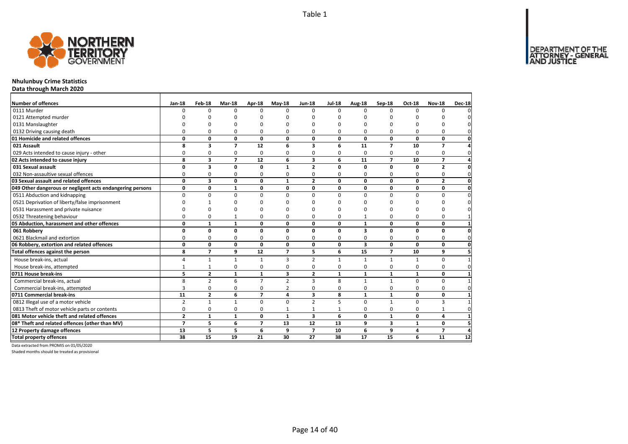

## **Nhulunbuy Crime Statistics**

**Data through March 2020**

| Number of offences                                        | Jan-18         | Feb-18                  | Mar-18         | Apr-18         | $May-18$       | <b>Jun-18</b>  | <b>Jul-18</b> | Aug-18                  | Sep-18                   | Oct-18       | <b>Nov-18</b>  | Dec-18          |
|-----------------------------------------------------------|----------------|-------------------------|----------------|----------------|----------------|----------------|---------------|-------------------------|--------------------------|--------------|----------------|-----------------|
| 0111 Murder                                               | $\Omega$       | $\Omega$                | $\Omega$       | $\Omega$       | $\Omega$       | $\Omega$       | $\Omega$      | $\Omega$                | $\Omega$                 | $\Omega$     | $\Omega$       |                 |
| 0121 Attempted murder                                     |                | n                       | n              | n              |                | n              |               | n                       |                          |              |                |                 |
| 0131 Manslaughter                                         |                | O                       | ŋ              | O              |                | O              | ŋ             | ŋ                       |                          |              |                |                 |
| 0132 Driving causing death                                | $\Omega$       | 0                       | $\Omega$       | $\Omega$       | 0              | $\Omega$       | 0             | O                       | $\Omega$                 | O            | $\Omega$       |                 |
| 01 Homicide and related offences                          | 0              | 0                       | $\mathbf 0$    | $\mathbf 0$    | 0              | 0              | 0             | $\mathbf{0}$            | $\mathbf 0$              | $\mathbf 0$  | 0              | 0               |
| 021 Assault                                               | 8              | $\overline{\mathbf{3}}$ | $\overline{7}$ | 12             | 6              | 3              | 6             | 11                      | $\overline{ }$           | 10           | $\overline{z}$ |                 |
| 029 Acts intended to cause injury - other                 | 0              | 0                       | 0              | $\Omega$       | $\Omega$       | $\Omega$       | 0             | $\Omega$                | $\Omega$                 | $\Omega$     | 0              | $\Omega$        |
| 02 Acts intended to cause injury                          | 8              | 3                       | $\overline{7}$ | 12             | 6              | 3              | 6             | 11                      | $\overline{\phantom{a}}$ | 10           | $\overline{7}$ |                 |
| 031 Sexual assault                                        | O              | 3                       | 0              | $\mathbf 0$    | 1              | $\overline{2}$ | 0             | 0                       | $\mathbf 0$              | n            | $\overline{2}$ |                 |
| 032 Non-assaultive sexual offences                        | $\Omega$       | 0                       | 0              | 0              | 0              | 0              | 0             | 0                       | $\Omega$                 | $\Omega$     | 0              |                 |
| 03 Sexual assault and related offences                    | $\mathbf{0}$   | $\overline{\mathbf{3}}$ | $\mathbf{0}$   | $\mathbf{0}$   | $\mathbf{1}$   | $\overline{2}$ | 0             | $\mathbf{0}$            | $\mathbf{0}$             | 0            | $\overline{2}$ | 0               |
| 049 Other dangerous or negligent acts endangering persons | 0              | 0                       | $\mathbf{1}$   | $\mathbf 0$    | 0              | 0              | 0             | 0                       | 0                        | 0            | 0              | $\mathbf{0}$    |
| 0511 Abduction and kidnapping                             | $\Omega$       | 0                       | $\Omega$       | $\Omega$       | $\Omega$       | $\Omega$       | 0             | $\Omega$                | $\Omega$                 | $\Omega$     | $\Omega$       | 0               |
| 0521 Deprivation of liberty/false imprisonment            | ŋ              | 1                       | n              | n              |                | n              | n             | ŋ                       | n                        |              | O              |                 |
| 0531 Harassment and private nuisance                      | ŋ              | ŋ                       | O              | n              |                | ŋ              | n             | ŋ                       | n                        |              | O              |                 |
| 0532 Threatening behaviour                                | $\Omega$       | 0                       | $\mathbf{1}$   | $\Omega$       |                | $\Omega$       | 0             |                         | $\Omega$                 | n            | $\Omega$       |                 |
| 05 Abduction, harassment and other offences               | 0              | $\mathbf{1}$            | $\mathbf{1}$   | $\mathbf{0}$   | 0              | 0              | 0             | $\mathbf{1}$            | $\mathbf 0$              | 0            | 0              |                 |
| 061 Robbery                                               | 0              | $\mathbf{0}$            | $\mathbf{0}$   | $\mathbf{0}$   | $\Omega$       | 0              | 0             | $\overline{\mathbf{3}}$ | $\mathbf 0$              | $\Omega$     | 0              |                 |
| 0621 Blackmail and extortion                              | <sup>0</sup>   | 0                       | 0              | 0              | <sup>0</sup>   | O              | 0             | 0                       | $\Omega$                 | 0            | $\Omega$       | <sup>0</sup>    |
| 06 Robbery, extortion and related offences                | 0              | 0                       | $\mathbf{0}$   | $\mathbf{0}$   | 0              | 0              | 0             | $\overline{\mathbf{3}}$ | 0                        | $\mathbf{0}$ | 0              | $\mathbf{0}$    |
| Total offences against the person                         | 8              | $\overline{7}$          | 9              | 12             | $\overline{7}$ | 5.             | 6             | 15                      | $\overline{7}$           | 10           | 9              | 5               |
| House break-ins, actual                                   | 4              | $\mathbf{1}$            | $\mathbf{1}$   | $\mathbf{1}$   | 3              | $\overline{2}$ | 1             | $\mathbf{1}$            | $\mathbf{1}$             | 1            | 0              |                 |
| House break-ins, attempted                                | $\mathbf{1}$   | $\mathbf{1}$            | 0              | $\Omega$       | $\Omega$       | $\Omega$       | 0             | $\Omega$                | $\Omega$                 | $\Omega$     | $\Omega$       |                 |
| 0711 House break-ins                                      | 5              | $\overline{2}$          | $\mathbf{1}$   | $\mathbf{1}$   | 3              | $\mathbf{2}$   | $\mathbf{1}$  | $\mathbf{1}$            | $\mathbf{1}$             | $\mathbf{1}$ | 0              |                 |
| Commercial break-ins, actual                              | 8              | $\overline{2}$          | 6              | $\overline{7}$ | $\overline{2}$ | 3              | 8             | $\mathbf{1}$            | $\mathbf{1}$             | $\Omega$     | $\Omega$       |                 |
| Commercial break-ins, attempted                           | 3              | 0                       | 0              | 0              | 2              | $\Omega$       | 0             | $\Omega$                | 0                        | $\Omega$     | $\Omega$       |                 |
| 0711 Commercial break-ins                                 | 11             | $\overline{2}$          | 6              | $\overline{7}$ | 4              | 3              | 8             | $\mathbf{1}$            | $\mathbf{1}$             | 0            | 0              |                 |
| 0812 Illegal use of a motor vehicle                       | $\overline{2}$ | $\mathbf{1}$            | $\mathbf{1}$   | $\Omega$       | $\Omega$       | $\overline{2}$ | 5             | $\Omega$                | $\mathbf{1}$             | $\Omega$     | 3              |                 |
| 0813 Theft of motor vehicle parts or contents             | 0              | 0                       | 0              | $\mathbf 0$    | $\mathbf{1}$   | $\mathbf{1}$   | $\mathbf{1}$  | $\Omega$                | $\mathbf 0$              | $\Omega$     | $\mathbf{1}$   |                 |
| 081 Motor vehicle theft and related offences              | $\overline{2}$ | $\mathbf{1}$            | $\mathbf{1}$   | $\mathbf{0}$   | $\mathbf{1}$   | 3              | 6             | 0                       | $\mathbf{1}$             | 0            | 4              |                 |
| 08* Theft and related offences (other than MV)            | $\overline{7}$ | 5                       | 6              | $\overline{7}$ | 13             | 12             | 13            | 9                       | $\overline{\mathbf{3}}$  | $\mathbf{1}$ | 0              |                 |
| 12 Property damage offences                               | 13             | 5                       | 5              | 6              | 9              | $\overline{ }$ | 10            | 6                       | 9                        | 4            | $\overline{ }$ | Δ               |
| <b>Total property offences</b>                            | 38             | $\overline{15}$         | 19             | 21             | 30             | 27             | 38            | 17                      | 15                       | 6            | 11             | $\overline{12}$ |

Data extracted from PROMIS on 01/05/2020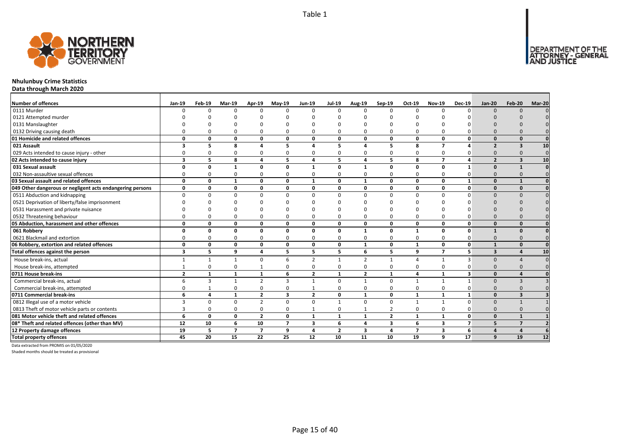

## **Nhulunbuy Crime Statistics**

**Data through March 2020**

| <b>Number of offences</b>                                 | <b>Jan-19</b>           | Feb-19 | <b>Mar-19</b>  | Apr-19              | <b>Mav-19</b>  | <b>Jun-19</b>           | <b>Jul-19</b>  | Aug-19         | Sep-19                  | Oct-19         | <b>Nov-19</b>           | <b>Dec-19</b>  | <b>Jan-20</b>            | <b>Feb-20</b>           | Mar-20   |
|-----------------------------------------------------------|-------------------------|--------|----------------|---------------------|----------------|-------------------------|----------------|----------------|-------------------------|----------------|-------------------------|----------------|--------------------------|-------------------------|----------|
| 0111 Murder                                               |                         |        | $\Omega$       | $\Omega$            | $\Omega$       |                         | $\Omega$       | $\Omega$       | $\Omega$                | $\Omega$       | $\Omega$                | $\Omega$       | $\Omega$                 | $\Omega$                |          |
| 0121 Attempted murder                                     |                         |        |                |                     |                |                         |                |                |                         |                |                         |                |                          |                         |          |
| 0131 Manslaughter                                         |                         |        |                |                     |                |                         |                |                |                         |                |                         |                |                          |                         |          |
| 0132 Driving causing death                                |                         |        |                | $\Omega$            | O              |                         |                | O              | $\Omega$                | O              |                         |                |                          |                         |          |
| 01 Homicide and related offences                          | O                       | O      | 0              | $\mathbf{0}$        | 0              | $\Omega$                | O              | 0              | $\mathbf{0}$            | 0              | $\Omega$                | $\Omega$       | $\Omega$                 | $\Omega$                |          |
| 021 Assault                                               | ર                       | 5      | 8              | $\overline{\bf{4}}$ | 5              |                         | 5              | $\lambda$      | 5                       | 8              | $\overline{ }$          |                | $\overline{2}$           | 3                       | 10       |
| 029 Acts intended to cause injury - other                 |                         |        | $\Omega$       | $\Omega$            | 0              |                         |                | <sup>0</sup>   | $\Omega$                | 0              | $\Omega$                |                | $\Omega$                 | $\Omega$                | $\Omega$ |
| 02 Acts intended to cause injury                          | 3                       | 5      | 8              | $\overline{4}$      | 5              | $\overline{a}$          | 5              | 4              | 5                       | 8              | $\overline{7}$          | 4              | $\overline{\phantom{a}}$ | $\overline{\mathbf{3}}$ | 10       |
| 031 Sexual assault                                        | n                       | n      | -1             | $\Omega$            | 0              | $\mathbf{1}$            | O              | $\mathbf 1$    | $\mathbf{0}$            | 0              | 0                       | 1              | $\Omega$                 | $\mathbf{1}$            |          |
| 032 Non-assaultive sexual offences                        |                         |        | $\Omega$       | $\Omega$            | 0              | 0                       | 0              | $\Omega$       | $\Omega$                | 0              | $\Omega$                | O              | $\Omega$                 | $\Omega$                |          |
| 03 Sexual assault and related offences                    | $\Omega$                | 0      | $\mathbf{1}$   | $\mathbf{0}$        | $\mathbf{0}$   | $\mathbf{1}$            | 0              | $\mathbf{1}$   | $\mathbf{0}$            | 0              | $\Omega$                | $\mathbf{1}$   | $\Omega$                 | $\mathbf{1}$            |          |
| 049 Other dangerous or negligent acts endangering persons | 0                       | 0      | 0              | 0                   | 0              | 0                       | 0              | 0              | 0                       | 0              | 0                       | $\mathbf{0}$   | $\Omega$                 | $\Omega$                |          |
| 0511 Abduction and kidnapping                             | $\Omega$                | n      | $\Omega$       | $\Omega$            | $\Omega$       | $\Omega$                | $\Omega$       | $\Omega$       | $\Omega$                | $\Omega$       | $\Omega$                | $\Omega$       | $\Omega$                 | $\Omega$                |          |
| 0521 Deprivation of liberty/false imprisonment            |                         |        |                |                     | n              |                         |                | n              |                         |                |                         |                |                          |                         |          |
| 0531 Harassment and private nuisance                      |                         |        |                |                     | n              |                         |                | n              |                         |                |                         |                |                          |                         |          |
| 0532 Threatening behaviour                                |                         |        | $\Omega$       | $\Omega$            | $\Omega$       |                         |                | O              | $\Omega$                | $\Omega$       |                         |                |                          |                         |          |
| 05 Abduction, harassment and other offences               | $\Omega$                | n      | 0              | $\mathbf{0}$        | 0              | $\mathbf 0$             | 0              | 0              | $\mathbf{0}$            | 0              | $\Omega$                | $\Omega$       | $\Omega$                 | $\Omega$                |          |
| 061 Robbery                                               | O                       | n      | 0              | 0                   | 0              | 0                       | 0              | $\mathbf{1}$   | 0                       | 1              | $\Omega$                | $\mathbf{0}$   |                          | $\Omega$                |          |
| 0621 Blackmail and extortion                              |                         |        | $\Omega$       | $\mathbf 0$         | 0              | 0                       | 0              | 0              | $\Omega$                | 0              | $\Omega$                |                | $\Omega$                 |                         |          |
| 06 Robbery, extortion and related offences                | $\Omega$                | 0      | 0              | $\mathbf 0$         | $\mathbf 0$    | 0                       | 0              | $\mathbf{1}$   | 0                       | 1              | 0                       | $\mathbf{0}$   |                          | $\Omega$                |          |
| Total offences against the person                         | $\overline{\mathbf{3}}$ | 5.     | 9              | $\overline{a}$      | 5              | 5                       | 5              | 6              | 5                       | 9              | $\overline{ }$          | 5              | $\overline{3}$           | $\boldsymbol{\Lambda}$  | 10       |
| House break-ins, actual                                   |                         | 1      |                | $\Omega$            | 6              | $\overline{2}$          | 1              | $\mathcal{P}$  | $\mathbf{1}$            | 4              |                         | 3              | $\Omega$                 |                         |          |
| House break-ins, attempted                                |                         | O      | $\Omega$       | $\mathbf{1}$        | 0              | $\Omega$                | 0              | $\Omega$       | $\Omega$                | 0              | $\Omega$                |                | $\Omega$                 |                         |          |
| 0711 House break-ins                                      | $\overline{2}$          |        | $\mathbf{1}$   | $\mathbf{1}$        | 6              | $\overline{2}$          | $\mathbf{1}$   | $\overline{2}$ | $\mathbf{1}$            | 4              |                         | 3              | $\Omega$                 |                         |          |
| Commercial break-ins, actual                              |                         | 3      |                | $\overline{2}$      | 3              |                         | $\Omega$       |                | $\Omega$                | $\overline{1}$ |                         |                | $\Omega$                 | 3                       |          |
| Commercial break-ins, attempted                           |                         |        | $\Omega$       | 0                   | 0              |                         | O              | 0              | $\Omega$                | 0              | $\Omega$                |                | $\Omega$                 | $\Omega$                |          |
| 0711 Commercial break-ins                                 | 6                       | 4      | $\mathbf{1}$   | $\overline{2}$      | 3              | $\overline{2}$          | 0              | $\mathbf{1}$   | $\mathbf 0$             | $\mathbf{1}$   | $\mathbf{1}$            | $\mathbf{1}$   | $\Omega$                 | $\overline{\mathbf{3}}$ |          |
| 0812 Illegal use of a motor vehicle                       | $\mathbf{a}$            | U      | $\Omega$       | $\overline{2}$      | 0              | $\Omega$                |                | $\Omega$       | $\Omega$                | $\mathbf{1}$   |                         | $\Omega$       | $\Omega$                 |                         |          |
| 0813 Theft of motor vehicle parts or contents             |                         |        | 0              | $\mathbf 0$         | 0              | $\mathbf{1}$            | 0              | $\mathbf{1}$   | $\overline{2}$          | 0              | 0                       | 0              | $\Omega$                 | $\Omega$                |          |
| 081 Motor vehicle theft and related offences              | 6                       | 0      | $\Omega$       | $\overline{2}$      | 0              | $\mathbf{1}$            | $\mathbf{1}$   | $\mathbf{1}$   | $\overline{2}$          | $\mathbf{1}$   | $\mathbf{1}$            | $\Omega$       | $\Omega$                 | $\mathbf{1}$            |          |
| 08* Theft and related offences (other than MV)            | 12                      | 10     | 6              | 10                  | $\overline{ }$ | $\overline{\mathbf{3}}$ | 6              | 4              | $\overline{\mathbf{3}}$ | 6              | $\overline{\mathbf{3}}$ | $\overline{7}$ | 5                        | $\overline{7}$          |          |
| 12 Property damage offences                               | 19                      | 5      | $\overline{7}$ | $\overline{7}$      | 9              | 4                       | $\overline{2}$ | 3              | $\overline{a}$          | $\overline{7}$ | 3                       | 6              | $\Delta$                 | $\Delta$                |          |
| <b>Total property offences</b>                            | 45                      | 20     | 15             | 22                  | 25             | 12                      | 10             | 11             | 10                      | 19             | 9                       | 17             | 9                        | 19                      | 12       |

Data extracted from PROMIS on 01/05/2020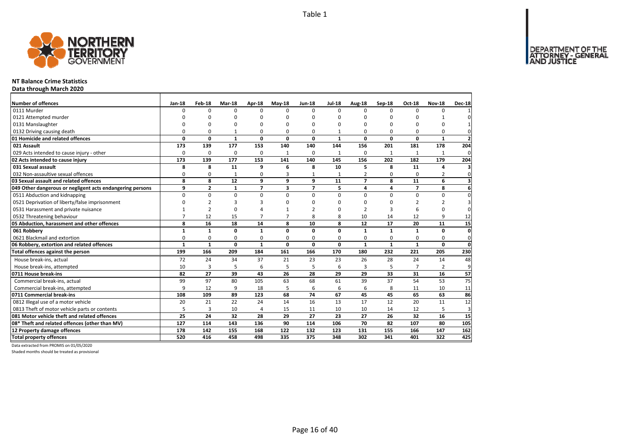

## **NT Balance Crime Statistics**

**Data through March 2020**

| Number of offences                                        | Jan-18         | Feb-18         | Mar-18       | Apr-18         | $May-18$     | <b>Jun-18</b>  | <b>Jul-18</b> | Aug-18                   | Sep-18       | Oct-18         | <b>Nov-18</b>  | <b>Dec-18</b>           |
|-----------------------------------------------------------|----------------|----------------|--------------|----------------|--------------|----------------|---------------|--------------------------|--------------|----------------|----------------|-------------------------|
| 0111 Murder                                               | 0              | 0              | $\Omega$     | $\Omega$       | <sup>n</sup> | $\Omega$       | $\Omega$      | $\Omega$                 | $\Omega$     | $\Omega$       | $\Omega$       |                         |
| 0121 Attempted murder                                     | $\Omega$       | ŋ              | ŋ            | $\Omega$       | ŋ            | O              | n             | ŋ                        | $\Omega$     | ŋ              |                |                         |
| 0131 Manslaughter                                         | 0              | $\Omega$       | 0            | $\Omega$       | ŋ            | O              | C             | $\Omega$                 | $\Omega$     | $\Omega$       | 0              |                         |
| 0132 Driving causing death                                | $\Omega$       | $\Omega$       | $\mathbf{1}$ | $\Omega$       | $\Omega$     | O              | $\mathbf{1}$  | $\Omega$                 | $\Omega$     | $\Omega$       | 0              | $\Omega$                |
| 01 Homicide and related offences                          | 0              | 0              | $\mathbf{1}$ | $\mathbf 0$    | 0            | 0              | $\mathbf{1}$  | 0                        | $\Omega$     | 0              | 1              | $\overline{\mathbf{z}}$ |
| 021 Assault                                               | 173            | 139            | 177          | 153            | 140          | 140            | 144           | 156                      | 201          | 181            | 178            | 204                     |
| 029 Acts intended to cause injury - other                 | $\Omega$       | 0              | 0            | $\Omega$       | $\mathbf{1}$ | 0              | $\mathbf{1}$  | $\Omega$                 | 1            | 1              | $\mathbf{1}$   | $\Omega$                |
| 02 Acts intended to cause injury                          | 173            | 139            | 177          | 153            | 141          | 140            | 145           | 156                      | 202          | 182            | 179            | 204                     |
| 031 Sexual assault                                        | 8              | 8              | 11           | 9              | 6            | 8              | 10            | 5                        | 8            | 11             | 4              | 3                       |
| 032 Non-assaultive sexual offences                        | 0              | 0              | $\mathbf{1}$ | $\mathbf 0$    | 3            | $\mathbf{1}$   | $\mathbf{1}$  | $\overline{2}$           | $\Omega$     | $\Omega$       | 2              | 0                       |
| 03 Sexual assault and related offences                    | 8              | 8              | 12           | 9              | 9            | 9              | 11            | $\overline{\phantom{a}}$ | 8            | 11             | 6              | 3                       |
| 049 Other dangerous or negligent acts endangering persons | 9              | $\overline{2}$ | 1            | $\overline{7}$ | 3            | $\overline{7}$ | 5             | 4                        | 4            | $\overline{7}$ | 8              | 6                       |
| 0511 Abduction and kidnapping                             | $\Omega$       | $\Omega$       | 0            | $\Omega$       | $\Omega$     | $\Omega$       | $\Omega$      | $\Omega$                 | $\Omega$     | $\Omega$       | 0              | $\Omega$                |
| 0521 Deprivation of liberty/false imprisonment            | $\Omega$       | $\overline{2}$ | 3            | 3              | n            | O              | n             | O                        | $\Omega$     | $\overline{2}$ | 2              | 3                       |
| 0531 Harassment and private nuisance                      |                | $\overline{2}$ | $\mathbf 0$  | $\Lambda$      |              | $\mathcal{P}$  | n             | $\mathcal{P}$            | 3            | 6              | 0              | 0                       |
| 0532 Threatening behaviour                                | $\overline{7}$ | 12             | 15           | $\overline{7}$ |              | 8              | 8             | 10                       | 14           | 12             | 9              | 12                      |
| 05 Abduction, harassment and other offences               | 8              | 16             | 18           | 14             | 8            | 10             | 8             | 12                       | 17           | 20             | 11             | 15                      |
| 061 Robbery                                               | $\mathbf{1}$   | $\mathbf{1}$   | 0            | $\mathbf{1}$   | $\Omega$     | 0              | $\Omega$      | $\mathbf{1}$             | $\mathbf{1}$ | $\mathbf{1}$   | 0              | $\Omega$                |
| 0621 Blackmail and extortion                              | 0              | 0              | 0            | 0              | 0            | 0              | 0             | 0                        | 0            | 0              | 0              | 0                       |
| 06 Robbery, extortion and related offences                | $\mathbf{1}$   | $\mathbf{1}$   | $\mathbf 0$  | $\mathbf{1}$   | $\Omega$     | 0              | $\Omega$      | $\mathbf{1}$             | $\mathbf{1}$ | $\mathbf{1}$   | $\mathbf{0}$   | $\mathbf 0$             |
| Total offences against the person                         | 199            | 166            | 209          | 184            | 161          | 166            | 170           | 180                      | 232          | 221            | 205            | 230                     |
| House break-ins, actual                                   | 72             | 24             | 34           | 37             | 21           | 23             | 23            | 26                       | 28           | 24             | 14             | 48                      |
| House break-ins, attempted                                | 10             | 3              | 5            | 6              | 5            | 5              | 6             | 3                        | 5            | $\overline{7}$ | $\overline{2}$ | 9                       |
| 0711 House break-ins                                      | 82             | 27             | 39           | 43             | 26           | 28             | 29            | 29                       | 33           | 31             | 16             | 57                      |
| Commercial break-ins, actual                              | 99             | 97             | 80           | 105            | 63           | 68             | 61            | 39                       | 37           | 54             | 53             | 75                      |
| Commercial break-ins, attempted                           | 9              | 12             | 9            | 18             | 5            | 6              | 6             | 6                        | 8            | 11             | 10             | 11                      |
| 0711 Commercial break-ins                                 | 108            | 109            | 89           | 123            | 68           | 74             | 67            | 45                       | 45           | 65             | 63             | 86                      |
| 0812 Illegal use of a motor vehicle                       | 20             | 21             | 22           | 24             | 14           | 16             | 13            | 17                       | 12           | 20             | 11             | 12                      |
| 0813 Theft of motor vehicle parts or contents             | 5              | 3              | 10           | $\overline{4}$ | 15           | 11             | 10            | 10                       | 14           | 12             | 5              | 3                       |
| 081 Motor vehicle theft and related offences              | 25             | 24             | 32           | 28             | 29           | 27             | 23            | 27                       | 26           | 32             | 16             | 15                      |
| 08* Theft and related offences (other than MV)            | 127            | 114            | 143          | 136            | 90           | 114            | 106           | 70                       | 82           | 107            | 80             | 105                     |
| 12 Property damage offences                               | 178            | 142            | 155          | 168            | 122          | 132            | 123           | 131                      | 155          | 166            | 147            | 162                     |
| <b>Total property offences</b>                            | 520            | 416            | 458          | 498            | 335          | 375            | 348           | 302                      | 341          | 401            | 322            | 425                     |

Data extracted from PROMIS on 01/05/2020

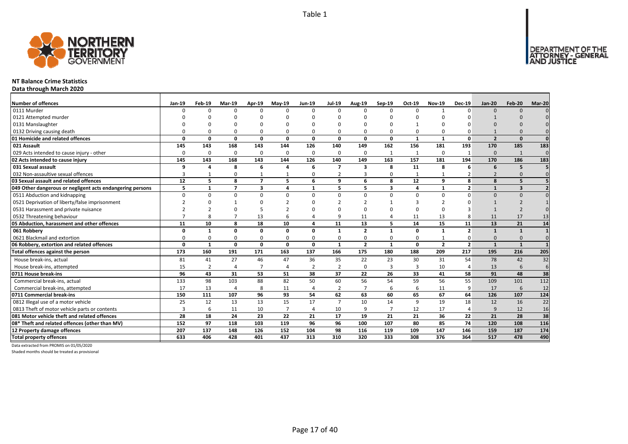

## **NT Balance Crime Statistics**

**Data through March 2020**

| Number of offences                                        | Jan-19   | Feb-19         | Mar-19                   | Apr-19         | <b>Mav-19</b>  | <b>Jun-19</b>  | <b>Jul-19</b>  | Aug-19         | Sep-19         | Oct-19       | <b>Nov-19</b>  | <b>Dec-19</b>  | <b>Jan-20</b>  | <b>Feb-20</b>           | Mar-20       |
|-----------------------------------------------------------|----------|----------------|--------------------------|----------------|----------------|----------------|----------------|----------------|----------------|--------------|----------------|----------------|----------------|-------------------------|--------------|
| 0111 Murder                                               |          | n              | $\Omega$                 | $\Omega$       | $\Omega$       |                | $\Omega$       | $\Omega$       | $\Omega$       | $\Omega$     |                | $\Omega$       | $\Omega$       | $\Omega$                |              |
| 0121 Attempted murder                                     |          |                |                          |                |                |                |                |                |                |              |                |                |                |                         |              |
| 0131 Manslaughter                                         |          |                |                          |                |                |                |                |                |                |              |                |                |                |                         |              |
| 0132 Driving causing death                                |          |                | $\Omega$                 | $\Omega$       | $\Omega$       |                |                | O              | $\Omega$       | O            |                |                |                |                         |              |
| 01 Homicide and related offences                          | O        | O              | 0                        | $\mathbf{0}$   | $\mathbf{0}$   | $\Omega$       | $\Omega$       | 0              | $\mathbf{0}$   | $\mathbf{1}$ | $\mathbf{1}$   | 0              | $\overline{2}$ | $\Omega$                | $\mathbf{0}$ |
| 021 Assault                                               | 145      | 143            | 168                      | 143            | 144            | 126            | 140            | 149            | 162            | 156          | 181            | 193            | 170            | 185                     | 183          |
| 029 Acts intended to cause injury - other                 | $\Omega$ | $\Omega$       | $\Omega$                 | $\mathbf 0$    | 0              | $\Omega$       | $\Omega$       | $\Omega$       | 1              | $\mathbf{1}$ | $\Omega$       |                | $\Omega$       | 1                       | $\Omega$     |
| 02 Acts intended to cause injury                          | 145      | 143            | 168                      | 143            | 144            | 126            | 140            | 149            | 163            | 157          | 181            | 194            | 170            | 186                     | 183          |
| 031 Sexual assault                                        | q        | Δ              | 8                        | 6              | 4              | 6              | $\overline{7}$ | 3              | 8              | 11           | 8              | 6              | 6              | 5                       |              |
| 032 Non-assaultive sexual offences                        | 3        |                | $\Omega$                 | $\mathbf{1}$   | $\mathbf{1}$   | 0              |                | 3              | $\Omega$       | $\mathbf{1}$ |                |                | $\overline{2}$ | $\Omega$                |              |
| 03 Sexual assault and related offences                    | 12       | 5.             | 8                        | $\overline{7}$ | 5              | 6              | 9              | 6              | 8              | 12           | q              | 8              | $\mathbf{8}$   | 5                       |              |
| 049 Other dangerous or negligent acts endangering persons | 5        | $\mathbf{1}$   | $\overline{\phantom{a}}$ | 3              | 4              | $\mathbf 1$    | 5              | 5              | 3              | 4            | $\mathbf{1}$   | $\overline{2}$ | $\mathbf{1}$   | $\overline{\mathbf{3}}$ |              |
| 0511 Abduction and kidnapping                             | $\Omega$ | $\Omega$       | $\Omega$                 | $\mathbf 0$    | $\Omega$       | $\Omega$       | $\Omega$       | $\Omega$       | $\Omega$       | $\Omega$     | $\Omega$       | $\Omega$       | $\Omega$       | $\Omega$                |              |
| 0521 Deprivation of liberty/false imprisonment            |          |                |                          | $\Omega$       |                |                |                | $\mathcal{D}$  |                | З            |                |                |                |                         |              |
| 0531 Harassment and private nuisance                      |          |                | $\Omega$                 | 5              | h              |                |                | $\Omega$       |                | 0            |                |                |                |                         |              |
| 0532 Threatening behaviour                                |          |                |                          | 13             | 6              |                | q              | 11             |                | 11           | 13             |                | 11             | 17                      | 13           |
| 05 Abduction, harassment and other offences               | 11       | 10             | 8                        | 18             | 10             | Δ              | 11             | 13             | 5              | 14           | 15             | 11             | 13             | 21                      | 14           |
| 061 Robbery                                               | O        | 1              | $\Omega$                 | 0              | 0              | $\Omega$       | $\mathbf{1}$   | $\overline{2}$ | $\mathbf{1}$   | 0            | $\mathbf{1}$   | $\overline{2}$ | $\mathbf{1}$   | $\mathbf{1}$            |              |
| 0621 Blackmail and extortion                              |          |                | $\Omega$                 | $\mathbf 0$    | 0              | $\Omega$       | 0              | $\Omega$       | 0              | 0            |                |                | $\Omega$       | $\Omega$                |              |
| 06 Robbery, extortion and related offences                | $\Omega$ | $\mathbf{1}$   | 0                        | $\mathbf 0$    | $\mathbf{0}$   | $\Omega$       | $\mathbf{1}$   | $\overline{2}$ | $\mathbf{1}$   | 0            | $\overline{2}$ | $\overline{2}$ | $\mathbf{1}$   | $\mathbf{1}$            |              |
| Total offences against the person                         | 173      | 160            | 191                      | 171            | 163            | 137            | 166            | 175            | 180            | 188          | 209            | 217            | 195            | 216                     | 205          |
| House break-ins, actual                                   | 81       | 41             | 27                       | 46             | 47             | 36             | 35             | 22             | 23             | 30           | 31             | 54             | 78             | 42                      | 32           |
| House break-ins, attempted                                | 15       | $\overline{2}$ | Δ                        | $\overline{7}$ | 4              | $\overline{2}$ | $\overline{2}$ | $\Omega$       | $\overline{3}$ | 3            | 10             | 4              | 13             | 6                       | 6            |
| 0711 House break-ins                                      | 96       | 43             | 31                       | 53             | 51             | 38             | 37             | 22             | 26             | 33           | 41             | 58             | 91             | 48                      | 38           |
| Commercial break-ins, actual                              | 133      | 98             | 103                      | 88             | 82             | 50             | 60             | 56             | 54             | 59           | 56             | 55             | 109            | 101                     | 112          |
| Commercial break-ins, attempted                           | 17       | 13             | 4                        | 8              | 11             | 4              | $\overline{2}$ |                | 6              | 6            | 11             | 9              | 17             | 6                       | 12           |
| 0711 Commercial break-ins                                 | 150      | 111            | 107                      | 96             | 93             | 54             | 62             | 63             | 60             | 65           | 67             | 64             | 126            | 107                     | 124          |
| 0812 Illegal use of a motor vehicle                       | 25       | 12             | 13                       | 13             | 15             | 17             | $\overline{7}$ | 10             | 14             | 9            | 19             | 18             | 12             | 16                      | 22           |
| 0813 Theft of motor vehicle parts or contents             | 3        | 6              | 11                       | 10             | $\overline{7}$ | $\overline{4}$ | 10             | 9              | $\overline{7}$ | 12           | 17             | $\overline{4}$ | $\mathbf{q}$   | 12                      | 16           |
| 081 Motor vehicle theft and related offences              | 28       | 18             | 24                       | 23             | 22             | 21             | 17             | 19             | 21             | 21           | 36             | 22             | 21             | 28                      | 38           |
| 08* Theft and related offences (other than MV)            | 152      | 97             | 118                      | 103            | 119            | 96             | 96             | 100            | 107            | 80           | 85             | 74             | 120            | 108                     | 116          |
| 12 Property damage offences                               | 207      | 137            | 148                      | 126            | 152            | 104            | 98             | 116            | 119            | 109          | 147            | 146            | 159            | 187                     | 174          |
| <b>Total property offences</b>                            | 633      | 406            | 428                      | 401            | 437            | 313            | 310            | 320            | 333            | 308          | 376            | 364            | 517            | 478                     | 490          |

Data extracted from PROMIS on 01/05/2020

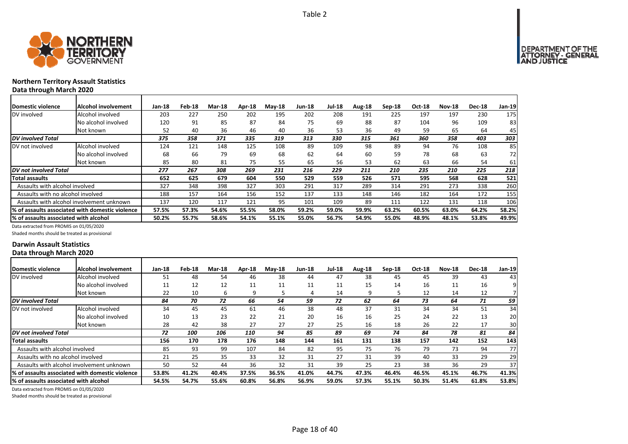



## **Northern Territory Assault Statistics Data through March 2020**

| Domestic violence                     | Alcohol involvement                             | $Jan-18$ | Feb-18 | <b>Mar-18</b> | Apr-18 | $Mav-18$ | <b>Jun-18</b> | <b>Jul-18</b> | Aug-18 | Sep-18 | Oct-18 | <b>Nov-18</b> | <b>Dec-18</b> | <b>Jan-19</b> |
|---------------------------------------|-------------------------------------------------|----------|--------|---------------|--------|----------|---------------|---------------|--------|--------|--------|---------------|---------------|---------------|
| DV involved                           | Alcohol involved                                | 203      | 227    | 250           | 202    | 195      | 202           | 208           | 191    | 225    | 197    | 197           | 230           | 175           |
|                                       | No alcohol involved                             | 120      | 91     | 85            | 87     | 84       | 75            | 69            | 88     | 87     | 104    | 96            | 109           | 83            |
|                                       | Not known                                       | 52       | 40     | 36            | 46     | 40       | 36            | 53            | 36     | 49     | 59     | 65            | 64            | 45            |
| <b>DV</b> involved Total              |                                                 | 375      | 358    | 371           | 335    | 319      | 313           | 330           | 315    | 361    | 360    | 358           | 403           | 303           |
| DV not involved                       | Alcohol involved                                | 124      | 121    | 148           | 125    | 108      | 89            | 109           | 98     | 89     | 94     | 76            | 108           | 85            |
|                                       | No alcohol involved                             | 68       | 66     | 79            | 69     | 68       | 62            | 64            | 60     | 59     | 78     | 68            | 63            | 72            |
|                                       | Not known                                       | 85       | 80     | 81            | 75     | 55       | 65            | 56            | 53     | 62     | 63     | 66            | 54            | 61            |
| DV not involved Total                 |                                                 | 277      | 267    | 308           | 269    | 231      | 216           | 229           | 211    | 210    | 235    | 210           | 225           | 218           |
| Total assaults                        |                                                 | 652      | 625    | 679           | 604    | 550      | 529           | 559           | 526    | 571    | 595    | 568           | 628           | 521           |
| Assaults with alcohol involved        |                                                 | 327      | 348    | 398           | 327    | 303      | 291           | 317           | 289    | 314    | 291    | 273           | 338           | 260           |
| Assaults with no alcohol involved     |                                                 | 188      | 157    | 164           | 156    | 152      | 137           | 133           | 148    | 146    | 182    | 164           | 172           | 155           |
|                                       | Assaults with alcohol involvement unknown       | 137      | 120    | 117           | 121    | 95       | 101           | 109           | 89     | 111    | 122    | 131           | 118           | 106           |
|                                       | % of assaults associated with domestic violence | 57.5%    | 57.3%  | 54.6%         | 55.5%  | 58.0%    | 59.2%         | 59.0%         | 59.9%  | 63.2%  | 60.5%  | 63.0%         | 64.2%         | 58.2%         |
| % of assaults associated with alcohol |                                                 | 50.2%    | 55.7%  | 58.6%         | 54.1%  | 55.1%    | 55.0%         | 56.7%         | 54.9%  | 55.0%  | 48.9%  | 48.1%         | 53.8%         | 49.9%         |

Data extracted from PROMIS on 01/05/2020

Shaded months should be treated as provisional

### **Darwin Assault Statistics Data through March 2020**

| <b>IDomestic violence</b>              | Alcohol involvement                              | $Jan-18$ | Feb-18 | <b>Mar-18</b> | Apr-18 | $May-18$ | <b>Jun-18</b> | <b>Jul-18</b> | Aug-18 | Sep-18 | Oct-18 | <b>Nov-18</b> | <b>Dec-18</b> | $Jan-19$ |
|----------------------------------------|--------------------------------------------------|----------|--------|---------------|--------|----------|---------------|---------------|--------|--------|--------|---------------|---------------|----------|
| DV involved                            | Alcohol involved                                 | 51       | 48     | 54            | 46     | 38       | 44            | 47            | 38     | 45     | 45     | 39            | 43            | 43       |
|                                        | No alcohol involved                              | 11       | 12     | 12            | 11     | 11       | 11            | 11            | 15     | 14     | 16     | 11            | 16            | 9١       |
|                                        | Not known                                        | 22       | 10     | 6             | 9      | 5        | 4             | 14            | 9      |        | 12     | 14            | 12            |          |
| DV involved Total                      |                                                  | 84       | 70     | 72            | 66     | 54       | 59            | 72            | 62     | 64     | 73     | 64            | 71            | 59       |
| DV not involved                        | Alcohol involved                                 | 34       | 45     | 45            | 61     | 46       | 38            | 48            | 37     | 31     | 34     | 34            | 51            | 34       |
|                                        | No alcohol involved                              | 10       | 13     | 23            | 22     | 21       | 20            | 16            | 16     | 25     | 24     | 22            | 13            | 20       |
|                                        | Not known                                        | 28       | 42     | 38            | 27     | 27       | 27            | 25            | 16     | 18     | 26     | 22            | 17            | 30       |
| DV not involved Total                  |                                                  | 72       | 100    | 106           | 110    | 94       | 85            | 89            | 69     | 74     | 84     | 78            | 81            | 84       |
| Total assaults                         |                                                  | 156      | 170    | 178           | 176    | 148      | 144           | 161           | 131    | 138    | 157    | 142           | 152           | 143      |
| Assaults with alcohol involved         |                                                  | 85       | 93     | 99            | 107    | 84       | 82            | 95            | 75     | 76     | 79     | 73            | 94            | 77       |
| Assaults with no alcohol involved      |                                                  | 21       | 25     | 35            | 33     | 32       | 31            | 27            | 31     | 39     | 40     | 33            | 29            | 29       |
|                                        | Assaults with alcohol involvement unknown        | 50       | 52     | 44            | 36     | 32       | 31            | 39            | 25     | 23     | 38     | 36            | 29            | 37       |
|                                        | l% of assaults associated with domestic violence | 53.8%    | 41.2%  | 40.4%         | 37.5%  | 36.5%    | 41.0%         | 44.7%         | 47.3%  | 46.4%  | 46.5%  | 45.1%         | 46.7%         | 41.3%    |
| I% of assaults associated with alcohol |                                                  | 54.5%    | 54.7%  | 55.6%         | 60.8%  | 56.8%    | 56.9%         | 59.0%         | 57.3%  | 55.1%  | 50.3%  | 51.4%         | 61.8%         | 53.8%    |

Data extracted from PROMIS on 01/05/2020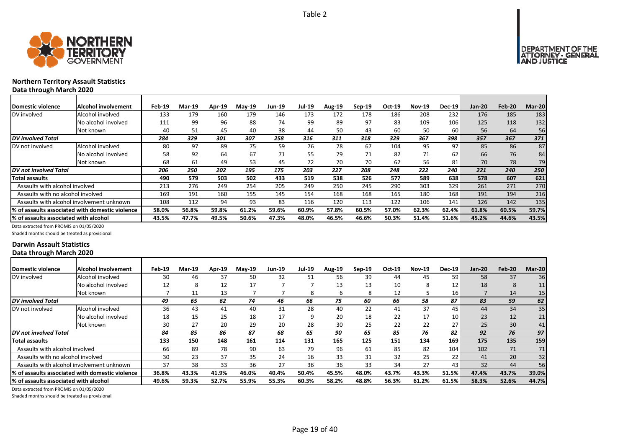



## **Northern Territory Assault Statistics Data through March 2020**

| <b>Domestic violence</b>                  | Alcohol involvement                             | Feb-19 | Mar-19 | Apr-19 | <b>Mav-19</b> | Jun-19 | <b>Jul-19</b> | <b>Aug-19</b> | $Sen-19$ | Oct-19 | <b>Nov-19</b> | <b>Dec-19</b> | <b>Jan-20</b> | Feb-20 | Mar-20 |
|-------------------------------------------|-------------------------------------------------|--------|--------|--------|---------------|--------|---------------|---------------|----------|--------|---------------|---------------|---------------|--------|--------|
| DV involved                               | Alcohol involved                                | 133    | 179    | 160    | 179           | 146    | 173           | 172           | 178      | 186    | 208           | 232           | 176           | 185    | 183    |
|                                           | No alcohol involved                             | 111    | 99     | 96     | 88            | 74     | 99            | 89            | 97       | 83     | 109           | 106           | 125           | 118    | 132    |
|                                           | Not known                                       | 40     | 51     | 45     | 40            | 38     | 44            | 50            | 43       | 60     | 50            | 60            | 56            | 64     | 56     |
| DV involved Total                         |                                                 | 284    | 329    | 301    | 307           | 258    | 316           | 311           | 318      | 329    | 367           | 398           | 357           | 367    | 371    |
| DV not involved                           | Alcohol involved                                | 80     | 97     | 89     | 75            | 59     | 76            | 78            | 67       | 104    | 95            | 97            | 85            | 86     | 87     |
|                                           | No alcohol involved                             | 58     | 92     | 64     | 67            | 71     | 55            | 79            | 71       | 82     | 71            | 62            | 66            | 76     | 84     |
|                                           | Not known                                       | 68     | 61     | 49     | 53            | 45     | 72            | 70            | 70       | 62     | 56            | 81            | 70            | 78     | 79     |
| DV not involved Total                     |                                                 | 206    | 250    | 202    | 195           | 175    | 203           | 227           | 208      | 248    | 222           | 240           | 221           | 240    | 250    |
| Total assaults                            |                                                 | 490    | 579    | 503    | 502           | 433    | 519           | 538           | 526      | 577    | 589           | 638           | 578           | 607    | 621    |
| Assaults with alcohol involved            |                                                 | 213    | 276    | 249    | 254           | 205    | 249           | 250           | 245      | 290    | 303           | 329           | 261           | 271    | 270    |
| Assaults with no alcohol involved         |                                                 | 169    | 191    | 160    | 155           | 145    | 154           | 168           | 168      | 165    | 180           | 168           | 191           | 194    | 216    |
| Assaults with alcohol involvement unknown |                                                 | 108    | 112    | 94     | 93            | 83     | 116           | 120           | 113      | 122    | 106           | 141           | 126           | 142    | 135    |
|                                           | % of assaults associated with domestic violence | 58.0%  | 56.8%  | 59.8%  | 61.2%         | 59.6%  | 60.9%         | 57.8%         | 60.5%    | 57.0%  | 62.3%         | 62.4%         | 61.8%         | 60.5%  | 59.7%  |
| % of assaults associated with alcohol     |                                                 | 43.5%  | 47.7%  | 49.5%  | 50.6%         | 47.3%  | 48.0%         | 46.5%         | 46.6%    | 50.3%  | 51.4%         | 51.6%         | 45.2%         | 44.6%  | 43.5%  |

Data extracted from PROMIS on 01/05/2020

Shaded months should be treated as provisional

#### **Darwin Assault Statistics Data through March 2020**

| Domestic violence                      | Alcohol involvement                              | Feb-19 | <b>Mar-19</b> | Apr-19 | $Mav-19$ | <b>Jun-19</b> | <b>Jul-19</b> | <b>Aug-19</b> | $Sep-19$ | Oct-19 | <b>Nov-19</b> | <b>Dec-19</b> | $Jan-20$ | Feb-20 | Mar-20 |
|----------------------------------------|--------------------------------------------------|--------|---------------|--------|----------|---------------|---------------|---------------|----------|--------|---------------|---------------|----------|--------|--------|
| DV involved                            | Alcohol involved                                 | 30     | 46            | 37     | 50       | 32            | 51            | 56            | 39       | 44     | 45            | 59            | 58       | 37     | 36     |
|                                        | No alcohol involved                              | 12     | 8             | 12     | 17       |               |               | 13            | 13       | 10     | 8             | 12            | 18       | 8      | 11     |
|                                        | Not known                                        |        |               | 13     |          |               | 8             | b             | 8        | 12     |               | 16            |          | 14     | 15     |
| <b>DV</b> involved Total               |                                                  | 49     | 65            | 62     | 74       | 46            | 66            | 75            | 60       | 66     | 58            | 87            | 83       | 59     | 62     |
| DV not involved                        | Alcohol involved                                 | 36     | 43            | 41     | 40       | 31            | 28            | 40            | 22       | 41     | 37            | 45            | 44       | 34     | 35     |
|                                        | No alcohol involved                              | 18     | 15            | 25     | 18       | 17            | q             | 20            | 18       | 22     | 17            | 10            | 23       | 12     | 21     |
|                                        | Not known                                        | 30     | 27            | 20     | 29       | 20            | 28            | 30            | 25       | 22     | 22            | 27            | 25       | 30     | 41     |
| DV not involved Total                  |                                                  | 84     | 85            | 86     | 87       | 68            | 65            | 90            | 65       | 85     | 76            | 82            | 92       | 76     | 97     |
| Total assaults                         |                                                  | 133    | 150           | 148    | 161      | 114           | 131           | 165           | 125      | 151    | 134           | 169           | 175      | 135    | 159    |
| Assaults with alcohol involved         |                                                  | 66     | 89            | 78     | 90       | 63            | 79            | 96            | 61       | 85     | 82            | 104           | 102      | 71     | 71     |
| Assaults with no alcohol involved      |                                                  | 30     | 23            | 37     | 35       | 24            | 16            | 33            | 31       | 32     | 25            | 22            | 41       | 20     | 32     |
|                                        | Assaults with alcohol involvement unknown        | 37     | 38            | 33     | 36       | 27            | 36            | 36            | 33       | 34     | 27            | 43            | 32       | 44     | 56     |
|                                        | I% of assaults associated with domestic violence | 36.8%  | 43.3%         | 41.9%  | 46.0%    | 40.4%         | 50.4%         | 45.5%         | 48.0%    | 43.7%  | 43.3%         | 51.5%         | 47.4%    | 43.7%  | 39.0%  |
| I% of assaults associated with alcohol |                                                  | 49.6%  | 59.3%         | 52.7%  | 55.9%    | 55.3%         | 60.3%         | 58.2%         | 48.8%    | 56.3%  | 61.2%         | 61.5%         | 58.3%    | 52.6%  | 44.7%  |

Data extracted from PROMIS on 01/05/2020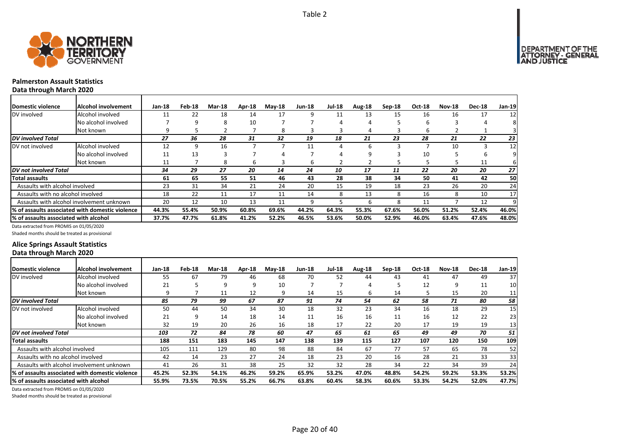

## **Palmerston Assault Statistics**

**Data through March 2020**

| Domestic violence                     | Alcohol involvement                             | Jan-18 | Feb-18 | <b>Mar-18</b> | Apr-18 | $M$ ay-18 | <b>Jun-18</b> | <b>Jul-18</b> | Aug-18 | Sep-18 | Oct-18 | <b>Nov-18</b> | <b>Dec-18</b> | <b>Jan-19</b> |
|---------------------------------------|-------------------------------------------------|--------|--------|---------------|--------|-----------|---------------|---------------|--------|--------|--------|---------------|---------------|---------------|
| DV involved                           | Alcohol involved                                | 11     | 22     | 18            | 14     | 17        | 9             | 11            | 13     | 15     | 16     | 16            | 17            | 12            |
|                                       | No alcohol involved                             |        | 9      | 8             | 10     |           |               |               |        |        | 6      |               |               |               |
|                                       | Not known                                       | 9      |        |               |        | 8         |               |               |        |        | b      |               |               |               |
| <b>DV</b> involved Total              |                                                 | 27     | 36     | 28            | 31     | 32        | 19            | 18            | 21     | 23     | 28     | 21            | 22            | 23            |
| DV not involved                       | Alcohol involved                                | 12     | 9      | 16            |        |           | 11            |               |        |        |        | 10            |               | 12            |
|                                       | No alcohol involved                             | 11     | 13     |               |        |           |               |               |        |        | 10     |               | b             |               |
|                                       | Not known                                       | 11     |        | 8             | b      | 3         | 6             |               |        |        |        |               | 11            | 6             |
| DV not involved Total                 |                                                 | 34     | 29     | 27            | 20     | 14        | 24            | 10            | 17     | 11     | 22     | 20            | 20            | 27            |
| <b>Total assaults</b>                 |                                                 | 61     | 65     | 55            | 51     | 46        | 43            | 28            | 38     | 34     | 50     | 41            | 42            | 50            |
| Assaults with alcohol involved        |                                                 | 23     | 31     | 34            | 21     | 24        | 20            | 15            | 19     | 18     | 23     | 26            | 20            | 24            |
| Assaults with no alcohol involved     |                                                 | 18     | 22     | 11            | 17     | 11        | 14            |               | 13     |        | 16     | 8             | 10            | 17            |
|                                       | Assaults with alcohol involvement unknown       | 20     | 12     | 10            | 13     | 11        | 9             |               |        |        | 11     |               | 12            | 9             |
|                                       | % of assaults associated with domestic violence | 44.3%  | 55.4%  | 50.9%         | 60.8%  | 69.6%     | 44.2%         | 64.3%         | 55.3%  | 67.6%  | 56.0%  | 51.2%         | 52.4%         | 46.0%         |
| % of assaults associated with alcohol |                                                 | 37.7%  | 47.7%  | 61.8%         | 41.2%  | 52.2%     | 46.5%         | 53.6%         | 50.0%  | 52.9%  | 46.0%  | 63.4%         | 47.6%         | 48.0%         |

Data extracted from PROMIS on 01/05/2020

Shaded months should be treated as provisional

### **Alice Springs Assault Statistics Data through March 2020**

| Domestic violence                     | Alcohol involvement                                          | Jan-18 | Feb-18 | Mar-18 | Apr-18 | $Mav-18$ | <b>Jun-18</b> | <b>Jul-18</b> | Aug-18 | Sep-18 | <b>Oct-18</b> | <b>Nov-18</b> | <b>Dec-18</b> | Jan-19          |
|---------------------------------------|--------------------------------------------------------------|--------|--------|--------|--------|----------|---------------|---------------|--------|--------|---------------|---------------|---------------|-----------------|
| DV involved                           | Alcohol involved                                             | 55     | 67     | 79     | 46     | 68       | 70            | 52            | 44     | 43     | 41            | 47            | 49            | 37              |
|                                       | No alcohol involved                                          | 21     |        | 9      | q      | 10       |               |               |        |        | 12            | 9             | 11            | 10              |
|                                       | Not known                                                    | 9      |        | 11     | 12     | 9        | 14            | 15            | h      | 14     |               | 15            | 20            | 11              |
| <b>DV</b> involved Total              |                                                              | 85     | 79     | 99     | 67     | 87       | 91            | 74            | 54     | 62     | 58            | 71            | 80            | 58              |
| DV not involved                       | Alcohol involved                                             | 50     | 44     | 50     | 34     | 30       | 18            | 32            | 23     | 34     | 16            | 18            | 29            | 15              |
|                                       | No alcohol involved                                          | 21     | 9      | 14     | 18     | 14       | 11            | 16            | 16     | 11     | 16            | 12            | 22            | 23              |
|                                       | Not known                                                    | 32     | 19     | 20     | 26     | 16       | 18            | 17            | 22     | 20     | 17            | 19            | 19            | 13              |
| DV not involved Total                 |                                                              | 103    | 72     | 84     | 78     | 60       | 47            | 65            | 61     | 65     | 49            | 49            | 70            | 51              |
| <b>Total assaults</b>                 |                                                              | 188    | 151    | 183    | 145    | 147      | 138           | 139           | 115    | 127    | 107           | 120           | 150           | 109             |
| Assaults with alcohol involved        |                                                              | 105    | 111    | 129    | 80     | 98       | 88            | 84            | 67     | 77     | 57            | 65            | 78            | 52 <sub>1</sub> |
| Assaults with no alcohol involved     |                                                              | 42     | 14     | 23     | 27     | 24       | 18            | 23            | 20     | 16     | 28            | 21            | 33            | 33              |
|                                       | Assaults with alcohol involvement unknown                    | 41     | 26     | 31     | 38     | 25       | 32            | 32            | 28     | 34     | 22            | 34            | 39            | 24              |
|                                       | <sup>1</sup> % of assaults associated with domestic violence | 45.2%  | 52.3%  | 54.1%  | 46.2%  | 59.2%    | 65.9%         | 53.2%         | 47.0%  | 48.8%  | 54.2%         | 59.2%         | 53.3%         | 53.2%           |
| % of assaults associated with alcohol |                                                              | 55.9%  | 73.5%  | 70.5%  | 55.2%  | 66.7%    | 63.8%         | 60.4%         | 58.3%  | 60.6%  | 53.3%         | 54.2%         | 52.0%         | 47.7%           |

Data extracted from PROMIS on 01/05/2020

Shaded months should be treated as provisional

Page 20 of 40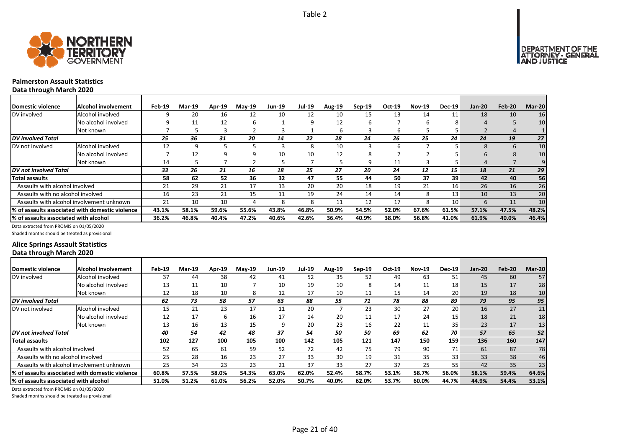



## **Palmerston Assault Statistics**

**Data through March 2020**

| Domestic violence                     | Alcohol involvement                             | Feb-19 | Mar-19 | Apr-19 | <b>May-19</b> | <b>Jun-19</b> | <b>Jul-19</b> | <b>Aug-19</b> | $Sep-19$ | Oct-19 | <b>Nov-19</b> | <b>Dec-19</b>   | <b>Jan-20</b>    | Feb-20 | Mar-20          |
|---------------------------------------|-------------------------------------------------|--------|--------|--------|---------------|---------------|---------------|---------------|----------|--------|---------------|-----------------|------------------|--------|-----------------|
| DV involved                           | Alcohol involved                                |        | 20     | 16     | 12            | 10            | 12            | 10            | 15       | 13     | 14            | 11              | 18               | 10     | 16              |
|                                       | No alcohol involved                             |        |        | 12     | ь             |               | 9             | 12            | h        |        | h             | õ               |                  |        | 10              |
|                                       | Not known                                       |        |        |        |               |               |               | h             |          | 6      |               |                 |                  |        |                 |
| DV involved Total                     |                                                 | 25     | 36     | 31     | 20            | 14            | 22            | 28            | 24       | 26     | 25            | 24              | 24               | 19     | 27 <sup>1</sup> |
| DV not involved                       | Alcohol involved                                | 12     | q      |        |               |               | 8             | 10            |          | h      |               |                 | 8                | 6      | 10              |
|                                       | No alcohol involved                             |        | 12     |        |               | 10            | 10            | 12            |          |        |               |                 | h                | 8      | 10              |
|                                       | Not known                                       | 14     |        |        |               |               |               |               | q        | 11     | 3             |                 | 4                |        |                 |
| <b>DV</b> not involved Total          |                                                 | 33     | 26     | 21     | 16            | 18            | 25            | 27            | 20       | 24     | 12            | 15              | 18               | 21     | 29              |
| Total assaults                        |                                                 | 58     | 62     | 52     | 36            | 32            | 47            | 55            | 44       | 50     | 37            | 39 <sup>°</sup> | 42               | 40     | 56              |
| Assaults with alcohol involved        |                                                 | 21     | 29     | 21     | 17            | 13            | 20            | 20            | 18       | 19     | 21            | 16              | 26               | 16     | 26              |
| Assaults with no alcohol involved     |                                                 | 16     | 23     | 21     | 15            | 11            | 19            | 24            | 14       | 14     | 8             | 13              | 10               | 13     | 20              |
|                                       | Assaults with alcohol involvement unknown       | 21     | 10     | 10     |               | 8             | 8             | 11            | 12       | 17     | 8             | 10              | $6 \overline{6}$ | 11     | 10 <sup>1</sup> |
|                                       | % of assaults associated with domestic violence | 43.1%  | 58.1%  | 59.6%  | 55.6%         | 43.8%         | 46.8%         | 50.9%         | 54.5%    | 52.0%  | 67.6%         | 61.5%           | 57.1%            | 47.5%  | 48.2%           |
| % of assaults associated with alcohol |                                                 | 36.2%  | 46.8%  | 40.4%  | 47.2%         | 40.6%         | 42.6%         | 36.4%         | 40.9%    | 38.0%  | 56.8%         | 41.0%           | 61.9%            | 40.0%  | 46.4%           |

Data extracted from PROMIS on 01/05/2020

Shaded months should be treated as provisional

### **Alice Springs Assault Statistics Data through March 2020**

| Domestic violence                     | Alcohol involvement                              | Feb-19 | <b>Mar-19</b> | <b>Apr-19</b> | $Mav-19$ | <b>Jun-19</b> | <b>Jul-19</b> | Aug-19 | $Sep-19$ | Oct-19 | <b>Nov-19</b> | <b>Dec-19</b>   | $Jan-20$ | Feb-20 | Mar-20 |
|---------------------------------------|--------------------------------------------------|--------|---------------|---------------|----------|---------------|---------------|--------|----------|--------|---------------|-----------------|----------|--------|--------|
| DV involved                           | Alcohol involved                                 | 37     | 44            | 38            | 42       | 41            | 52            | 35     | 52       | 49     | 63            | 51              | 45       | 60     | 57     |
|                                       | No alcohol involved                              | 13     | 11            | 10            |          | 10            | 19            | 10     | 8        | 14     | 11            | 18              | 15       | 17     | 28     |
|                                       | Not known                                        | 12     | 18            | 10            | 8        | 12            | 17            | 10     | 11       | 15     | 14            | 20 <sub>1</sub> | 19       | 18     | 10     |
| <b>DV</b> involved Total              |                                                  | 62     | 73            | 58            | 57       | 63            | 88            | 55     | 71       | 78     | 88            | 89              | 79       | 95     | 95     |
| DV not involved                       | Alcohol involved                                 | 15     | 21            | 23            | 17       | 11            | 20            |        | 23       | 30     | 27            | 20              | 16       | 27     | 21     |
|                                       | No alcohol involved                              | 12     | 17            | h             | 16       | 17            | 14            | 20     | 11       | 17     | 24            | 15              | 18       | 21     | 18     |
|                                       | Not known                                        | 13     | 16            | 13            | 15       |               | 20            | 23     | 16       | 22     | 11            | 35 <sub>1</sub> | 23       | 17     | 13     |
| <b>DV</b> not involved Total          |                                                  | 40     | 54            | 42            | 48       | 37            | 54            | 50     | 50       | 69     | 62            | 70              | 57       | 65     | 52     |
| <b>Total assaults</b>                 |                                                  | 102    | 127           | 100           | 105      | 100           | 142           | 105    | 121      | 147    | 150           | 159             | 136      | 160    | 147    |
| Assaults with alcohol involved        |                                                  | 52     | 65            | 61            | 59       | 52            | 72            | 42     | 75       | 79     | 90            | 71              | 61       | 87     | 78     |
| Assaults with no alcohol involved     |                                                  | 25     | 28            | 16            | 23       | 27            | 33            | 30     | 19       | 31     | 35            | 33              | 33       | 38     | 46     |
|                                       | Assaults with alcohol involvement unknown        | 25     | 34            | 23            | 23       | 21            | 37            | 33     | 27       | 37     | 25            | 55              | 42       | 35     | 23     |
|                                       | I% of assaults associated with domestic violence | 60.8%  | 57.5%         | 58.0%         | 54.3%    | 63.0%         | 62.0%         | 52.4%  | 58.7%    | 53.1%  | 58.7%         | 56.0%           | 58.1%    | 59.4%  | 64.6%  |
| % of assaults associated with alcohol |                                                  | 51.0%  | 51.2%         | 61.0%         | 56.2%    | 52.0%         | 50.7%         | 40.0%  | 62.0%    | 53.7%  | 60.0%         | 44.7%           | 44.9%    | 54.4%  | 53.1%  |

Data extracted from PROMIS on 01/05/2020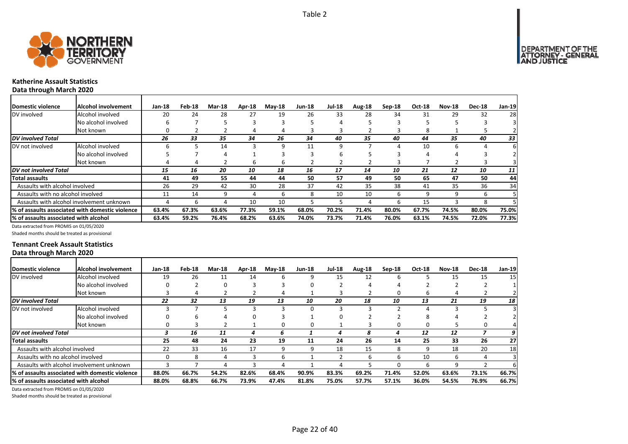



#### **Katherine Assault Statistics Data through March 2020**

| <b>Domestic violence</b>              | Alcohol involvement                             | $Jan-18$ | Feb-18 | <b>Mar-18</b> | Apr-18 | <b>Mav-18</b> | <b>Jun-18</b> | <b>Jul-18</b> | Aug-18 | Sep-18 | Oct-18 | <b>Nov-18</b> | <b>Dec-18</b> | Jan-19 |
|---------------------------------------|-------------------------------------------------|----------|--------|---------------|--------|---------------|---------------|---------------|--------|--------|--------|---------------|---------------|--------|
| DV involved                           | Alcohol involved                                | 20       | 24     | 28            | 27     | 19            | 26            | 33            | 28     | 34     | 31     | 29            | 32            | 28     |
|                                       | No alcohol involved                             | h        |        |               |        |               |               |               |        |        |        |               |               |        |
|                                       | Not known                                       |          |        |               |        | 4             |               |               |        |        | 8      |               |               |        |
| <b>DV</b> involved Total              |                                                 | 26       | 33     | 35            | 34     | 26            | 34            | 40            | 35     | 40     | 44     | 35            | 40            | 33     |
| DV not involved                       | Alcohol involved                                | h        |        | 14            |        | 9             | 11            | 9             |        |        | 10     | 6             |               |        |
|                                       | No alcohol involved                             |          |        |               |        |               |               |               |        |        | 4      |               |               |        |
|                                       | Not known                                       |          |        |               | h      | 6             |               |               |        |        |        |               |               |        |
| DV not involved Total                 |                                                 | 15       | 16     | 20            | 10     | 18            | 16            | 17            | 14     | 10     | 21     | 12            | 10            | 11     |
| Total assaults                        |                                                 | 41       | 49     | 55            | 44     | 44            | 50            | 57            | 49     | 50     | 65     | 47            | 50            | 44     |
| Assaults with alcohol involved        |                                                 | 26       | 29     | 42            | 30     | 28            | 37            | 42            | 35     | 38     | 41     | 35            | 36            | 34     |
| Assaults with no alcohol involved     |                                                 | 11       | 14     |               |        | 6             | 8             | 10            | 10     | h      | q      | 9             | h             |        |
|                                       | Assaults with alcohol involvement unknown       |          | h      |               | 10     | 10            | 5             |               |        | h      | 15     |               | 8             |        |
|                                       | % of assaults associated with domestic violence | 63.4%    | 67.3%  | 63.6%         | 77.3%  | 59.1%         | 68.0%         | 70.2%         | 71.4%  | 80.0%  | 67.7%  | 74.5%         | 80.0%         | 75.0%  |
| % of assaults associated with alcohol |                                                 | 63.4%    | 59.2%  | 76.4%         | 68.2%  | 63.6%         | 74.0%         | 73.7%         | 71.4%  | 76.0%  | 63.1%  | 74.5%         | 72.0%         | 77.3%  |

Data extracted from PROMIS on 01/05/2020

Shaded months should be treated as provisional

#### **Tennant Creek Assault Statistics Data through March 2020**

| Domestic violence                     | Alcohol involvement                                     | $Jan-18$ | Feb-18 | <b>Mar-18</b> | Apr-18 | $M$ ay-18 | <b>Jun-18</b> | <b>Jul-18</b> | Aug-18 | $Sep-18$ | <b>Oct-18</b> | <b>Nov-18</b> | <b>Dec-18</b> | Jan-19          |
|---------------------------------------|---------------------------------------------------------|----------|--------|---------------|--------|-----------|---------------|---------------|--------|----------|---------------|---------------|---------------|-----------------|
| DV involved                           | Alcohol involved                                        | 19       | 26     | 11            | 14     | 6         | 9             | 15            | 12     |          |               | 15            | 15            | 15 <sub>l</sub> |
|                                       | No alcohol involved                                     |          |        |               |        |           |               |               |        |          |               |               |               |                 |
|                                       | Not known                                               |          |        |               |        |           |               |               |        | O        | ь             |               |               |                 |
| <b>DV</b> involved Total              |                                                         | 22       | 32     | 13            | 19     | 13        | 10            | 20            | 18     | 10       | 13            | 21            | 19            | 18              |
| DV not involved                       | Alcohol involved                                        |          |        |               |        |           | 0             |               |        |          |               |               |               |                 |
|                                       | No alcohol involved                                     |          |        |               |        |           |               |               |        |          | 8             |               |               |                 |
|                                       | Not known                                               |          |        |               |        | 0         |               |               |        |          | 0             |               |               |                 |
| DV not involved Total                 |                                                         |          | 16     | 11            |        | 6         |               | 4             | 8      |          | 12            | 12            |               | 9               |
| <b>Total assaults</b>                 |                                                         | 25       | 48     | 24            | 23     | 19        | 11            | 24            | 26     | 14       | 25            | 33            | 26            | 27              |
| Assaults with alcohol involved        |                                                         | 22       | 33     | 16            | 17     | 9         | 9             | 18            | 15     | ጸ        | 9             | 18            | 20            | 18              |
| Assaults with no alcohol involved     |                                                         |          |        |               |        | h         |               |               |        | h        | 10            | 6             |               |                 |
|                                       | Assaults with alcohol involvement unknown               |          |        |               |        |           |               |               |        |          | h             |               |               |                 |
|                                       | <b>1% of assaults associated with domestic violence</b> | 88.0%    | 66.7%  | 54.2%         | 82.6%  | 68.4%     | 90.9%         | 83.3%         | 69.2%  | 71.4%    | 52.0%         | 63.6%         | 73.1%         | 66.7%           |
| % of assaults associated with alcohol |                                                         | 88.0%    | 68.8%  | 66.7%         | 73.9%  | 47.4%     | 81.8%         | 75.0%         | 57.7%  | 57.1%    | 36.0%         | 54.5%         | 76.9%         | 66.7%           |
|                                       |                                                         |          |        |               |        |           |               |               |        |          |               |               |               |                 |

Data extracted from PROMIS on 01/05/2020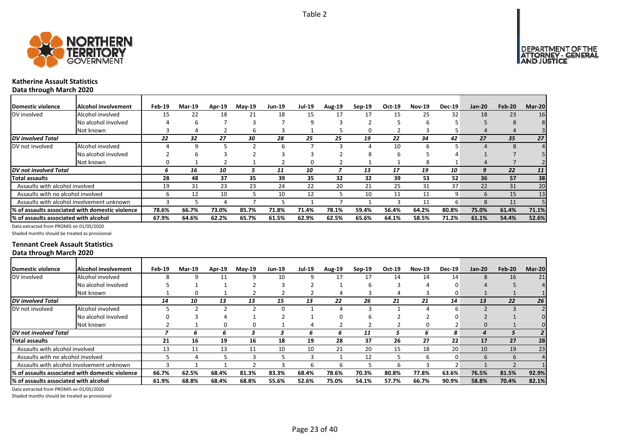



#### **Katherine Assault Statistics Data through March 2020**

| Domestic violence                         | Alcohol involvement                             | Feb-19 | Mar-19 | Apr-19 | $Mav-19$ | <b>Jun-19</b> | <b>Jul-19</b> | <b>Aug-19</b> | $Sep-19$ | Oct-19 | <b>Nov-19</b> | <b>Dec-19</b>   | <b>Jan-20</b> | Feb-20 | Mar-20          |
|-------------------------------------------|-------------------------------------------------|--------|--------|--------|----------|---------------|---------------|---------------|----------|--------|---------------|-----------------|---------------|--------|-----------------|
| DV involved                               | Alcohol involved                                | 15     | 22     | 18     | 21       | 18            | 15            | 17            | 17       | 15     | 25            | 32              | 18            | 23     | 16              |
|                                           | No alcohol involved                             |        | h      |        |          |               | 9             |               |          |        | n             |                 |               |        |                 |
|                                           | Not known                                       |        |        |        |          |               |               |               |          |        |               |                 |               |        |                 |
| DV involved Total                         |                                                 | 22     | 32     | 27     | 30       | 28            | 25            | 25            | 19       | 22     | 34            | 42              | 27            | 35     | 27 <sup>2</sup> |
| DV not involved                           | Alcohol involved                                |        |        |        |          | h             |               |               |          | 10     | ĥ             |                 |               |        |                 |
|                                           | No alcohol involved                             |        |        |        |          |               |               |               |          | h      |               |                 |               |        |                 |
|                                           | Not known                                       |        |        |        |          |               | 0             |               |          |        | 8             |                 |               |        |                 |
| DV not involved Total                     |                                                 | n      | 16     | 10     |          | 11            | 10            |               | 13       | 17     | 19            | 10              | 9             | 22     | 11              |
| Total assaults                            |                                                 | 28     | 48     | 37     | 35       | 39            | 35            | 32            | 32       | 39     | 53            | 52              | 36            | 57     | 38              |
| Assaults with alcohol involved            |                                                 | 19     | 31     | 23     | 23       | 24            | 22            | 20            | 21       | 25     | 31            | 37 <sup>1</sup> | 22            | 31     | 20              |
| Assaults with no alcohol involved         |                                                 | h      | 12     | 10     |          | 10            | 12            |               | 10       | 11     | 11            | 9               | $\mathbf{b}$  | 15     | 13              |
| Assaults with alcohol involvement unknown |                                                 |        |        |        |          |               |               |               |          |        | 11            | h               |               | 11     |                 |
|                                           | % of assaults associated with domestic violence | 78.6%  | 66.7%  | 73.0%  | 85.7%    | 71.8%         | 71.4%         | 78.1%         | 59.4%    | 56.4%  | 64.2%         | 80.8%           | 75.0%         | 61.4%  | 71.1%           |
| % of assaults associated with alcohol     |                                                 | 67.9%  | 64.6%  | 62.2%  | 65.7%    | 61.5%         | 62.9%         | 62.5%         | 65.6%    | 64.1%  | 58.5%         | 71.2%           | 61.1%         | 54.4%  | 52.6%           |

Data extracted from PROMIS on 01/05/2020

Shaded months should be treated as provisional

#### **Tennant Creek Assault Statistics Data through March 2020**

| <b>Domestic violence</b>              | Alcohol involvement                                          | Feb-19 | <b>Mar-19</b> | Apr-19 | $Mav-19$ | <b>Jun-19</b> | <b>Jul-19</b> | <b>Aug-19</b> | Sep-19 | Oct-19 | <b>Nov-19</b> | <b>Dec-19</b> | <b>Jan-20</b> | Feb-20 | Mar-20 |
|---------------------------------------|--------------------------------------------------------------|--------|---------------|--------|----------|---------------|---------------|---------------|--------|--------|---------------|---------------|---------------|--------|--------|
| DV involved                           | Alcohol involved                                             |        |               |        |          | 10            |               | 17            | 17     | 14     | 14            | 14            | 8             | 16     | 21     |
|                                       | No alcohol involved                                          |        |               |        |          |               |               |               | h      |        |               |               |               |        |        |
|                                       | Not known                                                    |        | <sup>0</sup>  |        |          |               |               |               |        |        |               |               |               |        |        |
| <b>DV</b> involved Total              |                                                              | 14     | 10            | 13     | 13       | 15            | 13            | 22            | 26     | 21     | 21            | 14            | 13            | 22     | 26     |
| DV not involved                       | Alcohol involved                                             |        |               |        |          |               |               |               |        |        |               |               |               |        |        |
|                                       | No alcohol involved                                          |        |               |        |          |               |               |               |        |        |               |               |               |        |        |
|                                       | Not known                                                    |        |               |        |          |               |               |               |        |        | 0             |               |               |        |        |
| DV not involved Total                 |                                                              |        | 6             | 6      |          |               | n             | h             | 11     |        | h             | 8             |               |        |        |
| <b>Total assaults</b>                 |                                                              | 21     | 16            | 19     | 16       | 18            | 19            | 28            | 37     | 26     | 27            | 22            | 17            | 27     | 28     |
| Assaults with alcohol involved        |                                                              | 13     |               | 13     | 11       | 10            | 10            | 21            | 20     | 15     | 18            | 20            | 10            | 19     | 23     |
| Assaults with no alcohol involved     |                                                              |        |               |        |          |               |               |               | 12     |        | h             | O             | h             | 6      |        |
|                                       | Assaults with alcohol involvement unknown                    |        |               |        |          |               |               | h             |        |        |               |               |               |        |        |
|                                       | <sup>1</sup> % of assaults associated with domestic violence | 66.7%  | 62.5%         | 68.4%  | 81.3%    | 83.3%         | 68.4%         | 78.6%         | 70.3%  | 80.8%  | 77.8%         | 63.6%         | 76.5%         | 81.5%  | 92.9%  |
| % of assaults associated with alcohol |                                                              | 61.9%  | 68.8%         | 68.4%  | 68.8%    | 55.6%         | 52.6%         | 75.0%         | 54.1%  | 57.7%  | 66.7%         | 90.9%         | 58.8%         | 70.4%  | 82.1%  |

Data extracted from PROMIS on 01/05/2020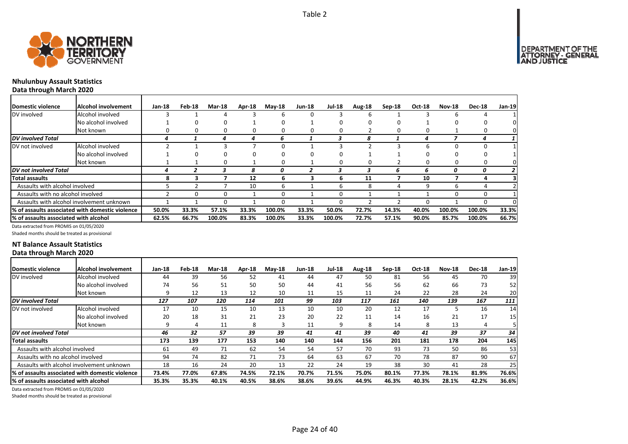

## **Nhulunbuy Assault Statistics Data through March 2020**

| Domestic violence                     | Alcohol involvement                             | $Jan-18$ | Feb-18 | <b>Mar-18</b> | Apr-18 | $M$ ay-18 | <b>Jun-18</b> | <b>Jul-18</b> | Aug-18 | Sep-18 | <b>Oct-18</b> | <b>Nov-18</b> | <b>Dec-18</b> | $Jan-19$ |
|---------------------------------------|-------------------------------------------------|----------|--------|---------------|--------|-----------|---------------|---------------|--------|--------|---------------|---------------|---------------|----------|
| DV involved                           | Alcohol involved                                |          |        |               |        | 6         | 0             |               | h      |        |               |               |               |          |
|                                       | No alcohol involved                             |          |        | 0             |        | 0         |               |               |        |        |               |               |               |          |
|                                       | Not known                                       |          |        |               | 0      | 0         | <sup>0</sup>  |               |        |        |               |               |               | 0        |
| <b>DV</b> involved Total              |                                                 |          |        |               |        | 6         |               |               |        |        |               |               |               |          |
| DV not involved                       | Alcohol involved                                |          |        |               |        | 0         |               |               |        |        | 6             |               |               |          |
|                                       | No alcohol involved                             |          |        |               |        |           |               |               |        |        |               |               |               |          |
|                                       | Not known                                       |          |        | n.            |        | 0         |               | <sup>n</sup>  |        |        |               |               |               | 0        |
| <b>DV</b> not involved Total          |                                                 |          |        |               | 8      | 0         |               |               |        | 6      | 6             | 0             | 0             |          |
| <b>Total assaults</b>                 |                                                 | 8        |        |               | 12     | 6         | 3             |               | 11     |        | 10            |               |               |          |
| Assaults with alcohol involved        |                                                 |          |        |               | 10     | 6         |               | h             | 8      |        | q             |               |               |          |
| Assaults with no alcohol involved     |                                                 |          |        |               |        | 0         |               |               |        |        |               |               |               |          |
|                                       | Assaults with alcohol involvement unknown       |          |        | 0             |        | 0         |               | <sup>0</sup>  |        |        |               |               |               | O.       |
|                                       | % of assaults associated with domestic violence | 50.0%    | 33.3%  | 57.1%         | 33.3%  | 100.0%    | 33.3%         | 50.0%         | 72.7%  | 14.3%  | 40.0%         | 100.0%        | 100.0%        | 33.3%    |
| % of assaults associated with alcohol |                                                 | 62.5%    | 66.7%  | 100.0%        | 83.3%  | 100.0%    | 33.3%         | 100.0%        | 72.7%  | 57.1%  | 90.0%         | 85.7%         | 100.0%        | 66.7%    |

Data extracted from PROMIS on 01/05/2020

Shaded months should be treated as provisional

### **NT Balance Assault Statistics Data through March 2020**

| Domestic violence                     | Alcohol involvement                              | Jan-18 | Feb-18 | Mar-18 | Apr-18 | $Mav-18$ | <b>Jun-18</b> | <b>Jul-18</b> | Aug-18 | Sep-18 | <b>Oct-18</b> | <b>Nov-18</b> | <b>Dec-18</b> | Jan-19 |
|---------------------------------------|--------------------------------------------------|--------|--------|--------|--------|----------|---------------|---------------|--------|--------|---------------|---------------|---------------|--------|
| DV involved                           | Alcohol involved                                 | 44     | 39     | 56     | 52     | 41       | 44            | 47            | 50     | 81     | 56            | 45            | 70            | 39     |
|                                       | No alcohol involved                              | 74     | 56     | 51     | 50     | 50       | 44            | 41            | 56     | 56     | 62            | 66            | 73            | 52     |
|                                       | Not known                                        | q      | 12     | 13     | 12     | 10       | 11            | 15            | 11     | 24     | 22            | 28            | 24            | 20     |
| DV involved Total                     |                                                  | 127    | 107    | 120    | 114    | 101      | 99            | 103           | 117    | 161    | 140           | 139           | 167           | 111    |
| DV not involved                       | Alcohol involved                                 | 17     | 10     | 15     | 10     | 13       | 10            | 10            | 20     | 12     | 17            |               | 16            | 14     |
|                                       | No alcohol involved                              | 20     | 18     | 31     | 21     | 23       | 20            | 22            | 11     | 14     | 16            | 21            | 17            | 15     |
|                                       | Not known                                        | 9      | 4      | 11     | 8      | 3        | 11            | q             | 8      | 14     | 8             | 13            | 4             |        |
| DV not involved Total                 |                                                  | 46     | 32     | 57     | 39     | 39       | 41            | 41            | 39     | 40     | 41            | 39            | 37            | 34     |
| Total assaults                        |                                                  | 173    | 139    | 177    | 153    | 140      | 140           | 144           | 156    | 201    | 181           | 178           | 204           | 145    |
| Assaults with alcohol involved        |                                                  | 61     | 49     | 71     | 62     | 54       | 54            | 57            | 70     | 93     | 73            | 50            | 86            | 53     |
| Assaults with no alcohol involved     |                                                  | 94     | 74     | 82     | 71     | 73       | 64            | 63            | 67     | 70     | 78            | 87            | 90            | 67     |
|                                       | Assaults with alcohol involvement unknown        | 18     | 16     | 24     | 20     | 13       | 22            | 24            | 19     | 38     | 30            | 41            | 28            | 25     |
|                                       | l% of assaults associated with domestic violence | 73.4%  | 77.0%  | 67.8%  | 74.5%  | 72.1%    | 70.7%         | 71.5%         | 75.0%  | 80.1%  | 77.3%         | 78.1%         | 81.9%         | 76.6%  |
| % of assaults associated with alcohol |                                                  | 35.3%  | 35.3%  | 40.1%  | 40.5%  | 38.6%    | 38.6%         | 39.6%         | 44.9%  | 46.3%  | 40.3%         | 28.1%         | 42.2%         | 36.6%  |

Data extracted from PROMIS on 01/05/2020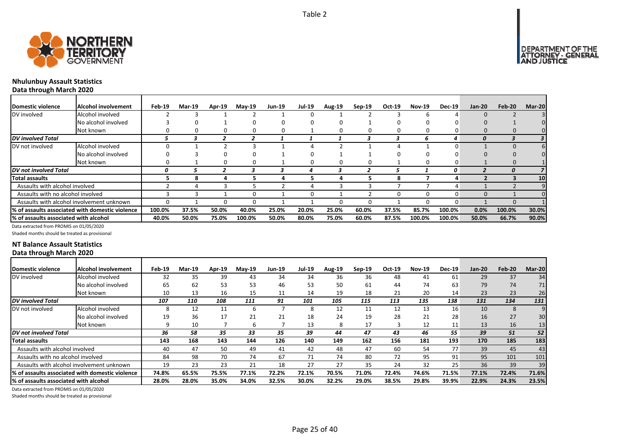



## **Nhulunbuy Assault Statistics Data through March 2020**

| Domestic violence                     | <b>Alcohol involvement</b>                       | Feb-19 | Mar-19 | Apr-19 | <b>May-19</b> | <b>Jun-19</b> | <b>Jul-19</b> | <b>Aug-19</b> | $Sep-19$ | Oct-19   | <b>Nov-19</b> | <b>Dec-19</b> | <b>Jan-20</b> | Feb-20       | Mar-20          |
|---------------------------------------|--------------------------------------------------|--------|--------|--------|---------------|---------------|---------------|---------------|----------|----------|---------------|---------------|---------------|--------------|-----------------|
| DV involved                           | Alcohol involved                                 |        |        |        |               |               |               |               |          |          |               |               |               |              | 31              |
|                                       | No alcohol involved                              |        |        |        |               |               |               |               |          |          |               |               |               |              |                 |
|                                       | Not known                                        |        |        |        |               |               |               |               |          | 0        | 0             |               |               |              |                 |
| DV involved Total                     |                                                  |        |        |        |               |               |               |               |          |          | h             | 4             | O             |              |                 |
| DV not involved                       | Alcohol involved                                 |        |        |        |               |               |               |               |          |          |               |               |               | $\Omega$     |                 |
|                                       | No alcohol involved                              |        |        |        |               |               |               |               |          |          |               |               |               |              |                 |
|                                       | Not known                                        |        |        | 0      |               |               | n             |               | 0        |          | $\Omega$      |               |               |              |                 |
| DV not involved Total                 |                                                  |        |        |        |               |               |               |               |          |          |               | 0             |               |              |                 |
| Total assaults                        |                                                  |        |        |        |               |               |               |               |          | 8        |               |               |               |              | 10 <sup>1</sup> |
| Assaults with alcohol involved        |                                                  |        |        |        |               |               |               |               |          |          |               | Д             |               |              |                 |
| Assaults with no alcohol involved     |                                                  |        |        |        |               |               |               |               |          | $\Omega$ | O             |               |               |              |                 |
|                                       | Assaults with alcohol involvement unknown        |        |        |        |               |               |               |               |          |          | O             |               |               | <sup>0</sup> |                 |
|                                       | 1% of assaults associated with domestic violence | 100.0% | 37.5%  | 50.0%  | 40.0%         | 25.0%         | 20.0%         | 25.0%         | 60.0%    | 37.5%    | 85.7%         | 100.0%        | 0.0%          | 100.0%       | 30.0%           |
| % of assaults associated with alcohol |                                                  | 40.0%  | 50.0%  | 75.0%  | 100.0%        | 50.0%         | 80.0%         | 75.0%         | 60.0%    | 87.5%    | 100.0%        | 100.0%        | 50.0%         | 66.7%        | 90.0%           |

Data extracted from PROMIS on 01/05/2020

Shaded months should be treated as provisional

### **NT Balance Assault Statistics Data through March 2020**

| Domestic violence                     | Alcohol involvement                                          | Feb-19 | <b>Mar-19</b> | <b>Apr-19</b> | $Mav-19$ | <b>Jun-19</b> | <b>Jul-19</b> | <b>Aug-19</b> | $Sep-19$ | Oct-19 | <b>Nov-19</b> | <b>Dec-19</b> | <b>Jan-20</b> | Feb-20 | Mar-20 |
|---------------------------------------|--------------------------------------------------------------|--------|---------------|---------------|----------|---------------|---------------|---------------|----------|--------|---------------|---------------|---------------|--------|--------|
| DV involved                           | Alcohol involved                                             | 32     | 35            | 39            | 43       | 34            | 34            | 36            | 36       | 48     | 41            | 61            | 29            | 37     | 34     |
|                                       | No alcohol involved                                          | 65     | 62            | 53            | 53       | 46            | 53            | 50            | 61       | 44     | 74            | 63            | 79            | 74     | 71     |
|                                       | Not known                                                    | 10     | 13            | 16            | 15       | 11            | 14            | 19            | 18       | 21     | 20            | 14            | 23            | 23     | 26     |
| <b>DV</b> involved Total              |                                                              | 107    | 110           | 108           | 111      | 91            | 101           | 105           | 115      | 113    | 135           | 138           | 131           | 134    | 131    |
| DV not involved                       | Alcohol involved                                             | 8      | 12            | 11            |          |               |               | 12            | 11       | 12     | 13            | 16            | 10            | 8      | 9      |
|                                       | No alcohol involved                                          | 19     | 36            | 17            | 21       | 21            | 18            | 24            | 19       | 28     | 21            | 28            | 16            | 27     | 30     |
|                                       | Not known                                                    | q      | 10            |               |          |               | 13            | 8             | 17       |        | 12            | 11            | 13            | 16     | 13     |
| DV not involved Total                 |                                                              | 36     | 58            | 35            | 33       | 35            | 39            | 44            | 47       | 43     | 46            | 55            | 39            | 51     | 52     |
| <b>Total assaults</b>                 |                                                              | 143    | 168           | 143           | 144      | 126           | 140           | 149           | 162      | 156    | 181           | 193           | 170           | 185    | 183    |
| Assaults with alcohol involved        |                                                              | 40     | 47            | 50            | 49       | 41            | 42            | 48            | 47       | 60     | 54            | 77            | 39            | 45     | 43     |
| Assaults with no alcohol involved     |                                                              | 84     | 98            | 70            | 74       | 67            | 71            | 74            | 80       | 72     | 95            | 91            | 95            | 101    | 101    |
|                                       | Assaults with alcohol involvement unknown                    | 19     | 23            | 23            | 21       | 18            | 27            | 27            | 35       | 24     | 32            | 25            | 36            | 39     | 39     |
|                                       | <sup>1</sup> % of assaults associated with domestic violence | 74.8%  | 65.5%         | 75.5%         | 77.1%    | 72.2%         | 72.1%         | 70.5%         | 71.0%    | 72.4%  | 74.6%         | 71.5%         | 77.1%         | 72.4%  | 71.6%  |
| % of assaults associated with alcohol |                                                              | 28.0%  | 28.0%         | 35.0%         | 34.0%    | 32.5%         | 30.0%         | 32.2%         | 29.0%    | 38.5%  | 29.8%         | 39.9%         | 22.9%         | 24.3%  | 23.5%  |

Data extracted from PROMIS on 01/05/2020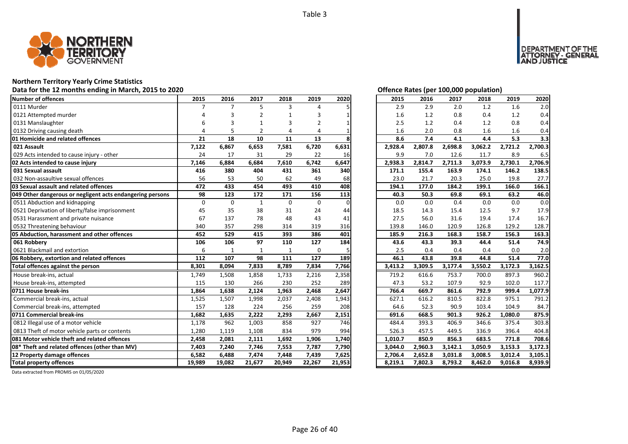

#### **Northern Territory Yearly Crime Statistics**

**Data for the 12 months ending in March, 2015 to 2020 Offence Rates (per 100,000 population)**

| <b>Number of offences</b>                                 | 2015        | 2016          | 2017         | 2018         | 2019        | 2020     | 2015    | 2016    | 2017    | 2018                 | 2019    | 2020    |
|-----------------------------------------------------------|-------------|---------------|--------------|--------------|-------------|----------|---------|---------|---------|----------------------|---------|---------|
| 0111 Murder                                               |             | $\mathcal{I}$ | 5            | 3            | Δ           |          | 2.9     | 2.9     | 2.0     | 1.2                  | 1.6     | 2.0     |
| 0121 Attempted murder                                     |             |               | 2            |              |             |          | 1.6     | 1.2     | 0.8     | 0.4                  | 1.2     | 0.4     |
| 0131 Manslaughter                                         |             |               |              |              | 2           |          | 2.5     | 1.2     | 0.4     | 1.2                  | 0.8     | 0.4     |
| 0132 Driving causing death                                | 4           |               |              | 4            | Δ           |          | 1.6     | 2.0     | 0.8     | 1.6                  | 1.6     | 0.4     |
| 01 Homicide and related offences                          | 21          | 18            | 10           | 11           | 13          |          | 8.6     | 7.4     | 4.1     | 4.4                  | 5.3     | 3.3     |
| 021 Assault                                               | 7,122       | 6,867         | 6,653        | 7,581        | 6,720       | 6,631    | 2,928.4 | 2,807.8 | 2,698.8 | 3,062.2              | 2,721.2 | 2,700.3 |
| 029 Acts intended to cause injury - other                 | 24          | 17            | 31           | 29           | 22          | 16       | 9.9     | 7.0     | 12.6    | 11.7                 | 8.9     | 6.5     |
| 02 Acts intended to cause injury                          | 7,146       | 6,884         | 6,684        | 7,610        | 6,742       | 6,647    | 2,938.3 | 2,814.7 | 2,711.3 | 3,073.9              | 2,730.1 | 2,706.9 |
| 031 Sexual assault                                        | 416         | 380           | 404          | 431          | 361         | 340      | 171.1   | 155.4   | 163.9   | 174.1                | 146.2   | 138.5   |
| 032 Non-assaultive sexual offences                        | 56          | 53            | 50           | 62           | 49          | 68       | 23.0    | 21.7    | 20.3    | 25.0                 | 19.8    | 27.7    |
| 03 Sexual assault and related offences                    | 472         | 433           | 454          | 493          | 410         | 408      | 194.1   | 177.0   | 184.2   | 199.1                | 166.0   | 166.1   |
| 049 Other dangerous or negligent acts endangering persons | 98          | 123           | 172          | 171          | 156         | 113      | 40.3    | 50.3    | 69.8    | 69.1                 | 63.2    | 46.0    |
| 0511 Abduction and kidnapping                             | $\mathbf 0$ | $\mathbf 0$   | $\mathbf{1}$ | 0            | 0           | $\Omega$ | 0.0     | 0.0     | 0.4     | 0.0                  | 0.0     | 0.0     |
| 0521 Deprivation of liberty/false imprisonment            | 45          | 35            | 38           | 31           | 24          | 44       | 18.5    | 14.3    | 15.4    | 12.5                 | 9.7     | 17.9    |
| 0531 Harassment and private nuisance                      | 67          | 137           | 78           | 48           | 43          | 41       | 27.5    | 56.0    | 31.6    | 19.4                 | 17.4    | 16.7    |
| 0532 Threatening behaviour                                | 340         | 357           | 298          | 314          | 319         | 316      | 139.8   | 146.0   | 120.9   | 126.8                | 129.2   | 128.7   |
|                                                           | 452         | 529           | 415          | 393          | 386         | 401      | 185.9   | 216.3   | 168.3   | 158.7                | 156.3   | 163.3   |
| 05 Abduction, harassment and other offences               |             |               |              |              |             |          |         |         |         |                      |         |         |
| 061 Robberv                                               | 106         | 106           | 97           | 110          | 127         | 184      | 43.6    | 43.3    | 39.3    | 44.4                 | 51.4    | 74.9    |
| 0621 Blackmail and extortion                              | 6           | $\mathbf{1}$  | $\mathbf{1}$ | $\mathbf{1}$ | $\mathbf 0$ |          | 2.5     | 0.4     | 0.4     | 0.4                  | 0.0     | 2.0     |
| 06 Robbery, extortion and related offences                | 112         | 107           | 98           | 111          | 127         | 189      | 46.1    | 43.8    | 39.8    | 44.8                 | 51.4    | 77.0    |
| Total offences against the person                         | 8,301       | 8,094         | 7,833        | 8,789        | 7,834       | 7,766    | 3,413.2 | 3,309.5 | 3,177.4 | $3,550.\overline{2}$ | 3,172.3 | 3,162.5 |
| House break-ins, actual                                   | 1,749       | 1,508         | 1,858        | 1,733        | 2,216       | 2,358    | 719.2   | 616.6   | 753.7   | 700.0                | 897.3   | 960.2   |
| House break-ins, attempted                                | 115         | 130           | 266          | 230          | 252         | 289      | 47.3    | 53.2    | 107.9   | 92.9                 | 102.0   | 117.7   |
| 0711 House break-ins                                      | 1,864       | 1,638         | 2,124        | 1,963        | 2,468       | 2,647    | 766.4   | 669.7   | 861.6   | 792.9                | 999.4   | 1,077.9 |
| Commercial break-ins, actual                              | 1,525       | 1,507         | 1,998        | 2,037        | 2,408       | 1,943    | 627.1   | 616.2   | 810.5   | 822.8                | 975.1   | 791.2   |
| Commercial break-ins, attempted                           | 157         | 128           | 224          | 256          | 259         | 208      | 64.6    | 52.3    | 90.9    | 103.4                | 104.9   | 84.7    |
| 0711 Commercial break-ins                                 | 1,682       | 1,635         | 2,222        | 2,293        | 2,667       | 2,151    | 691.6   | 668.5   | 901.3   | 926.2                | 1,080.0 | 875.9   |
| 0812 Illegal use of a motor vehicle                       | 1,178       | 962           | 1,003        | 858          | 927         | 746      | 484.4   | 393.3   | 406.9   | 346.6                | 375.4   | 303.8   |
| 0813 Theft of motor vehicle parts or contents             | 1.280       | 1,119         | 1,108        | 834          | 979         | 994      | 526.3   | 457.5   | 449.5   | 336.9                | 396.4   | 404.8   |
| <b>1081 Motor vehicle theft and related offences</b>      | 2,458       | 2,081         | 2,111        | 1,692        | 1,906       | 1,740    | 1,010.7 | 850.9   | 856.3   | 683.5                | 771.8   | 708.6   |
| 08* Theft and related offences (other than MV)            | 7,403       | 7,240         | 7,746        | 7,553        | 7,787       | 7,790    | 3,044.0 | 2,960.3 | 3,142.1 | 3,050.9              | 3,153.3 | 3,172.3 |
| 12 Property damage offences                               | 6,582       | 6,488         | 7,474        | 7,448        | 7,439       | 7,625    | 2,706.4 | 2,652.8 | 3,031.8 | 3,008.5              | 3,012.4 | 3,105.1 |

| Offence Rates (per 100.000 population) |  |  |  |
|----------------------------------------|--|--|--|
|                                        |  |  |  |

DEPARTMENT OF THE<br>ATTORNEY - GENERAL<br>AND JUSTICE

| 2015    | 2016    | 2017    | 2018    | 2019    | 2020    |
|---------|---------|---------|---------|---------|---------|
| 2.9     | 2.9     | 2.0     | 1.2     | 1.6     | 2.0     |
| 1.6     | 1.2     | 0.8     | 0.4     | 1.2     | 0.4     |
| 2.5     | 1.2     | 0.4     | 1.2     | 0.8     | 0.4     |
| 1.6     | 2.0     | 0.8     | 1.6     | 1.6     | 0.4     |
| 8.6     | 7.4     | 4.1     | 4.4     | 5.3     | 3.3     |
| 2,928.4 | 2,807.8 | 2,698.8 | 3,062.2 | 2,721.2 | 2,700.3 |
| 9.9     | 7.0     | 12.6    | 11.7    | 8.9     | 6.5     |
| 2,938.3 | 2,814.7 | 2,711.3 | 3,073.9 | 2,730.1 | 2,706.9 |
| 171.1   | 155.4   | 163.9   | 174.1   | 146.2   | 138.5   |
| 23.0    | 21.7    | 20.3    | 25.0    | 19.8    | 27.7    |
| 194.1   | 177.0   | 184.2   | 199.1   | 166.0   | 166.1   |
| 40.3    | 50.3    | 69.8    | 69.1    | 63.2    | 46.0    |
| 0.0     | 0.0     | 0.4     | 0.0     | 0.0     | 0.0     |
| 18.5    | 14.3    | 15.4    | 12.5    | 9.7     | 17.9    |
| 27.5    | 56.0    | 31.6    | 19.4    | 17.4    | 16.7    |
| 139.8   | 146.0   | 120.9   | 126.8   | 129.2   | 128.7   |
| 185.9   | 216.3   | 168.3   | 158.7   | 156.3   | 163.3   |
| 43.6    | 43.3    | 39.3    | 44.4    | 51.4    | 74.9    |
| 2.5     | 0.4     | 0.4     | 0.4     | 0.0     | 2.0     |
| 46.1    | 43.8    | 39.8    | 44.8    | 51.4    | 77.0    |
| 3,413.2 | 3,309.5 | 3,177.4 | 3,550.2 | 3,172.3 | 3,162.5 |
| 719.2   | 616.6   | 753.7   | 700.0   | 897.3   | 960.2   |
| 47.3    | 53.2    | 107.9   | 92.9    | 102.0   | 117.7   |
| 766.4   | 669.7   | 861.6   | 792.9   | 999.4   | 1,077.9 |
| 627.1   | 616.2   | 810.5   | 822.8   | 975.1   | 791.2   |
| 64.6    | 52.3    | 90.9    | 103.4   | 104.9   | 84.7    |
| 691.6   | 668.5   | 901.3   | 926.2   | 1,080.0 | 875.9   |
| 484.4   | 393.3   | 406.9   | 346.6   | 375.4   | 303.8   |
| 526.3   | 457.5   | 449.5   | 336.9   | 396.4   | 404.8   |
| 1,010.7 | 850.9   | 856.3   | 683.5   | 771.8   | 708.6   |
| 3,044.0 | 2,960.3 | 3,142.1 | 3,050.9 | 3,153.3 | 3,172.3 |
| 2,706.4 | 2,652.8 | 3,031.8 | 3,008.5 | 3,012.4 | 3,105.1 |
| 8.219.1 | 7,802.3 | 8,793.2 | 8,462.0 | 9,016.8 | 8,939.9 |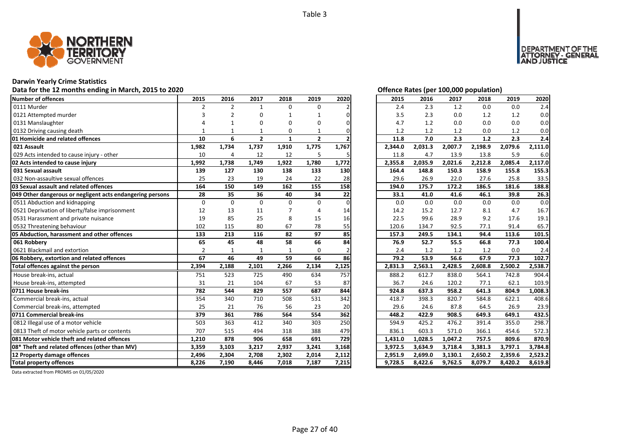

## **Darwin Yearly Crime Statistics**

## Data for the 12 months ending in March, 2015 to 2020<br> **Data for the 12 months ending in March, 2015 to 2020**

| Number of offences                                        | 2015           | 2016           | 2017           | 2018         | 2019         | 2020     | 2015    | 2016    | 2017    | 2018    | 2019    | 2020    |
|-----------------------------------------------------------|----------------|----------------|----------------|--------------|--------------|----------|---------|---------|---------|---------|---------|---------|
| 0111 Murder                                               | $\overline{2}$ | $\overline{2}$ | $\mathbf{1}$   | $\Omega$     | $\Omega$     |          | 2.4     | 2.3     | 1.2     | 0.0     | 0.0     | 2.4     |
| 0121 Attempted murder                                     | 3              | $\overline{2}$ | O              | 1            |              | n        | 3.5     | 2.3     | 0.0     | 1.2     | 1.2     | 0.0     |
| 0131 Manslaughter                                         |                |                | O              | 0            | O            | 0        | 4.7     | 1.2     | 0.0     | 0.0     | 0.0     | 0.0     |
| 0132 Driving causing death                                |                |                |                | 0            |              |          | 1.2     | 1.2     | 1.2     | 0.0     | 1.2     | 0.0     |
| 01 Homicide and related offences                          | 10             | 6              | $\overline{2}$ | 1            | $\mathbf{2}$ |          | 11.8    | 7.0     | 2.3     | 1.2     | 2.3     | 2.4     |
| 021 Assault                                               | 1,982          | 1,734          | 1,737          | 1,910        | 1,775        | 1,767    | 2,344.0 | 2,031.3 | 2,007.7 | 2,198.9 | 2,079.6 | 2,111.0 |
| 029 Acts intended to cause injury - other                 | 10             | 4              | 12             | 12           | 5            | 5        | 11.8    | 4.7     | 13.9    | 13.8    | 5.9     | 6.0     |
| 02 Acts intended to cause injury                          | 1,992          | 1,738          | 1,749          | 1,922        | 1,780        | 1,772    | 2,355.8 | 2,035.9 | 2,021.6 | 2,212.8 | 2,085.4 | 2,117.0 |
| 031 Sexual assault                                        | 139            | 127            | 130            | 138          | 133          | 130      | 164.4   | 148.8   | 150.3   | 158.9   | 155.8   | 155.3   |
| 032 Non-assaultive sexual offences                        | 25             | 23             | 19             | 24           | 22           | 28       | 29.6    | 26.9    | 22.0    | 27.6    | 25.8    | 33.5    |
| 03 Sexual assault and related offences                    | 164            | 150            | 149            | 162          | 155          | 158      | 194.0   | 175.7   | 172.2   | 186.5   | 181.6   | 188.8   |
| 049 Other dangerous or negligent acts endangering persons | 28             | 35             | 36             | 40           | 34           | 22       | 33.1    | 41.0    | 41.6    | 46.1    | 39.8    | 26.3    |
| 0511 Abduction and kidnapping                             | 0              | $\Omega$       | $\Omega$       | $\Omega$     | 0            | $\Omega$ | 0.0     | 0.0     | 0.0     | 0.0     | 0.0     | 0.0     |
| 0521 Deprivation of liberty/false imprisonment            | 12             | 13             | 11             |              |              | 14       | 14.2    | 15.2    | 12.7    | 8.1     | 4.7     | 16.7    |
| 0531 Harassment and private nuisance                      | 19             | 85             | 25             | 8            | 15           | 16       | 22.5    | 99.6    | 28.9    | 9.2     | 17.6    | 19.1    |
| 0532 Threatening behaviour                                | 102            | 115            | 80             | 67           | 78           | 55       | 120.6   | 134.7   | 92.5    | 77.1    | 91.4    | 65.7    |
| 05 Abduction, harassment and other offences               | 133            | 213            | 116            | 82           | 97           | 85       | 157.3   | 249.5   | 134.1   | 94.4    | 113.6   | 101.5   |
| 061 Robbery                                               | 65             | 45             | 48             | 58           | 66           | 84       | 76.9    | 52.7    | 55.5    | 66.8    | 77.3    | 100.4   |
| 0621 Blackmail and extortion                              | $\overline{2}$ | $\mathbf{1}$   | 1              | $\mathbf{1}$ | $\Omega$     |          | 2.4     | 1.2     | 1.2     | 1.2     | 0.0     | 2.4     |
| 06 Robbery, extortion and related offences                | 67             | 46             | 49             | 59           | 66           | 86       | 79.2    | 53.9    | 56.6    | 67.9    | 77.3    | 102.7   |
| Total offences against the person                         | 2,394          | 2,188          | 2,101          | 2,266        | 2,134        | 2,125    | 2,831.3 | 2,563.1 | 2,428.5 | 2,608.8 | 2,500.2 | 2,538.7 |
| House break-ins, actual                                   | 751            | 523            | 725            | 490          | 634          | 757      | 888.2   | 612.7   | 838.0   | 564.1   | 742.8   | 904.4   |
| House break-ins, attempted                                | 31             | 21             | 104            | 67           | 53           | 87       | 36.7    | 24.6    | 120.2   | 77.1    | 62.1    | 103.9   |
| 0711 House break-ins                                      | 782            | 544            | 829            | 557          | 687          | 844      | 924.8   | 637.3   | 958.2   | 641.3   | 804.9   | 1,008.3 |
| Commercial break-ins, actual                              | 354            | 340            | 710            | 508          | 531          | 342      | 418.7   | 398.3   | 820.7   | 584.8   | 622.1   | 408.6   |
| Commercial break-ins, attempted                           | 25             | 21             | 76             | 56           | 23           | 20       | 29.6    | 24.6    | 87.8    | 64.5    | 26.9    | 23.9    |
| 0711 Commercial break-ins                                 | 379            | 361            | 786            | 564          | 554          | 362      | 448.2   | 422.9   | 908.5   | 649.3   | 649.1   | 432.5   |
| 0812 Illegal use of a motor vehicle                       | 503            | 363            | 412            | 340          | 303          | 250      | 594.9   | 425.2   | 476.2   | 391.4   | 355.0   | 298.7   |
| 0813 Theft of motor vehicle parts or contents             | 707            | 515            | 494            | 318          | 388          | 479      | 836.1   | 603.3   | 571.0   | 366.1   | 454.6   | 572.3   |
| 081 Motor vehicle theft and related offences              | 1,210          | 878            | 906            | 658          | 691          | 729      | 1,431.0 | 1,028.5 | 1,047.2 | 757.5   | 809.6   | 870.9   |
| 08* Theft and related offences (other than MV)            | 3,359          | 3,103          | 3,217          | 2,937        | 3,241        | 3,168    | 3,972.5 | 3,634.9 | 3,718.4 | 3,381.3 | 3,797.1 | 3,784.8 |
| 12 Property damage offences                               | 2,496          | 2,304          | 2,708          | 2,302        | 2,014        | 2,112    | 2,951.9 | 2,699.0 | 3,130.1 | 2,650.2 | 2,359.6 | 2,523.2 |
| <b>Total property offences</b>                            | 8,226          | 7,190          | 8,446          | 7,018        | 7,187        | 7,215    | 9,728.5 | 8,422.6 | 9,762.5 | 8,079.7 | 8,420.2 | 8,619.8 |

NT OF THE<br>- GENERAL

JSTICE

DEPAR

| 2015    | 2016    | 2017    | 2018    | 2019    | 2020    |
|---------|---------|---------|---------|---------|---------|
| 2.4     | 2.3     | 1.2     | 0.0     | 0.0     | 2.4     |
| 3.5     | 2.3     | $0.0\,$ | 1.2     | 1.2     | 0.0     |
| 4.7     | 1.2     | 0.0     | 0.0     | 0.0     | 0.0     |
| 1.2     | 1.2     | 1.2     | 0.0     | 1.2     | 0.0     |
| 11.8    | 7.0     | 2.3     | 1.2     | 2.3     | 2.4     |
| 2,344.0 | 2,031.3 | 2,007.7 | 2,198.9 | 2,079.6 | 2,111.0 |
| 11.8    | 4.7     | 13.9    | 13.8    | 5.9     | 6.0     |
| 2,355.8 | 2,035.9 | 2,021.6 | 2,212.8 | 2,085.4 | 2,117.0 |
| 164.4   | 148.8   | 150.3   | 158.9   | 155.8   | 155.3   |
| 29.6    | 26.9    | 22.0    | 27.6    | 25.8    | 33.5    |
| 194.0   | 175.7   | 172.2   | 186.5   | 181.6   | 188.8   |
| 33.1    | 41.0    | 41.6    | 46.1    | 39.8    | 26.3    |
| 0.0     | 0.0     | 0.0     | 0.0     | 0.0     | 0.0     |
| 14.2    | 15.2    | 12.7    | 8.1     | 4.7     | 16.7    |
| 22.5    | 99.6    | 28.9    | 9.2     | 17.6    | 19.1    |
| 120.6   | 134.7   | 92.5    | 77.1    | 91.4    | 65.7    |
| 157.3   | 249.5   | 134.1   | 94.4    | 113.6   | 101.5   |
| 76.9    | 52.7    | 55.5    | 66.8    | 77.3    | 100.4   |
| 2.4     | 1.2     | 1.2     | 1.2     | 0.0     | 2.4     |
| 79.2    | 53.9    | 56.6    | 67.9    | 77.3    | 102.7   |
| 2,831.3 | 2,563.1 | 2,428.5 | 2,608.8 | 2,500.2 | 2,538.7 |
| 888.2   | 612.7   | 838.0   | 564.1   | 742.8   | 904.4   |
| 36.7    | 24.6    | 120.2   | 77.1    | 62.1    | 103.9   |
| 924.8   | 637.3   | 958.2   | 641.3   | 804.9   | 1,008.3 |
| 418.7   | 398.3   | 820.7   | 584.8   | 622.1   | 408.6   |
| 29.6    | 24.6    | 87.8    | 64.5    | 26.9    | 23.9    |
| 448.2   | 422.9   | 908.5   | 649.3   | 649.1   | 432.5   |
| 594.9   | 425.2   | 476.2   | 391.4   | 355.0   | 298.7   |
| 836.1   | 603.3   | 571.0   | 366.1   | 454.6   | 572.3   |
| 1,431.0 | 1,028.5 | 1,047.2 | 757.5   | 809.6   | 870.9   |
| 3,972.5 | 3,634.9 | 3,718.4 | 3,381.3 | 3,797.1 | 3,784.8 |
| 2,951.9 | 2,699.0 | 3,130.1 | 2,650.2 | 2,359.6 | 2,523.2 |
| 9,728.5 | 8,422.6 | 9,762.5 | 8,079.7 | 8,420.2 | 8,619.8 |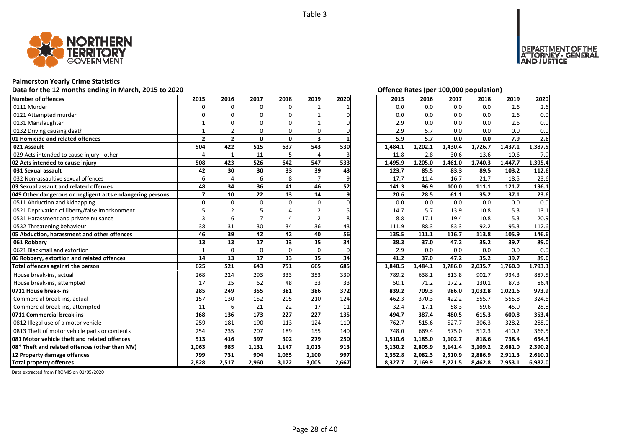

## **Palmerston Yearly Crime Statistics**

## Data for the 12 months ending in March, 2015 to 2020 *Data for the 12 months ending in March, 2015 to 2020 Offence Rates (per 100,000 population)*

| Number of offences                                        | 2015           | 2016           | 2017         | 2018         | 2019           | 2020  | 2015    | 2016    | 2017    | 2018    | 2019    | 2020    |
|-----------------------------------------------------------|----------------|----------------|--------------|--------------|----------------|-------|---------|---------|---------|---------|---------|---------|
| 0111 Murder                                               | $\Omega$       | $\Omega$       | $\Omega$     | $\Omega$     | $\mathbf{1}$   |       | 0.0     | 0.0     | 0.0     | 0.0     | 2.6     | 2.6     |
| 0121 Attempted murder                                     |                | n              | O            | O            |                |       | 0.0     | 0.0     | 0.0     | 0.0     | 2.6     | 0.0     |
| 0131 Manslaughter                                         |                |                | n            | n            |                |       | 2.9     | 0.0     | 0.0     | 0.0     | 2.6     | 0.0     |
| 0132 Driving causing death                                |                | $\overline{2}$ | $\Omega$     | $\Omega$     | 0              |       | 2.9     | 5.7     | 0.0     | 0.0     | 0.0     | 0.0     |
| 01 Homicide and related offences                          | $\overline{2}$ | $\overline{2}$ | $\mathbf{0}$ | $\mathbf{0}$ | 3              |       | 5.9     | 5.7     | 0.0     | 0.0     | 7.9     | 2.6     |
| 021 Assault                                               | 504            | 422            | 515          | 637          | 543            | 530   | 1,484.1 | 1,202.1 | 1,430.4 | 1,726.7 | 1,437.1 | 1,387.5 |
| 029 Acts intended to cause injury - other                 | $\overline{4}$ | $\mathbf{1}$   | 11           | 5            | $\overline{4}$ |       | 11.8    | 2.8     | 30.6    | 13.6    | 10.6    | 7.9     |
| 02 Acts intended to cause injury                          | 508            | 423            | 526          | 642          | 547            | 533   | 1,495.9 | 1,205.0 | 1,461.0 | 1,740.3 | 1,447.7 | 1,395.4 |
| 031 Sexual assault                                        | 42             | 30             | 30           | 33           | 39             | 43    | 123.7   | 85.5    | 83.3    | 89.5    | 103.2   | 112.6   |
| 032 Non-assaultive sexual offences                        | 6              |                | 6            | 8            |                |       | 17.7    | 11.4    | 16.7    | 21.7    | 18.5    | 23.6    |
| 03 Sexual assault and related offences                    | 48             | 34             | 36           | 41           | 46             | 52    | 141.3   | 96.9    | 100.0   | 111.1   | 121.7   | 136.1   |
| 049 Other dangerous or negligent acts endangering persons | $\overline{7}$ | 10             | 22           | 13           | 14             | 9     | 20.6    | 28.5    | 61.1    | 35.2    | 37.1    | 23.6    |
| 0511 Abduction and kidnapping                             | $\Omega$       | $\Omega$       | $\Omega$     | $\Omega$     | $\Omega$       |       | 0.0     | 0.0     | 0.0     | 0.0     | 0.0     | 0.0     |
| 0521 Deprivation of liberty/false imprisonment            |                |                |              |              |                |       | 14.7    | 5.7     | 13.9    | 10.8    | 5.3     | 13.1    |
| 0531 Harassment and private nuisance                      | 3              | 6              |              |              | 2              |       | 8.8     | 17.1    | 19.4    | 10.8    | 5.3     | 20.9    |
| 0532 Threatening behaviour                                | 38             | 31             | 30           | 34           | 36             | 43    | 111.9   | 88.3    | 83.3    | 92.2    | 95.3    | 112.6   |
| 05 Abduction, harassment and other offences               | 46             | 39             | 42           | 42           | 40             | 56    | 135.5   | 111.1   | 116.7   | 113.8   | 105.9   | 146.6   |
| 061 Robberv                                               | 13             | 13             | 17           | 13           | 15             | 34    | 38.3    | 37.0    | 47.2    | 35.2    | 39.7    | 89.0    |
| 0621 Blackmail and extortion                              | $\mathbf{1}$   | $\Omega$       | $\Omega$     | $\Omega$     | $\Omega$       |       | 2.9     | 0.0     | 0.0     | 0.0     | 0.0     | 0.0     |
| 06 Robbery, extortion and related offences                | 14             | 13             | 17           | 13           | 15             | 34    | 41.2    | 37.0    | 47.2    | 35.2    | 39.7    | 89.0    |
| Total offences against the person                         | 625            | 521            | 643          | 751          | 665            | 685   | 1,840.5 | 1,484.1 | 1,786.0 | 2,035.7 | 1,760.0 | 1,793.3 |
| House break-ins, actual                                   | 268            | 224            | 293          | 333          | 353            | 339   | 789.2   | 638.1   | 813.8   | 902.7   | 934.3   | 887.5   |
| House break-ins, attempted                                | 17             | 25             | 62           | 48           | 33             | 33    | 50.1    | 71.2    | 172.2   | 130.1   | 87.3    | 86.4    |
| 0711 House break-ins                                      | 285            | 249            | 355          | 381          | 386            | 372   | 839.2   | 709.3   | 986.0   | 1,032.8 | 1,021.6 | 973.9   |
| Commercial break-ins, actual                              | 157            | 130            | 152          | 205          | 210            | 124   | 462.3   | 370.3   | 422.2   | 555.7   | 555.8   | 324.6   |
| Commercial break-ins, attempted                           | 11             | 6              | 21           | 22           | 17             | 11    | 32.4    | 17.1    | 58.3    | 59.6    | 45.0    | 28.8    |
| 0711 Commercial break-ins                                 | 168            | 136            | 173          | 227          | 227            | 135   | 494.7   | 387.4   | 480.5   | 615.3   | 600.8   | 353.4   |
| 0812 Illegal use of a motor vehicle                       | 259            | 181            | 190          | 113          | 124            | 110   | 762.7   | 515.6   | 527.7   | 306.3   | 328.2   | 288.0   |
| 0813 Theft of motor vehicle parts or contents             | 254            | 235            | 207          | 189          | 155            | 140   | 748.0   | 669.4   | 575.0   | 512.3   | 410.2   | 366.5   |
| 081 Motor vehicle theft and related offences              | 513            | 416            | 397          | 302          | 279            | 250   | 1,510.6 | 1,185.0 | 1,102.7 | 818.6   | 738.4   | 654.5   |
| 08* Theft and related offences (other than MV)            | 1,063          | 985            | 1,131        | 1,147        | 1,013          | 913   | 3,130.2 | 2,805.9 | 3,141.4 | 3,109.2 | 2,681.0 | 2,390.2 |
| 12 Property damage offences                               | 799            | 731            | 904          | 1,065        | 1,100          | 997   | 2,352.8 | 2,082.3 | 2,510.9 | 2,886.9 | 2,911.3 | 2,610.1 |
| <b>Total property offences</b>                            | 2.828          | 2,517          | 2,960        | 3,122        | 3,005          | 2,667 | 8,327.7 | 7,169.9 | 8,221.5 | 8,462.8 | 7,953.1 | 6,982.0 |

DEPARTMENT OF THE<br>ATTORNEY - GENERAL<br>AND JUSTICE

| 2015    | 2016    | 2017    | 2018    | 2019    | 2020    |
|---------|---------|---------|---------|---------|---------|
| 0.0     | 0.0     | 0.0     | 0.0     | 2.6     | 2.6     |
| 0.0     | 0.0     | 0.0     | 0.0     | 2.6     | 0.0     |
| 2.9     | 0.0     | 0.0     | 0.0     | 2.6     | 0.0     |
| 2.9     | 5.7     | 0.0     | 0.0     | 0.0     | 0.0     |
| 5.9     | 5.7     | 0.0     | 0.0     | 7.9     | 2.6     |
| 1,484.1 | 1,202.1 | 1,430.4 | 1,726.7 | 1,437.1 | 1,387.5 |
| 11.8    | 2.8     | 30.6    | 13.6    | 10.6    | 7.9     |
| 1,495.9 | 1,205.0 | 1,461.0 | 1,740.3 | 1,447.7 | 1,395.4 |
| 123.7   | 85.5    | 83.3    | 89.5    | 103.2   | 112.6   |
| 17.7    | 11.4    | 16.7    | 21.7    | 18.5    | 23.6    |
| 141.3   | 96.9    | 100.0   | 111.1   | 121.7   | 136.1   |
| 20.6    | 28.5    | 61.1    | 35.2    | 37.1    | 23.6    |
| 0.0     | 0.0     | 0.0     | 0.0     | 0.0     | 0.0     |
| 14.7    | 5.7     | 13.9    | 10.8    | 5.3     | 13.1    |
| 8.8     | 17.1    | 19.4    | 10.8    | 5.3     | 20.9    |
| 111.9   | 88.3    | 83.3    | 92.2    | 95.3    | 112.6   |
| 135.5   | 111.1   | 116.7   | 113.8   | 105.9   | 146.6   |
| 38.3    | 37.0    | 47.2    | 35.2    | 39.7    | 89.0    |
| 2.9     | 0.0     | 0.0     | 0.0     | 0.0     | 0.0     |
| 41.2    | 37.0    | 47.2    | 35.2    | 39.7    | 89.0    |
| 1,840.5 | 1,484.1 | 1,786.0 | 2,035.7 | 1,760.0 | 1,793.3 |
| 789.2   | 638.1   | 813.8   | 902.7   | 934.3   | 887.5   |
| 50.1    | 71.2    | 172.2   | 130.1   | 87.3    | 86.4    |
| 839.2   | 709.3   | 986.0   | 1,032.8 | 1,021.6 | 973.9   |
| 462.3   | 370.3   | 422.2   | 555.7   | 555.8   | 324.6   |
| 32.4    | 17.1    | 58.3    | 59.6    | 45.0    | 28.8    |
| 494.7   | 387.4   | 480.5   | 615.3   | 600.8   | 353.4   |
| 762.7   | 515.6   | 527.7   | 306.3   | 328.2   | 288.0   |
| 748.0   | 669.4   | 575.0   | 512.3   | 410.2   | 366.5   |
| 1,510.6 | 1,185.0 | 1,102.7 | 818.6   | 738.4   | 654.5   |
| 3,130.2 |         |         |         |         |         |
|         | 2,805.9 | 3,141.4 | 3,109.2 | 2,681.0 | 2,390.2 |
| 2,352.8 | 2,082.3 | 2,510.9 | 2,886.9 | 2,911.3 | 2,610.1 |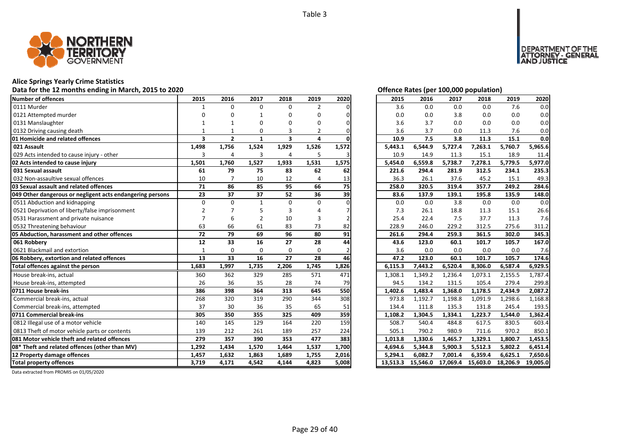

#### **Alice Springs Yearly Crime Statistics**

#### **Data for the 12 months ending in March, 2015 to 2020 Offence Rates (per 100,000 population)**

| Number of offences                                        | 2015                    | 2016           | 2017           | 2018           | 2019           | 2020  | 2015    | 2016    | 2017    | 2018    | 2019    | 2020    |
|-----------------------------------------------------------|-------------------------|----------------|----------------|----------------|----------------|-------|---------|---------|---------|---------|---------|---------|
| 0111 Murder                                               |                         | $\Omega$       | $\Omega$       | $\Omega$       | $\overline{2}$ |       | 3.6     | 0.0     | 0.0     | 0.0     | 7.6     | 0.0     |
| 0121 Attempted murder                                     |                         |                |                | O              | U              |       | 0.0     | 0.0     | 3.8     | 0.0     | 0.0     | 0.0     |
| 0131 Manslaughter                                         |                         |                | O              |                | n              |       | 3.6     | 3.7     | 0.0     | 0.0     | 0.0     | 0.0     |
| 0132 Driving causing death                                |                         |                | $\Omega$       |                | 2              |       | 3.6     | 3.7     | 0.0     | 11.3    | 7.6     | 0.0     |
| 01 Homicide and related offences                          | $\overline{\mathbf{3}}$ | $\overline{2}$ | $\mathbf{1}$   | 3              | 4              |       | 10.9    | 7.5     | 3.8     | 11.3    | 15.1    | 0.0     |
| 021 Assault                                               | 1,498                   | 1,756          | 1,524          | 1,929          | 1,526          | 1,572 | 5,443.1 | 6,544.9 | 5,727.4 | 7,263.1 | 5,760.7 | 5,965.6 |
| 029 Acts intended to cause injury - other                 | 3                       | 4              | 3              | $\overline{4}$ | 5              |       | 10.9    | 14.9    | 11.3    | 15.1    | 18.9    | 11.4    |
| 02 Acts intended to cause injury                          | 1,501                   | 1,760          | 1,527          | 1,933          | 1,531          | 1,575 | 5,454.0 | 6,559.8 | 5,738.7 | 7,278.1 | 5,779.5 | 5,977.0 |
| 031 Sexual assault                                        | 61                      | 79             | 75             | 83             | 62             | 62    | 221.6   | 294.4   | 281.9   | 312.5   | 234.1   | 235.3   |
| 032 Non-assaultive sexual offences                        | 10                      |                | 10             | 12             | 4              | 13    | 36.3    | 26.1    | 37.6    | 45.2    | 15.1    | 49.3    |
| 03 Sexual assault and related offences                    | 71                      | 86             | 85             | 95             | 66             | 75    | 258.0   | 320.5   | 319.4   | 357.7   | 249.2   | 284.6   |
| 049 Other dangerous or negligent acts endangering persons | 23                      | 37             | 37             | 52             | 36             | 39    | 83.6    | 137.9   | 139.1   | 195.8   | 135.9   | 148.0   |
| 0511 Abduction and kidnapping                             | $\Omega$                | $\Omega$       | -1             | $\Omega$       | $\Omega$       |       | 0.0     | 0.0     | 3.8     | 0.0     | 0.0     | 0.0     |
| 0521 Deprivation of liberty/false imprisonment            |                         |                |                |                |                |       | 7.3     | 26.1    | 18.8    | 11.3    | 15.1    | 26.6    |
| 0531 Harassment and private nuisance                      |                         | 6              | $\overline{2}$ | 10             | 3              |       | 25.4    | 22.4    | 7.5     | 37.7    | 11.3    | 7.6     |
| 0532 Threatening behaviour                                | 63                      | 66             | 61             | 83             | 73             | 82    | 228.9   | 246.0   | 229.2   | 312.5   | 275.6   | 311.2   |
| 05 Abduction, harassment and other offences               | 72                      | 79             | 69             | 96             | 80             | 91    | 261.6   | 294.4   | 259.3   | 361.5   | 302.0   | 345.3   |
| 061 Robberv                                               | 12                      | 33             | 16             | 27             | 28             | 44    | 43.6    | 123.0   | 60.1    | 101.7   | 105.7   | 167.0   |
| 0621 Blackmail and extortion                              | $\mathbf{1}$            | $\Omega$       | $\Omega$       | $\Omega$       | $\Omega$       |       | 3.6     | 0.0     | 0.0     | 0.0     | 0.0     | 7.6     |
| 06 Robbery, extortion and related offences                | 13                      | 33             | 16             | 27             | 28             | 46    | 47.2    | 123.0   | 60.1    | 101.7   | 105.7   | 174.6   |
| Total offences against the person                         | 1,683                   | 1,997          | 1,735          | 2,206          | 1,745          | 1,826 | 6,115.3 | 7,443.2 | 6,520.4 | 8,306.0 | 6,587.4 | 6,929.5 |
| House break-ins, actual                                   | 360                     | 362            | 329            | 285            | 571            | 471   | 1,308.1 | 1,349.2 | 1,236.4 | 1,073.1 | 2,155.5 | 1,787.4 |
| House break-ins, attempted                                | 26                      | 36             | 35             | 28             | 74             | 79    | 94.5    | 134.2   | 131.5   | 105.4   | 279.4   | 299.8   |
| 0711 House break-ins                                      | 386                     | 398            | 364            | 313            | 645            | 550   | 1,402.6 | 1,483.4 | 1,368.0 | 1,178.5 | 2,434.9 | 2,087.2 |
| Commercial break-ins, actual                              | 268                     | 320            | 319            | 290            | 344            | 308   | 973.8   | 1,192.7 | 1,198.8 | 1,091.9 | 1,298.6 | 1,168.8 |
| Commercial break-ins, attempted                           | 37                      | 30             | 36             | 35             | 65             | 51    | 134.4   | 111.8   | 135.3   | 131.8   | 245.4   | 193.5   |
| 0711 Commercial break-ins                                 | 305                     | 350            | 355            | 325            | 409            | 359   | 1,108.2 | 1,304.5 | 1,334.1 | 1.223.7 | 1.544.0 | 1.362.4 |
| 0812 Illegal use of a motor vehicle                       | 140                     | 145            | 129            | 164            | 220            | 159   | 508.7   | 540.4   | 484.8   | 617.5   | 830.5   | 603.4   |
| 0813 Theft of motor vehicle parts or contents             | 139                     | 212            | 261            | 189            | 257            | 224   | 505.1   | 790.2   | 980.9   | 711.6   | 970.2   | 850.1   |
| 081 Motor vehicle theft and related offences              | 279                     | 357            | 390            | 353            | 477            | 383   | 1,013.8 | 1,330.6 | 1,465.7 | 1,329.1 | 1,800.7 | 1,453.5 |
| 08* Theft and related offences (other than MV)            | 1,292                   | 1,434          | 1,570          | 1,464          | 1,537          | 1,700 | 4,694.6 | 5,344.8 | 5,900.3 | 5,512.3 | 5,802.2 | 6,451.4 |
| 12 Property damage offences                               |                         |                |                | 1,689          | 1,755          |       |         |         | 7,001.4 | 6,359.4 | 6,625.1 | 7,650.6 |
|                                                           | 1,457                   | 1,632          | 1,863          |                |                | 2,016 | 5,294.1 | 6,082.7 |         |         |         |         |

DEPARTMENT OF THE<br>ATTORNEY - GENERAL<br>AND JUSTICE

| 2015     | 2016     | 2017     | 2018     | 2019     | 2020     |
|----------|----------|----------|----------|----------|----------|
| 3.6      | 0.0      | 0.0      | 0.0      | 7.6      | 0.0      |
| 0.0      | 0.0      | 3.8      | 0.0      | 0.0      | 0.0      |
| 3.6      | 3.7      | 0.0      | 0.0      | 0.0      | 0.0      |
| 3.6      | 3.7      | 0.0      | 11.3     | 7.6      | 0.0      |
| 10.9     | 7.5      | 3.8      | 11.3     | 15.1     | 0.0      |
| 5,443.1  | 6,544.9  | 5,727.4  | 7,263.1  | 5,760.7  | 5,965.6  |
| 10.9     | 14.9     | 11.3     | 15.1     | 18.9     | 11.4     |
| 5,454.0  | 6,559.8  | 5,738.7  | 7,278.1  | 5,779.5  | 5,977.0  |
| 221.6    | 294.4    | 281.9    | 312.5    | 234.1    | 235.3    |
| 36.3     | 26.1     | 37.6     | 45.2     | 15.1     | 49.3     |
| 258.0    | 320.5    | 319.4    | 357.7    | 249.2    | 284.6    |
| 83.6     | 137.9    | 139.1    | 195.8    | 135.9    | 148.0    |
| 0.0      | 0.0      | 3.8      | 0.0      | 0.0      | 0.0      |
| 7.3      | 26.1     | 18.8     | 11.3     | 15.1     | 26.6     |
| 25.4     | 22.4     | 7.5      | 37.7     | 11.3     | 7.6      |
| 228.9    | 246.0    | 229.2    | 312.5    | 275.6    | 311.2    |
| 261.6    | 294.4    | 259.3    | 361.5    | 302.0    | 345.3    |
| 43.6     | 123.0    | 60.1     | 101.7    | 105.7    | 167.0    |
| 3.6      | 0.0      | 0.0      | 0.0      | 0.0      | 7.6      |
| 47.2     | 123.0    | 60.1     | 101.7    | 105.7    | 174.6    |
| 6,115.3  | 7,443.2  | 6,520.4  | 8,306.0  | 6,587.4  | 6,929.5  |
| 1,308.1  | 1,349.2  | 1,236.4  | 1,073.1  | 2,155.5  | 1,787.4  |
| 94.5     | 134.2    | 131.5    | 105.4    | 279.4    | 299.8    |
| 1,402.6  | 1,483.4  | 1,368.0  | 1,178.5  | 2,434.9  | 2,087.2  |
| 973.8    | 1,192.7  | 1,198.8  | 1,091.9  | 1,298.6  | 1,168.8  |
| 134.4    | 111.8    | 135.3    | 131.8    | 245.4    | 193.5    |
| 1,108.2  | 1,304.5  | 1,334.1  | 1,223.7  | 1,544.0  | 1,362.4  |
| 508.7    | 540.4    | 484.8    | 617.5    | 830.5    | 603.4    |
| 505.1    | 790.2    | 980.9    | 711.6    | 970.2    | 850.1    |
| 1,013.8  | 1,330.6  | 1,465.7  | 1,329.1  | 1,800.7  | 1,453.5  |
| 4,694.6  | 5,344.8  | 5,900.3  | 5,512.3  | 5,802.2  | 6,451.4  |
| 5,294.1  | 6,082.7  | 7,001.4  | 6,359.4  | 6,625.1  | 7,650.6  |
| 13,513.3 | 15,546.0 | 17,069.4 | 15,603.0 | 18,206.9 | 19,005.0 |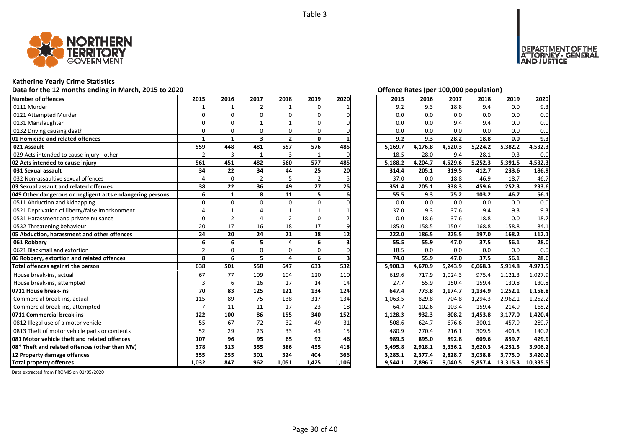

## **Katherine Yearly Crime Statistics**

## Data for the 12 months ending in March, 2015 to 2020 *Data for the 12 months ending in March, 2015 to 2020 Offence Rates (per 100,000 population)*

| Number of offences                                        | 2015           | 2016           | 2017                    | 2018           | 2019           | 2020  | 2015    | 2016    | 2017    | 2018    | 2019     | 2020     |
|-----------------------------------------------------------|----------------|----------------|-------------------------|----------------|----------------|-------|---------|---------|---------|---------|----------|----------|
| 0111 Murder                                               |                |                | $\overline{2}$          | $\mathbf{1}$   | $\Omega$       |       | 9.2     | 9.3     | 18.8    | 9.4     | 0.0      | 9.3      |
| 0121 Attempted Murder                                     |                |                | O                       | O              | U              |       | 0.0     | 0.0     | 0.0     | 0.0     | 0.0      | 0.0      |
| 0131 Manslaughter                                         |                |                |                         |                | n              |       | 0.0     | 0.0     | 9.4     | 9.4     | 0.0      | 0.0      |
| 0132 Driving causing death                                |                | ŋ              | $\Omega$                | $\Omega$       | 0              |       | 0.0     | 0.0     | 0.0     | 0.0     | 0.0      | 0.0      |
| 01 Homicide and related offences                          | 1              | 1              | $\overline{\mathbf{3}}$ | $\overline{2}$ | 0              |       | 9.2     | 9.3     | 28.2    | 18.8    | 0.0      | 9.3      |
| 021 Assault                                               | 559            | 448            | 481                     | 557            | 576            | 485   | 5,169.7 | 4,176.8 | 4,520.3 | 5,224.2 | 5,382.2  | 4,532.3  |
| 029 Acts intended to cause injury - other                 | $\overline{2}$ | 3              | 1                       | 3              | $\mathbf{1}$   | 0     | 18.5    | 28.0    | 9.4     | 28.1    | 9.3      | 0.0      |
| 02 Acts intended to cause injury                          | 561            | 451            | 482                     | 560            | 577            | 485   | 5,188.2 | 4,204.7 | 4,529.6 | 5,252.3 | 5,391.5  | 4,532.3  |
| 031 Sexual assault                                        | 34             | 22             | 34                      | 44             | 25             | 20    | 314.4   | 205.1   | 319.5   | 412.7   | 233.6    | 186.9    |
| 032 Non-assaultive sexual offences                        | 4              | $\Omega$       |                         |                | $\overline{2}$ |       | 37.0    | 0.0     | 18.8    | 46.9    | 18.7     | 46.7     |
| 03 Sexual assault and related offences                    | 38             | 22             | 36                      | 49             | 27             | 25    | 351.4   | 205.1   | 338.3   | 459.6   | 252.3    | 233.6    |
| 049 Other dangerous or negligent acts endangering persons | 6              | $\mathbf{1}$   | 8                       | 11             | 5              |       | 55.5    | 9.3     | 75.2    | 103.2   | 46.7     | 56.1     |
| 0511 Abduction and kidnapping                             | $\Omega$       | $\Omega$       | $\Omega$                | $\Omega$       | $\Omega$       |       | 0.0     | 0.0     | 0.0     | 0.0     | 0.0      | 0.0      |
| 0521 Deprivation of liberty/false imprisonment            |                |                |                         |                |                |       | 37.0    | 9.3     | 37.6    | 9.4     | 9.3      | 9.3      |
| 0531 Harassment and private nuisance                      |                | $\overline{2}$ |                         | 2              | 0              |       | 0.0     | 18.6    | 37.6    | 18.8    | 0.0      | 18.7     |
| 0532 Threatening behaviour                                | 20             | 17             | 16                      | 18             | 17             |       | 185.0   | 158.5   | 150.4   | 168.8   | 158.8    | 84.1     |
| 05 Abduction, harassment and other offences               | 24             | 20             | 24                      | 21             | 18             | 12    | 222.0   | 186.5   | 225.5   | 197.0   | 168.2    | 112.1    |
| 061 Robberv                                               | 6              | 6              | 5                       | $\Delta$       | 6              |       | 55.5    | 55.9    | 47.0    | 37.5    | 56.1     | 28.0     |
| 0621 Blackmail and extortion                              | $\overline{2}$ | O              | $\Omega$                | $\Omega$       | $\Omega$       |       | 18.5    | 0.0     | 0.0     | 0.0     | 0.0      | 0.0      |
| 06 Robbery, extortion and related offences                | 8              | 6              | 5                       | 4              | 6              |       | 74.0    | 55.9    | 47.0    | 37.5    | 56.1     | 28.0     |
| Total offences against the person                         | 638            | 501            | 558                     | 647            | 633            | 532   | 5,900.3 | 4,670.9 | 5,243.9 | 6,068.3 | 5,914.8  | 4,971.5  |
| House break-ins, actual                                   | 67             | 77             | 109                     | 104            | 120            | 110   | 619.6   | 717.9   | 1,024.3 | 975.4   | 1,121.3  | 1,027.9  |
| House break-ins, attempted                                | $\overline{3}$ | 6              | 16                      | 17             | 14             | 14    | 27.7    | 55.9    | 150.4   | 159.4   | 130.8    | 130.8    |
| 0711 House break-ins                                      | 70             | 83             | 125                     | 121            | 134            | 124   | 647.4   | 773.8   | 1,174.7 | 1,134.9 | 1,252.1  | 1,158.8  |
| Commercial break-ins, actual                              | 115            | 89             | 75                      | 138            | 317            | 134   | 1,063.5 | 829.8   | 704.8   | 1,294.3 | 2,962.1  | 1,252.2  |
| Commercial break-ins, attempted                           |                | 11             | 11                      | 17             | 23             | 18    | 64.7    | 102.6   | 103.4   | 159.4   | 214.9    | 168.2    |
| 0711 Commercial break-ins                                 | 122            | 100            | 86                      | 155            | 340            | 152   | 1,128.3 | 932.3   | 808.2   | 1,453.8 | 3,177.0  | 1,420.4  |
| 0812 Illegal use of a motor vehicle                       | 55             | 67             | 72                      | 32             | 49             | 31    | 508.6   | 624.7   | 676.6   | 300.1   | 457.9    | 289.7    |
| 0813 Theft of motor vehicle parts or contents             | 52             | 29             | 23                      | 33             | 43             | 15    | 480.9   | 270.4   | 216.1   | 309.5   | 401.8    | 140.2    |
| 081 Motor vehicle theft and related offences              | 107            | 96             | 95                      | 65             | 92             | 46    | 989.5   | 895.0   | 892.8   | 609.6   | 859.7    | 429.9    |
| 08* Theft and related offences (other than MV)            | 378            | 313            | 355                     | 386            | 455            | 418   | 3,495.8 | 2,918.1 | 3,336.2 | 3,620.3 | 4,251.5  | 3,906.2  |
| 12 Property damage offences                               | 355            | 255            | 301                     | 324            | 404            | 366   | 3,283.1 | 2,377.4 | 2,828.7 | 3,038.8 | 3,775.0  | 3,420.2  |
| <b>Total property offences</b>                            | 1.032          | 847            | 962                     | 1,051          | 1,425          | 1,106 | 9,544.1 | 7.896.7 | 9.040.5 | 9,857.4 | 13,315.3 | 10,335.5 |

DEPARTMENT OF THE<br>ATTORNEY - GENERAL<br>AND JUSTICE

| 2015    | 2016    | 2017    | 2018    | 2019     | 2020     |
|---------|---------|---------|---------|----------|----------|
| 9.2     | 9.3     | 18.8    | 9.4     | 0.0      | 9.3      |
| 0.0     | 0.0     | 0.0     | 0.0     | 0.0      | 0.0      |
| 0.0     | 0.0     | 9.4     | 9.4     | 0.0      | 0.0      |
| 0.0     | 0.0     | 0.0     | 0.0     | 0.0      | 0.0      |
| 9.2     | 9.3     | 28.2    | 18.8    | 0.0      | 9.3      |
| 5,169.7 | 4,176.8 | 4,520.3 | 5,224.2 | 5,382.2  | 4,532.3  |
| 18.5    | 28.0    | 9.4     | 28.1    | 9.3      | 0.0      |
| 5,188.2 | 4,204.7 | 4,529.6 | 5,252.3 | 5,391.5  | 4,532.3  |
| 314.4   | 205.1   | 319.5   | 412.7   | 233.6    | 186.9    |
| 37.0    | 0.0     | 18.8    | 46.9    | 18.7     | 46.7     |
| 351.4   | 205.1   | 338.3   | 459.6   | 252.3    | 233.6    |
| 55.5    | 9.3     | 75.2    | 103.2   | 46.7     | 56.1     |
| 0.0     | 0.0     | 0.0     | 0.0     | 0.0      | 0.0      |
| 37.0    | 9.3     | 37.6    | 9.4     | 9.3      | 9.3      |
| 0.0     | 18.6    | 37.6    | 18.8    | 0.0      | 18.7     |
| 185.0   | 158.5   | 150.4   | 168.8   | 158.8    | 84.1     |
| 222.0   | 186.5   | 225.5   | 197.0   | 168.2    | 112.1    |
| 55.5    | 55.9    | 47.0    | 37.5    | 56.1     | 28.0     |
| 18.5    | 0.0     | 0.0     | 0.0     | 0.0      | 0.0      |
| 74.0    | 55.9    | 47.0    | 37.5    | 56.1     | 28.0     |
| 5,900.3 | 4,670.9 | 5,243.9 | 6,068.3 | 5,914.8  | 4,971.5  |
| 619.6   | 717.9   | 1,024.3 | 975.4   | 1,121.3  | 1,027.9  |
| 27.7    | 55.9    | 150.4   | 159.4   | 130.8    | 130.8    |
| 647.4   | 773.8   | 1,174.7 | 1,134.9 | 1,252.1  | 1,158.8  |
| 1,063.5 | 829.8   | 704.8   | 1,294.3 | 2,962.1  | 1,252.2  |
| 64.7    | 102.6   | 103.4   | 159.4   | 214.9    | 168.2    |
| 1,128.3 | 932.3   | 808.2   | 1,453.8 | 3,177.0  | 1,420.4  |
| 508.6   | 624.7   | 676.6   | 300.1   | 457.9    | 289.7    |
| 480.9   | 270.4   | 216.1   | 309.5   | 401.8    | 140.2    |
| 989.5   | 895.0   | 892.8   | 609.6   | 859.7    | 429.9    |
| 3,495.8 | 2,918.1 | 3,336.2 | 3,620.3 | 4,251.5  | 3,906.2  |
| 3,283.1 | 2,377.4 | 2,828.7 | 3,038.8 | 3,775.0  | 3,420.2  |
| 9,544.1 | 7,896.7 | 9,040.5 | 9,857.4 | 13,315.3 | 10,335.5 |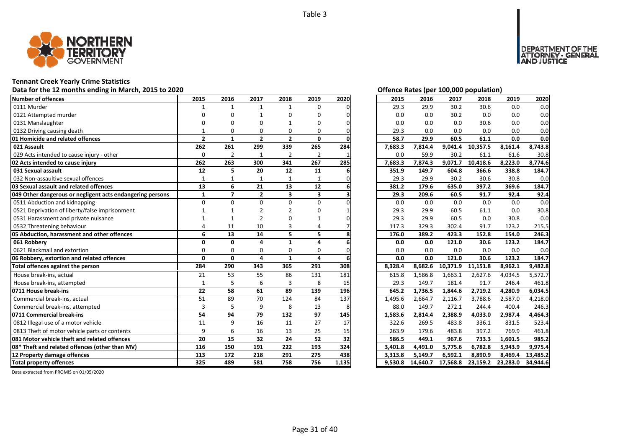

## **Tennant Creek Yearly Crime Statistics**

# Data for the 12 months ending in March, 2015 to 2020<br> **Data for the 12 months ending in March, 2015 to 2020**

| Number of offences                                        | 2015         | 2016           | 2017           | 2018                    | 2019                    | 2020  | 2015    | 2016     | 2017     | 2018     | 2019     | 2020     |
|-----------------------------------------------------------|--------------|----------------|----------------|-------------------------|-------------------------|-------|---------|----------|----------|----------|----------|----------|
| 0111 Murder                                               |              |                | $\mathbf{1}$   | $\mathbf{1}$            | $\Omega$                |       | 29.3    | 29.9     | 30.2     | 30.6     | 0.0      | 0.0      |
| 0121 Attempted murder                                     |              |                |                | n                       | n                       |       | 0.0     | 0.0      | 30.2     | 0.0      | 0.0      | 0.0      |
| 0131 Manslaughter                                         |              |                |                |                         | n                       |       | 0.0     | 0.0      | 0.0      | 30.6     | 0.0      | 0.0      |
| 0132 Driving causing death                                |              | O              | O              | 0                       | O                       |       | 29.3    | 0.0      | 0.0      | 0.0      | 0.0      | 0.0      |
| 01 Homicide and related offences                          | $\mathbf{2}$ | $\mathbf{1}$   | $\overline{2}$ | $\overline{2}$          | 0                       |       | 58.7    | 29.9     | 60.5     | 61.1     | 0.0      | 0.0      |
| 021 Assault                                               | 262          | 261            | 299            | 339                     | 265                     | 284   | 7,683.3 | 7,814.4  | 9,041.4  | 10,357.5 | 8,161.4  | 8,743.8  |
| 029 Acts intended to cause injury - other                 | 0            | $\overline{2}$ | 1              | $\overline{2}$          | $\overline{2}$          |       | 0.0     | 59.9     | 30.2     | 61.1     | 61.6     | 30.8     |
| 02 Acts intended to cause injury                          | 262          | 263            | 300            | 341                     | 267                     | 285   | 7,683.3 | 7,874.3  | 9,071.7  | 10,418.6 | 8,223.0  | 8,774.6  |
| 031 Sexual assault                                        | 12           | 5              | 20             | 12                      | 11                      |       | 351.9   | 149.7    | 604.8    | 366.6    | 338.8    | 184.7    |
| 032 Non-assaultive sexual offences                        | $\mathbf{1}$ |                |                | $\mathbf{1}$            |                         |       | 29.3    | 29.9     | 30.2     | 30.6     | 30.8     | 0.0      |
| 03 Sexual assault and related offences                    | 13           | 6              | 21             | 13                      | 12                      |       | 381.2   | 179.6    | 635.0    | 397.2    | 369.6    | 184.7    |
| 049 Other dangerous or negligent acts endangering persons | $\mathbf{1}$ | $\overline{7}$ | $\overline{2}$ | $\overline{\mathbf{3}}$ | $\overline{\mathbf{3}}$ |       | 29.3    | 209.6    | 60.5     | 91.7     | 92.4     | 92.4     |
| 0511 Abduction and kidnapping                             | $\Omega$     | $\Omega$       | $\Omega$       | $\Omega$                | $\Omega$                |       | 0.0     | 0.0      | 0.0      | 0.0      | 0.0      | 0.0      |
| 0521 Deprivation of liberty/false imprisonment            |              |                |                |                         |                         |       | 29.3    | 29.9     | 60.5     | 61.1     | 0.0      | 30.8     |
| 0531 Harassment and private nuisance                      |              |                |                |                         |                         |       | 29.3    | 29.9     | 60.5     | 0.0      | 30.8     | 0.0      |
| 0532 Threatening behaviour                                |              | 11             | 10             | 3                       |                         |       | 117.3   | 329.3    | 302.4    | 91.7     | 123.2    | 215.5    |
| 05 Abduction, harassment and other offences               | 6            | 13             | 14             | 5                       | 5                       |       | 176.0   | 389.2    | 423.3    | 152.8    | 154.0    | 246.3    |
| 061 Robbery                                               | ŋ            | $\Omega$       | $\Delta$       | $\mathbf{1}$            | Δ                       |       | 0.0     | 0.0      | 121.0    | 30.6     | 123.2    | 184.7    |
| 0621 Blackmail and extortion                              | O            | $\Omega$       | $\Omega$       | $\Omega$                | $\Omega$                |       | 0.0     | 0.0      | 0.0      | 0.0      | 0.0      | 0.0      |
| 06 Robbery, extortion and related offences                | $\Omega$     | $\mathbf{0}$   | 4              | $\mathbf{1}$            | 4                       |       | 0.0     | 0.0      | 121.0    | 30.6     | 123.2    | 184.7    |
| Total offences against the person                         | 284          | 290            | 343            | 365                     | 291                     | 308   | 8,328.4 | 8.682.6  | 10,371.9 | 11,151.8 | 8,962.1  | 9,482.8  |
| House break-ins, actual                                   | 21           | 53             | 55             | 86                      | 131                     | 181   | 615.8   | 1,586.8  | 1.663.1  | 2,627.6  | 4,034.5  | 5,572.7  |
| House break-ins, attempted                                | $\mathbf{1}$ |                | 6              | 3                       | 8                       | 15    | 29.3    | 149.7    | 181.4    | 91.7     | 246.4    | 461.8    |
| 0711 House break-ins                                      | 22           | 58             | 61             | 89                      | 139                     | 196   | 645.2   | 1,736.5  | 1,844.6  | 2,719.2  | 4,280.9  | 6.034.5  |
| Commercial break-ins, actual                              | 51           | 89             | 70             | 124                     | 84                      | 137   | 1,495.6 | 2,664.7  | 2,116.7  | 3,788.6  | 2,587.0  | 4,218.0  |
| Commercial break-ins, attempted                           | 3            | -5             | 9              | 8                       | 13                      | 8     | 88.0    | 149.7    | 272.1    | 244.4    | 400.4    | 246.3    |
| 0711 Commercial break-ins                                 | 54           | 94             | 79             | 132                     | 97                      | 145   | 1,583.6 | 2,814.4  | 2,388.9  | 4,033.0  | 2,987.4  | 4,464.3  |
| 0812 Illegal use of a motor vehicle                       | 11           | $\mathsf{q}$   | 16             | 11                      | 27                      | 17    | 322.6   | 269.5    | 483.8    | 336.1    | 831.5    | 523.4    |
| 0813 Theft of motor vehicle parts or contents             | 9            | 6              | 16             | 13                      | 25                      | 15    | 263.9   | 179.6    | 483.8    | 397.2    | 769.9    | 461.8    |
| 081 Motor vehicle theft and related offences              | 20           | 15             | 32             | 24                      | 52                      | 32    | 586.5   | 449.1    | 967.6    | 733.3    | 1,601.5  | 985.2    |
| 08* Theft and related offences (other than MV)            | 116          | 150            | 191            | 222                     | 193                     | 324   | 3,401.8 | 4,491.0  | 5,775.6  | 6,782.8  | 5,943.9  | 9,975.4  |
| 12 Property damage offences                               | 113          | 172            | 218            | 291                     | 275                     | 438   | 3,313.8 | 5,149.7  | 6,592.1  | 8,890.9  | 8,469.4  | 13,485.2 |
| <b>Total property offences</b>                            | 325          | 489            | 581            | 758                     | 756                     | 1,135 | 9,530.8 | 14,640.7 | 17,568.8 | 23,159.2 | 23,283.0 | 34,944.6 |

DEPARTMENT OF THE<br>ATTORNEY - GENERAL ÜŠTICE

| 2015<br>2016 |         |          | 2017     | 2018     | 2019     | 2020     |
|--------------|---------|----------|----------|----------|----------|----------|
|              | 29.3    | 29.9     | 30.2     | 30.6     | 0.0      | 0.0      |
|              | 0.0     | 0.0      | 30.2     | 0.0      | 0.0      | 0.0      |
|              | 0.0     | 0.0      | 0.0      | 30.6     | 0.0      | 0.0      |
|              | 29.3    | 0.0      | 0.0      | 0.0      | 0.0      | 0.0      |
|              | 58.7    | 29.9     | 60.5     | 61.1     | 0.0      | 0.0      |
|              | 7,683.3 | 7,814.4  | 9,041.4  | 10,357.5 | 8,161.4  | 8,743.8  |
|              | 0.0     | 59.9     | 30.2     | 61.1     | 61.6     | 30.8     |
|              | 7,683.3 | 7,874.3  | 9,071.7  | 10,418.6 | 8,223.0  | 8,774.6  |
|              | 351.9   | 149.7    | 604.8    | 366.6    | 338.8    | 184.7    |
|              | 29.3    | 29.9     | 30.2     | 30.6     | 30.8     | 0.0      |
|              | 381.2   | 179.6    | 635.0    | 397.2    | 369.6    | 184.7    |
|              | 29.3    | 209.6    | 60.5     | 91.7     | 92.4     | 92.4     |
|              | 0.0     | 0.0      | 0.0      | 0.0      | 0.0      | 0.0      |
|              | 29.3    | 29.9     | 60.5     | 61.1     | 0.0      | 30.8     |
|              | 29.3    | 29.9     | 60.5     | 0.0      | 30.8     | 0.0      |
|              | 117.3   | 329.3    | 302.4    | 91.7     | 123.2    | 215.5    |
|              | 176.0   | 389.2    | 423.3    | 152.8    | 154.0    | 246.3    |
|              | 0.0     | 0.0      | 121.0    | 30.6     | 123.2    | 184.7    |
|              | 0.0     | 0.0      | 0.0      | 0.0      | 0.0      | 0.0      |
|              | 0.0     | 0.0      | 121.0    | 30.6     | 123.2    | 184.7    |
|              | 8,328.4 | 8,682.6  | 10,371.9 | 11,151.8 | 8,962.1  | 9,482.8  |
|              | 615.8   | 1,586.8  | 1,663.1  | 2,627.6  | 4,034.5  | 5,572.7  |
|              | 29.3    | 149.7    | 181.4    | 91.7     | 246.4    | 461.8    |
|              | 645.2   | 1,736.5  | 1,844.6  | 2,719.2  | 4,280.9  | 6,034.5  |
|              | 1,495.6 | 2,664.7  | 2,116.7  | 3,788.6  | 2,587.0  | 4,218.0  |
|              | 88.0    | 149.7    | 272.1    | 244.4    | 400.4    | 246.3    |
|              | 1,583.6 | 2,814.4  | 2,388.9  | 4,033.0  | 2,987.4  | 4,464.3  |
|              | 322.6   | 269.5    | 483.8    | 336.1    | 831.5    | 523.4    |
|              | 263.9   | 179.6    | 483.8    | 397.2    | 769.9    | 461.8    |
|              | 586.5   | 449.1    | 967.6    | 733.3    | 1,601.5  | 985.2    |
|              | 3,401.8 | 4,491.0  | 5,775.6  | 6,782.8  | 5,943.9  | 9,975.4  |
|              | 3,313.8 | 5,149.7  | 6,592.1  | 8,890.9  | 8,469.4  | 13,485.2 |
|              | 9,530.8 | 14,640.7 | 17,568.8 | 23,159.2 | 23,283.0 | 34,944.6 |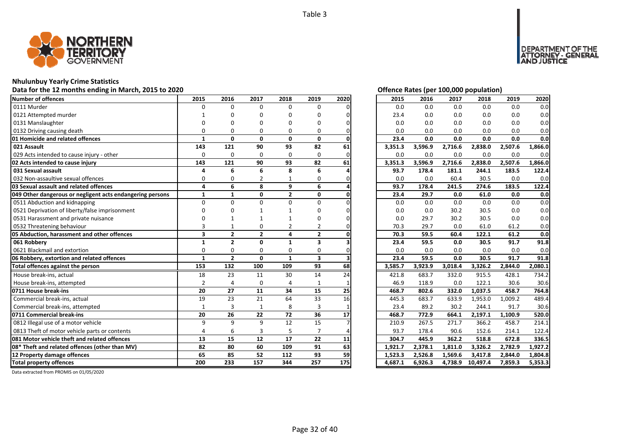

## **Nhulunbuy Yearly Crime Statistics**

## Data for the 12 months ending in March, 2015 to 2020<br> **Data for the 12 months ending in March, 2015 to 2020**

| <b>Number of offences</b>                                 | 2015                    | 2016           | 2017           | 2018         | 2019                    | 2020 | 2015    | 2016    | 2017    | 2018     | 2019    | 2020    |
|-----------------------------------------------------------|-------------------------|----------------|----------------|--------------|-------------------------|------|---------|---------|---------|----------|---------|---------|
| 0111 Murder                                               | $\Omega$                | $\Omega$       | $\Omega$       | $\Omega$     | $\Omega$                |      | 0.0     | 0.0     | 0.0     | 0.0      | 0.0     | 0.0     |
| 0121 Attempted murder                                     |                         | ŋ              | O              | ŋ            | O                       |      | 23.4    | 0.0     | 0.0     | 0.0      | 0.0     | 0.0     |
| 0131 Manslaughter                                         |                         |                | n              | n            | O                       |      | 0.0     | 0.0     | 0.0     | 0.0      | 0.0     | 0.0     |
| 0132 Driving causing death                                | O                       | O              | $\Omega$       | $\Omega$     | 0                       |      | 0.0     | 0.0     | 0.0     | 0.0      | 0.0     | 0.0     |
| 01 Homicide and related offences                          | 1                       | 0              | $\mathbf{0}$   | $\mathbf{0}$ | $\mathbf{0}$            |      | 23.4    | 0.0     | 0.0     | 0.0      | 0.0     | 0.0     |
| 021 Assault                                               | 143                     | 121            | 90             | 93           | 82                      | 61   | 3,351.3 | 3,596.9 | 2,716.6 | 2,838.0  | 2,507.6 | 1,866.0 |
| 029 Acts intended to cause injury - other                 | $\Omega$                | $\mathbf 0$    | $\Omega$       | $\Omega$     | 0                       |      | 0.0     | 0.0     | 0.0     | 0.0      | 0.0     | 0.0     |
| 02 Acts intended to cause injury                          | 143                     | 121            | 90             | 93           | 82                      | 61   | 3,351.3 | 3,596.9 | 2,716.6 | 2,838.0  | 2,507.6 | 1,866.0 |
| 031 Sexual assault                                        | Δ                       | 6              | 6              | 8            | 6                       |      | 93.7    | 178.4   | 181.1   | 244.1    | 183.5   | 122.4   |
| 032 Non-assaultive sexual offences                        | $\Omega$                | 0              |                |              | 0                       |      | 0.0     | 0.0     | 60.4    | 30.5     | 0.0     | 0.0     |
| 03 Sexual assault and related offences                    | 4                       | 6              | 8              | 9            | 6                       |      | 93.7    | 178.4   | 241.5   | 274.6    | 183.5   | 122.4   |
| 049 Other dangerous or negligent acts endangering persons | $\mathbf{1}$            | $\mathbf{1}$   | $\mathbf{0}$   | $\mathbf{2}$ | 0                       |      | 23.4    | 29.7    | 0.0     | 61.0     | 0.0     | 0.0     |
| 0511 Abduction and kidnapping                             | $\Omega$                | O              | $\Omega$       | $\Omega$     | 0                       |      | 0.0     | 0.0     | 0.0     | 0.0      | 0.0     | 0.0     |
| 0521 Deprivation of liberty/false imprisonment            |                         |                |                |              | n                       |      | 0.0     | 0.0     | 30.2    | 30.5     | 0.0     | 0.0     |
| 0531 Harassment and private nuisance                      |                         |                |                |              |                         |      | 0.0     | 29.7    | 30.2    | 30.5     | 0.0     | 0.0     |
| 0532 Threatening behaviour                                |                         |                | O              | 2            | 2                       |      | 70.3    | 29.7    | 0.0     | 61.0     | 61.2    | 0.0     |
| 05 Abduction, harassment and other offences               | $\overline{\mathbf{3}}$ | $\overline{2}$ | $\overline{2}$ | 4            | $\overline{2}$          |      | 70.3    | 59.5    | 60.4    | 122.1    | 61.2    | 0.0     |
| 061 Robberv                                               | $\mathbf{1}$            | $\overline{2}$ | $\mathbf{0}$   | 1            | 3                       |      | 23.4    | 59.5    | 0.0     | 30.5     | 91.7    | 91.8    |
| 0621 Blackmail and extortion                              | $\Omega$                | $\Omega$       | $\Omega$       | $\Omega$     | $\Omega$                |      | 0.0     | 0.0     | 0.0     | 0.0      | 0.0     | 0.0     |
| 06 Robbery, extortion and related offences                | $\mathbf{1}$            | $\overline{2}$ | $\mathbf{0}$   | $\mathbf{1}$ | $\overline{\mathbf{3}}$ |      | 23.4    | 59.5    | 0.0     | 30.5     | 91.7    | 91.8    |
| Total offences against the person                         | 153                     | 132            | 100            | 109          | 93                      | 68   | 3,585.7 | 3,923.9 | 3,018.4 | 3,326.2  | 2,844.0 | 2,080.1 |
| House break-ins, actual                                   | 18                      | 23             | 11             | 30           | 14                      | 24   | 421.8   | 683.7   | 332.0   | 915.5    | 428.1   | 734.2   |
| House break-ins, attempted                                | $\overline{2}$          | $\Delta$       | $\Omega$       | Δ            |                         |      | 46.9    | 118.9   | 0.0     | 122.1    | 30.6    | 30.6    |
| 0711 House break-ins                                      | 20                      | 27             | 11             | 34           | 15                      | 25   | 468.7   | 802.6   | 332.0   | 1,037.5  | 458.7   | 764.8   |
| Commercial break-ins, actual                              | 19                      | 23             | 21             | 64           | 33                      | 16   | 445.3   | 683.7   | 633.9   | 1,953.0  | 1,009.2 | 489.4   |
| Commercial break-ins, attempted                           | 1                       | 3              | $\mathbf{1}$   | 8            | 3                       |      | 23.4    | 89.2    | 30.2    | 244.1    | 91.7    | 30.6    |
| 0711 Commercial break-ins                                 | 20                      | 26             | 22             | 72           | 36                      | 17   | 468.7   | 772.9   | 664.1   | 2,197.1  | 1.100.9 | 520.0   |
| 0812 Illegal use of a motor vehicle                       | 9                       | $\mathbf{q}$   | 9              | 12           | 15                      |      | 210.9   | 267.5   | 271.7   | 366.2    | 458.7   | 214.1   |
| 0813 Theft of motor vehicle parts or contents             | 4                       | 6              | 3              | 5            |                         |      | 93.7    | 178.4   | 90.6    | 152.6    | 214.1   | 122.4   |
| 081 Motor vehicle theft and related offences              | 13                      | 15             | 12             | 17           | 22                      | 11   | 304.7   | 445.9   | 362.2   | 518.8    | 672.8   | 336.5   |
| 08* Theft and related offences (other than MV)            | 82                      | 80             | 60             | 109          | 91                      | 63   | 1.921.7 | 2,378.1 | 1,811.0 | 3,326.2  | 2,782.9 | 1,927.2 |
| 12 Property damage offences                               | 65                      | 85             | 52             | 112          | 93                      | 59   | 1,523.3 | 2,526.8 | 1,569.6 | 3,417.8  | 2,844.0 | 1,804.8 |
| <b>Total property offences</b>                            | 200                     | 233            | 157            | 344          | 257                     | 175  | 4,687.1 | 6,926.3 | 4,738.9 | 10,497.4 | 7,859.3 | 5,353.3 |

DEPARTMENT OF THE<br>ATTORNEY - GENERAL ÜSTICE

| 2015    | 2016    | 2017    | 2018     | 2019    | 2020                 |
|---------|---------|---------|----------|---------|----------------------|
| 0.0     | 0.0     | 0.0     | 0.0      | 0.0     | 0.0                  |
| 23.4    | 0.0     | 0.0     | 0.0      | 0.0     | 0.0                  |
| 0.0     | 0.0     | 0.0     | 0.0      | 0.0     | 0.0                  |
| 0.0     | 0.0     | 0.0     | 0.0      | 0.0     | 0.0                  |
| 23.4    | 0.0     | 0.0     | 0.0      | 0.0     | 0.0                  |
| 3,351.3 | 3,596.9 | 2,716.6 | 2,838.0  | 2,507.6 | 1,866.0              |
| 0.0     | 0.0     | 0.0     | 0.0      | 0.0     | 0.0                  |
| 3,351.3 | 3,596.9 | 2,716.6 | 2,838.0  | 2,507.6 | $\overline{1,}866.0$ |
| 93.7    | 178.4   | 181.1   | 244.1    | 183.5   | 122.4                |
| 0.0     | 0.0     | 60.4    | 30.5     | 0.0     | 0.0                  |
| 93.7    | 178.4   | 241.5   | 274.6    | 183.5   | 122.4                |
| 23.4    | 29.7    | 0.0     | 61.0     | 0.0     | 0.0                  |
| 0.0     | 0.0     | 0.0     | 0.0      | 0.0     | 0.0                  |
| 0.0     | 0.0     | 30.2    | 30.5     | 0.0     | 0.0                  |
| 0.0     | 29.7    | 30.2    | 30.5     | 0.0     | 0.0                  |
| 70.3    | 29.7    | 0.0     | 61.0     | 61.2    | 0.0                  |
| 70.3    | 59.5    | 60.4    | 122.1    | 61.2    | 0.0                  |
| 23.4    | 59.5    | 0.0     | 30.5     | 91.7    | 91.8                 |
| 0.0     | 0.0     | 0.0     | 0.0      | 0.0     | 0.0                  |
| 23.4    | 59.5    | 0.0     | 30.5     | 91.7    | 91.8                 |
| 3,585.7 | 3,923.9 | 3,018.4 | 3,326.2  | 2,844.0 | 2,080.1              |
| 421.8   | 683.7   | 332.0   | 915.5    | 428.1   | 734.2                |
| 46.9    | 118.9   | 0.0     | 122.1    | 30.6    | 30.6                 |
| 468.7   | 802.6   | 332.0   | 1,037.5  | 458.7   | 764.8                |
| 445.3   | 683.7   | 633.9   | 1,953.0  | 1,009.2 | 489.4                |
| 23.4    | 89.2    | 30.2    | 244.1    | 91.7    | 30.6                 |
| 468.7   | 772.9   | 664.1   | 2,197.1  | 1,100.9 | 520.0                |
| 210.9   | 267.5   | 271.7   | 366.2    | 458.7   | 214.1                |
| 93.7    | 178.4   | 90.6    | 152.6    | 214.1   | 122.4                |
| 304.7   | 445.9   | 362.2   | 518.8    | 672.8   | 336.5                |
| 1,921.7 | 2,378.1 | 1,811.0 | 3,326.2  | 2,782.9 | 1,927.2              |
| 1,523.3 | 2,526.8 | 1,569.6 | 3,417.8  | 2,844.0 | 1,804.8              |
| 4,687.1 | 6,926.3 | 4,738.9 | 10,497.4 | 7,859.3 | $5,353.\overline{3}$ |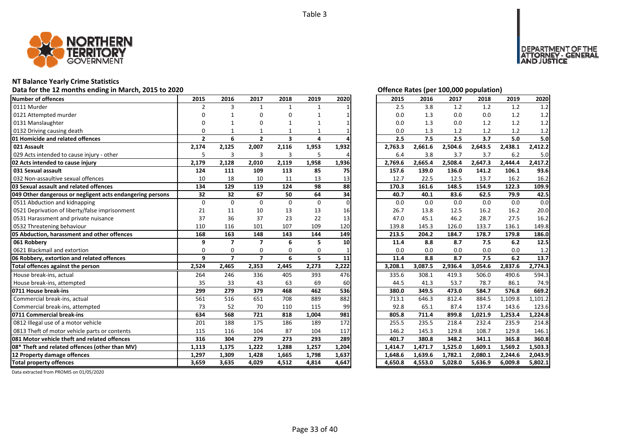

## **NT Balance Yearly Crime Statistics**

## Data for the 12 months ending in March, 2015 to 2020<br> **Data for the 12 months ending in March, 2015 to 2020**

| Number of offences                                        | 2015           | 2016                     | 2017                    | 2018                    | 2019  | 2020     | 2015    | 2016    | 2017    | 2018    | 2019    | 2020    |
|-----------------------------------------------------------|----------------|--------------------------|-------------------------|-------------------------|-------|----------|---------|---------|---------|---------|---------|---------|
| 0111 Murder                                               | $\overline{2}$ | 3                        | $\mathbf{1}$            | $\mathbf{1}$            |       |          | 2.5     | 3.8     | 1.2     | 1.2     | 1.2     | 1.2     |
| 0121 Attempted murder                                     | ŋ              |                          | $\Omega$                | O                       |       |          | 0.0     | 1.3     | 0.0     | 0.0     | 1.2     | 1.2     |
| 0131 Manslaughter                                         |                |                          | 0                       | $\mathbf{1}$            |       |          | 0.0     | 1.3     | 0.0     | 1.2     | 1.2     | 1.2     |
| 0132 Driving causing death                                | $\Omega$       |                          |                         |                         |       |          | 0.0     | 1.3     | 1.2     | 1.2     | 1.2     | 1.2     |
| 01 Homicide and related offences                          | $\overline{2}$ | 6                        | $\overline{2}$          | $\overline{\mathbf{3}}$ | 4     |          | 2.5     | 7.5     | 2.5     | 3.7     | 5.0     | 5.0     |
| 021 Assault                                               | 2,174          | 2,125                    | 2,007                   | 2,116                   | 1,953 | 1,932    | 2,763.3 | 2,661.6 | 2,504.6 | 2,643.5 | 2,438.1 | 2,412.2 |
| 029 Acts intended to cause injury - other                 | 5              | 3                        | 3                       | $\overline{3}$          | 5     |          | 6.4     | 3.8     | 3.7     | 3.7     | 6.2     | 5.0     |
| 02 Acts intended to cause injury                          | 2,179          | 2,128                    | 2,010                   | 2,119                   | 1,958 | 1,936    | 2,769.6 | 2,665.4 | 2,508.4 | 2,647.3 | 2,444.4 | 2,417.2 |
| 031 Sexual assault                                        | 124            | 111                      | 109                     | 113                     | 85    | 75       | 157.6   | 139.0   | 136.0   | 141.2   | 106.1   | 93.6    |
| 032 Non-assaultive sexual offences                        | 10             | 18                       | 10                      | 11                      | 13    | 13       | 12.7    | 22.5    | 12.5    | 13.7    | 16.2    | 16.2    |
| 03 Sexual assault and related offences                    | 134            | 129                      | 119                     | 124                     | 98    | 88       | 170.3   | 161.6   | 148.5   | 154.9   | 122.3   | 109.9   |
| 049 Other dangerous or negligent acts endangering persons | 32             | 32                       | 67                      | 50                      | 64    | 34       | 40.7    | 40.1    | 83.6    | 62.5    | 79.9    | 42.5    |
| 0511 Abduction and kidnapping                             | 0              | $\Omega$                 | $\Omega$                | $\Omega$                | 0     | $\Omega$ | 0.0     | 0.0     | 0.0     | 0.0     | 0.0     | 0.0     |
| 0521 Deprivation of liberty/false imprisonment            | 21             | 11                       | 10                      | 13                      | 13    | 16       | 26.7    | 13.8    | 12.5    | 16.2    | 16.2    | 20.0    |
| 0531 Harassment and private nuisance                      | 37             | 36                       | 37                      | 23                      | 22    | 13       | 47.0    | 45.1    | 46.2    | 28.7    | 27.5    | 16.2    |
| 0532 Threatening behaviour                                | 110            | 116                      | 101                     | 107                     | 109   | 120      | 139.8   | 145.3   | 126.0   | 133.7   | 136.1   | 149.8   |
| 05 Abduction, harassment and other offences               | 168            | 163                      | 148                     | 143                     | 144   | 149      | 213.5   | 204.2   | 184.7   | 178.7   | 179.8   | 186.0   |
| 061 Robbery                                               | 9              | $\overline{\phantom{a}}$ | $\overline{\mathbf{z}}$ | 6                       | 5     | 10       | 11.4    | 8.8     | 8.7     | 7.5     | 6.2     | 12.5    |
| 0621 Blackmail and extortion                              | $\Omega$       | $\Omega$                 | 0                       | 0                       | 0     |          | 0.0     | 0.0     | 0.0     | 0.0     | 0.0     | 1.2     |
| 06 Robbery, extortion and related offences                | 9              | $\overline{\phantom{a}}$ | $\overline{ }$          | 6                       | 5.    | 11       | 11.4    | 8.8     | 8.7     | 7.5     | 6.2     | 13.7    |
| Total offences against the person                         | 2,524          | 2,465                    | 2,353                   | 2,445                   | 2,273 | 2,222    | 3,208.1 | 3,087.5 | 2,936.4 | 3,054.6 | 2,837.6 | 2,774.3 |
| House break-ins, actual                                   | 264            | 246                      | 336                     | 405                     | 393   | 476      | 335.6   | 308.1   | 419.3   | 506.0   | 490.6   | 594.3   |
| House break-ins, attempted                                | 35             | 33                       | 43                      | 63                      | 69    | 60       | 44.5    | 41.3    | 53.7    | 78.7    | 86.1    | 74.9    |
| 0711 House break-ins                                      | 299            | 279                      | 379                     | 468                     | 462   | 536      | 380.0   | 349.5   | 473.0   | 584.7   | 576.8   | 669.2   |
| Commercial break-ins, actual                              | 561            | 516                      | 651                     | 708                     | 889   | 882      | 713.1   | 646.3   | 812.4   | 884.5   | 1,109.8 | 1,101.2 |
| Commercial break-ins, attempted                           | 73             | 52                       | 70                      | 110                     | 115   | 99       | 92.8    | 65.1    | 87.4    | 137.4   | 143.6   | 123.6   |
| 0711 Commercial break-ins                                 | 634            | 568                      | 721                     | 818                     | 1,004 | 981      | 805.8   | 711.4   | 899.8   | 1,021.9 | 1,253.4 | 1,224.8 |
| 0812 Illegal use of a motor vehicle                       | 201            | 188                      | 175                     | 186                     | 189   | 172      | 255.5   | 235.5   | 218.4   | 232.4   | 235.9   | 214.8   |
| 0813 Theft of motor vehicle parts or contents             | 115            | 116                      | 104                     | 87                      | 104   | 117      | 146.2   | 145.3   | 129.8   | 108.7   | 129.8   | 146.1   |
| 081 Motor vehicle theft and related offences              | 316            | 304                      | 279                     | 273                     | 293   | 289      | 401.7   | 380.8   | 348.2   | 341.1   | 365.8   | 360.8   |
| 08* Theft and related offences (other than MV)            | 1,113          | 1,175                    | 1,222                   | 1,288                   | 1,257 | 1,204    | 1,414.7 | 1,471.7 | 1,525.0 | 1,609.1 | 1,569.2 | 1,503.3 |
| 12 Property damage offences                               | 1,297          | 1,309                    | 1,428                   | 1,665                   | 1,798 | 1,637    | 1,648.6 | 1,639.6 | 1,782.1 | 2,080.1 | 2,244.6 | 2,043.9 |
| <b>Total property offences</b>                            | 3.659          | 3,635                    | 4,029                   | 4,512                   | 4,814 | 4,647    | 4,650.8 | 4,553.0 | 5,028.0 | 5,636.9 | 6,009.8 | 5,802.1 |

NT OF THE<br>' - GENERAL

JSTICE

**DEPAR** 

| 2015    | 2016    | 2017    | 2018    | 2019    | 2020    |
|---------|---------|---------|---------|---------|---------|
| 2.5     | 3.8     | 1.2     | 1.2     | 1.2     | 1.2     |
| 0.0     | 1.3     | 0.0     | 0.0     | 1.2     | 1.2     |
| 0.0     | 1.3     | 0.0     | 1.2     | 1.2     | 1.2     |
| 0.0     | 1.3     | 1.2     | 1.2     | 1.2     | 1.2     |
| 2.5     | 7.5     | 2.5     | 3.7     | 5.0     | 5.0     |
| 2,763.3 | 2,661.6 | 2,504.6 | 2,643.5 | 2,438.1 | 2,412.2 |
| 6.4     | 3.8     | 3.7     | 3.7     | 6.2     | 5.0     |
| 2,769.6 | 2,665.4 | 2,508.4 | 2,647.3 | 2,444.4 | 2,417.2 |
| 157.6   | 139.0   | 136.0   | 141.2   | 106.1   | 93.6    |
| 12.7    | 22.5    | 12.5    | 13.7    | 16.2    | 16.2    |
| 170.3   | 161.6   | 148.5   | 154.9   | 122.3   | 109.9   |
| 40.7    | 40.1    | 83.6    | 62.5    | 79.9    | 42.5    |
| 0.0     | 0.0     | 0.0     | 0.0     | 0.0     | 0.0     |
| 26.7    | 13.8    | 12.5    | 16.2    | 16.2    | 20.0    |
| 47.0    | 45.1    | 46.2    | 28.7    | 27.5    | 16.2    |
| 139.8   | 145.3   | 126.0   | 133.7   | 136.1   | 149.8   |
| 213.5   | 204.2   | 184.7   | 178.7   | 179.8   | 186.0   |
| 11.4    | 8.8     | 8.7     | 7.5     | 6.2     | 12.5    |
| 0.0     | 0.0     | 0.0     | 0.0     | 0.0     | 1.2     |
| 11.4    | 8.8     | 8.7     | 7.5     | 6.2     | 13.7    |
| 3,208.1 | 3,087.5 | 2,936.4 | 3,054.6 | 2,837.6 | 2,774.3 |
| 335.6   | 308.1   | 419.3   | 506.0   | 490.6   | 594.3   |
| 44.5    | 41.3    | 53.7    | 78.7    | 86.1    | 74.9    |
| 380.0   | 349.5   | 473.0   | 584.7   | 576.8   | 669.2   |
| 713.1   | 646.3   | 812.4   | 884.5   | 1,109.8 | 1,101.2 |
| 92.8    | 65.1    | 87.4    | 137.4   | 143.6   | 123.6   |
| 805.8   | 711.4   | 899.8   | 1,021.9 | 1,253.4 | 1,224.8 |
| 255.5   | 235.5   | 218.4   | 232.4   | 235.9   | 214.8   |
| 146.2   | 145.3   | 129.8   | 108.7   | 129.8   | 146.1   |
| 401.7   | 380.8   | 348.2   | 341.1   | 365.8   | 360.8   |
| 1,414.7 | 1,471.7 | 1,525.0 | 1,609.1 | 1,569.2 | 1,503.3 |
| 1,648.6 | 1,639.6 | 1,782.1 | 2,080.1 | 2,244.6 | 2,043.9 |
| 4,650.8 | 4,553.0 | 5,028.0 | 5,636.9 | 6,009.8 | 5,802.1 |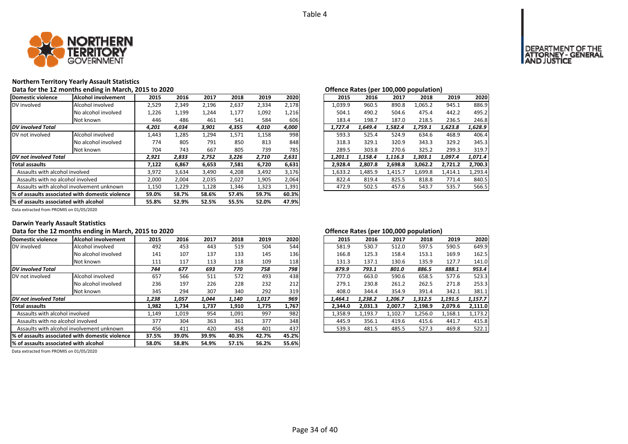

## **Northern Territory Yearly Assault Statistics**

Data for the 12 months ending in March, 2015 to 2020<br> **Data for the 12 months ending in March, 2015 to 2020** 

| Domestic violence                                | <b>Alcohol involvement</b> | 2015  | 2016  | 2017  | 2018  | 2019  | 2020  | 2015    | 2016    | 2017    | 2018    | 2019    | 2020    |
|--------------------------------------------------|----------------------------|-------|-------|-------|-------|-------|-------|---------|---------|---------|---------|---------|---------|
| DV involved                                      | Alcohol involved           | 2,529 | 2,349 | 2,196 | 2,637 | 2,334 | 2,178 | 1,039.9 | 960.5   | 890.8   | 1,065.2 | 945.1   | 886.9   |
|                                                  | No alcohol involved        | 1,226 | 1,199 | 1,244 | 1,177 | 1,092 | 1,216 | 504.1   | 490.2   | 504.6   | 475.4   | 442.2   | 495.2   |
|                                                  | Not known                  | 446   | 486   | 461   | 541   | 584   | 606   | 183.4   | 198.7   | 187.0   | 218.5   | 236.5   | 246.8   |
| <b>DV</b> involved Total                         |                            | 4,201 | 4,034 | 3,901 | 4,355 | 4,010 | 4,000 | 1.727.4 | 1,649.4 | 1,582.4 | 1,759.1 | 1,623.8 | 1,628.9 |
| DV not involved                                  | Alcohol involved           | 1,443 | 1,285 | 1,294 | 1,571 | 1,158 | 998   | 593.3   | 525.4   | 524.9   | 634.6   | 468.9   | 406.4   |
|                                                  | No alcohol involved        | 774   | 805   | 791   | 850   | 813   | 848   | 318.3   | 329.1   | 320.9   | 343.3   | 329.2   | 345.3   |
|                                                  | Not known                  | 704   | 743   | 667   | 805   | 739   | 785   | 289.5   | 303.8   | 270.6   | 325.2   | 299.3   | 319.7   |
| DV not involved Total                            |                            | 2,921 | 2,833 | 2,752 | 3,226 | 2,710 | 2,631 | 1.201.1 | 1.158.4 | 1.116.3 | 1.303.1 | 1,097.4 | 1,071.4 |
| <b>Total assaults</b>                            |                            | 7,122 | 6,867 | 6,653 | 7,581 | 6,720 | 6,631 | 2,928.4 | 2,807.8 | 2,698.8 | 3,062.2 | 2,721.2 | 2,700.3 |
| Assaults with alcohol involved                   |                            | 3,972 | 3,634 | 3,490 | 4,208 | 3,492 | 3,176 | 1,633.2 | 1,485.9 | 1,415.7 | 1,699.8 | 1,414.1 | 1,293.4 |
| Assaults with no alcohol involved                |                            | 2,000 | 2,004 | 2,035 | 2,027 | 1,905 | 2,064 | 822.4   | 819.4   | 825.5   | 818.8   | 771.4   | 840.5   |
| Assaults with alcohol involvement unknown        |                            | 1,150 | 1,229 | 1,128 | 1,346 | 1,323 | 1,391 | 472.9   | 502.5   | 457.6   | 543.7   | 535.7   | 566.5   |
| 1% of assaults associated with domestic violence |                            | 59.0% | 58.7% | 58.6% | 57.4% | 59.7% | 60.3% |         |         |         |         |         |         |
| % of assaults associated with alcohol            |                            | 55.8% | 52.9% | 52.5% | 55.5% | 52.0% | 47.9% |         |         |         |         |         |         |

| 2016    | 2017    | 2018    | 2019    | 2020    |
|---------|---------|---------|---------|---------|
| 960.5   | 890.8   | 1.065.2 | 945.1   | 886.9   |
| 490.2   | 504.6   | 475.4   | 442.2   | 495.2   |
| 198.7   | 187.0   | 218.5   | 236.5   | 246.8   |
| 1.649.4 | 1.582.4 | 1,759.1 | 1,623.8 | 1,628.9 |
| 525.4   | 524.9   | 634.6   | 468.9   | 406.4   |
| 329.1   | 320.9   | 343.3   | 329.2   | 345.3   |
| 303.8   | 270.6   | 325.2   | 299.3   | 319.7   |
| 1.158.4 | 1.116.3 | 1.303.1 | 1.097.4 | 1.071.4 |
| 2,807.8 | 2,698.8 | 3,062.2 | 2,721.2 | 2,700.3 |
| 1.485.9 | 1.415.7 | 1,699.8 | 1,414.1 | 1,293.4 |
| 819.4   | 825.5   | 818.8   | 771.4   | 840.5   |
| 502.5   | 457.6   | 543.7   | 535.7   | 566.5   |
|         |         |         |         |         |

Data extracted from PROMIS on 01/05/2020

#### **Darwin Yearly Assault Statistics**

### Data for the 12 months ending in March, 2015 to 2020<br> **Data for the 12 months ending in March, 2015 to 2020**

| Domestic violence                               | <b>Alcohol involvement</b> | 2015  | 2016  | 2017  | 2018  | 2019  | 2020  | 2015    | 2016    | 2017    | 2018    | 2019    | 2020    |
|-------------------------------------------------|----------------------------|-------|-------|-------|-------|-------|-------|---------|---------|---------|---------|---------|---------|
| DV involved                                     | Alcohol involved           | 492   | 453   | 443   | 519   | 504   | 544   | 581.9   | 530.7   | 512.0   | 597.5   | 590.5   | 649.9   |
|                                                 | No alcohol involved        | 141   | 107   | 137   | 133   | 145   | 136   | 166.8   | 125.3   | 158.4   | 153.1   | 169.9   | 162.5   |
|                                                 | Not known                  | 111   | 117   | 113   | 118   | 109   | 118   | 131.3   | 137.1   | 130.6   | 135.9   | 127.7   | 141.0   |
| <b>DV</b> involved Total                        |                            | 744   | 677   | 693   | 770   | 758   | 798   | 879.9   | 793.1   | 801.0   | 886.5   | 888.1   | 953.4   |
| DV not involved                                 | Alcohol involved           | 657   | 566   | 511   | 572   | 493   | 438   | 777.0   | 663.0   | 590.6   | 658.5   | 577.6   | 523.3   |
|                                                 | No alcohol involved        | 236   | 197   | 226   | 228   | 232   | 212   | 279.1   | 230.8   | 261.2   | 262.5   | 271.8   | 253.3   |
|                                                 | Not known                  | 345   | 294   | 307   | 340   | 292   | 319   | 408.0   | 344.4   | 354.9   | 391.4   | 342.1   | 381.1   |
| DV not involved Total                           |                            | 1,238 | 1,057 | 1,044 | 1,140 | 1,017 | 969   | 1,464.1 | 1,238.2 | 1,206.7 | 1,312.5 | 1,191.5 | 1,157.7 |
| <b>Total assaults</b>                           |                            | 1,982 | 1,734 | 1,737 | 1,910 | 1,775 | 1,767 | 2,344.0 | 2,031.3 | 2.007.7 | 2,198.9 | 2,079.6 | 2,111.0 |
| Assaults with alcohol involved                  |                            | 1,149 | 1,019 | 954   | 1,091 | 997   | 982   | 1,358.9 | 1,193.7 | 1,102.7 | 1,256.0 | 1,168.1 | 1,173.2 |
| Assaults with no alcohol involved               |                            | 377   | 304   | 363   | 361   | 377   | 348   | 445.9   | 356.1   | 419.6   | 415.6   | 441.7   | 415.8   |
| Assaults with alcohol involvement unknown       |                            | 456   | 411   | 420   | 458   | 401   | 437   | 539.3   | 481.5   | 485.5   | 527.3   | 469.8   | 522.1   |
| % of assaults associated with domestic violence |                            | 37.5% | 39.0% | 39.9% | 40.3% | 42.7% | 45.2% |         |         |         |         |         |         |
| % of assaults associated with alcohol           |                            | 58.0% | 58.8% | 54.9% | 57.1% | 56.2% | 55.6% |         |         |         |         |         |         |
|                                                 |                            |       |       |       |       |       |       |         |         |         |         |         |         |

| 2015    | 2016    | 2017    | 2018    | 2019    | 2020    |
|---------|---------|---------|---------|---------|---------|
| 581.9   | 530.7   | 512.0   | 597.5   | 590.5   | 649.9   |
| 166.8   | 125.3   | 158.4   | 153.1   | 169.9   | 162.5   |
| 131.3   | 137.1   | 130.6   | 135.9   | 127.7   | 141.0   |
| 879.9   | 793.1   | 801.0   | 886.5   | 888.1   | 953.4   |
| 777.0   | 663.0   | 590.6   | 658.5   | 577.6   | 523.3   |
| 279.1   | 230.8   | 261.2   | 262.5   | 271.8   | 253.3   |
| 408.0   | 344.4   | 354.9   | 391.4   | 342.1   | 381.1   |
| 1.464.1 | 1.238.2 | 1.206.7 | 1.312.5 | 1.191.5 | 1.157.7 |
| 2,344.0 | 2,031.3 | 2,007.7 | 2,198.9 | 2,079.6 | 2,111.0 |
| 1,358.9 | 1,193.7 | 1,102.7 | 1,256.0 | 1,168.1 | 1,173.2 |
| 445.9   | 356.1   | 419.6   | 415.6   | 441.7   | 415.8   |
| 539.3   | 481.5   | 485.5   | 527.3   | 469.8   | 522.1   |
|         |         |         |         |         |         |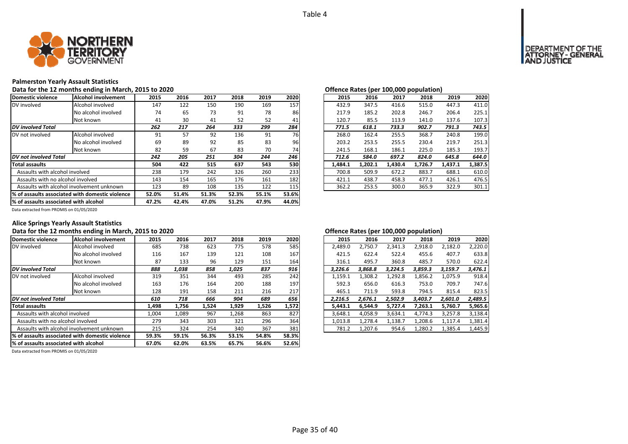

### **Palmerston Yearly Assault Statistics**

Data for the 12 months ending in March, 2015 to 2020<br> **Data for the 12 months ending in March, 2015 to 2020** 

| Domestic violence                                | lAlcohol involvement | 2015  | 2016  | 2017  | 2018  | 2019  | 2020  | 2015    | 2016    | 2017    | 2018    | 2019    | 2020    |
|--------------------------------------------------|----------------------|-------|-------|-------|-------|-------|-------|---------|---------|---------|---------|---------|---------|
| DV involved                                      | Alcohol involved     | 147   | 122   | 150   | 190   | 169   | 157   | 432.9   | 347.5   | 416.6   | 515.0   | 447.3   | 411.0   |
|                                                  | No alcohol involved  | 74    | 65    | 73    | 91    | 78    | 86    | 217.9   | 185.2   | 202.8   | 246.7   | 206.4   | 225.1   |
|                                                  | Not known            | 41    | 30    | 41    | 52    | 52    | 41    | 120.7   | 85.5    | 113.9   | 141.0   | 137.6   | 107.3   |
| <b>DV</b> involved Total                         |                      | 262   | 217   | 264   | 333   | 299   | 284   | 771.5   | 618.1   | 733.3   | 902.7   | 791.3   | 743.5   |
| DV not involved                                  | Alcohol involved     | 91    | 57    | 92    | 136   | 91    | 76    | 268.0   | 162.4   | 255.5   | 368.7   | 240.8   | 199.0   |
|                                                  | No alcohol involved  | 69    | 89    | 92    | 85    | 83    | 96    | 203.2   | 253.5   | 255.5   | 230.4   | 219.7   | 251.3   |
|                                                  | Not known            | 82    | 59    | 67    | 83    | 70    | 74    | 241.5   | 168.1   | 186.1   | 225.0   | 185.3   | 193.7   |
| DV not involved Total                            |                      | 242   | 205   | 251   | 304   | 244   | 246   | 712.6   | 584.0   | 697.2   | 824.0   | 645.8   | 644.0   |
| <b>Total assaults</b>                            |                      | 504   | 422   | 515   | 637   | 543   | 530   | 1,484.1 | 1,202.1 | 1,430.4 | 1,726.7 | 1,437.1 | 1,387.5 |
| Assaults with alcohol involved                   |                      | 238   | 179   | 242   | 326   | 260   | 233   | 700.8   | 509.9   | 672.2   | 883.7   | 688.1   | 610.0   |
| Assaults with no alcohol involved                |                      | 143   | 154   | 165   | 176   | 161   | 182   | 421.1   | 438.7   | 458.3   | 477.1   | 426.1   | 476.5   |
| Assaults with alcohol involvement unknown        |                      | 123   | 89    | 108   | 135   | 122   | 115   | 362.2   | 253.5   | 300.0   | 365.9   | 322.9   | 301.1   |
| 1% of assaults associated with domestic violence |                      | 52.0% | 51.4% | 51.3% | 52.3% | 55.1% | 53.6% |         |         |         |         |         |         |
| % of assaults associated with alcohol            |                      | 47.2% | 42.4% | 47.0% | 51.2% | 47.9% | 44.0% |         |         |         |         |         |         |

| 2016    | 2017    | 2018    | 2019    | 2020                                         |
|---------|---------|---------|---------|----------------------------------------------|
| 347.5   | 416.6   | 515.0   | 447.3   | 411.0                                        |
| 185.2   | 202.8   | 246.7   | 206.4   | 225.1                                        |
| 85.5    | 113.9   | 141.0   | 137.6   | 107.3                                        |
| 618.1   | 733.3   | 902.7   | 791.3   | 743.5                                        |
| 162.4   | 255.5   | 368.7   | 240.8   | 199.0                                        |
| 253.5   | 255.5   | 230.4   | 219.7   | 251.3                                        |
| 168.1   | 186.1   | 225.0   | 185.3   | 193.7                                        |
| 584.0   | 697.2   | 824.0   | 645.8   | 644.0                                        |
| 1.202.1 | 1.430.4 | 1,726.7 | 1,437.1 | 1,387.5                                      |
| 509.9   | 672.2   | 883.7   | 688.1   | 610.0                                        |
| 438.7   | 458.3   | 477.1   | 426.1   | 476.5                                        |
| 253.5   | 300.0   | 365.9   | 322.9   | 301.1                                        |
|         |         |         |         | <u>onenee nates (per 100,000 popaiation)</u> |

Data extracted from PROMIS on 01/05/2020

## **Alice Springs Yearly Assault Statistics**

### Data for the 12 months ending in March, 2015 to 2020<br> **Data for the 12 months ending in March, 2015 to 2020**

| Domestic violence                                | Alcohol involvement | 2015  | 2016  | 2017  | 2018  | 2019  | 2020  | 2015    | 2016    | 2017    | 2018    | 2019    | 2020    |
|--------------------------------------------------|---------------------|-------|-------|-------|-------|-------|-------|---------|---------|---------|---------|---------|---------|
| DV involved                                      | Alcohol involved    | 685   | 738   | 623   | 775   | 578   | 585   | 2,489.0 | 2,750.7 | 2,341.3 | 2,918.0 | 2,182.0 | 2,220.0 |
|                                                  | No alcohol involved | 116   | 167   | 139   | 121   | 108   | 167   | 421.5   | 622.4   | 522.4   | 455.6   | 407.7   | 633.8   |
|                                                  | Not known           | 87    | 133   | 96    | 129   | 151   | 164   | 316.1   | 495.7   | 360.8   | 485.7   | 570.0   | 622.4   |
| <b>DV</b> involved Total                         |                     | 888   | 1,038 | 858   | 1,025 | 837   | 916   | 3,226.6 | 3,868.8 | 3,224.5 | 3,859.3 | 3,159.7 | 3,476.1 |
| DV not involved                                  | Alcohol involved    | 319   | 351   | 344   | 493   | 285   | 242   | 1,159.1 | 1,308.2 | 1,292.8 | 1,856.2 | 1,075.9 | 918.4   |
|                                                  | No alcohol involved | 163   | 176   | 164   | 200   | 188   | 197   | 592.3   | 656.0   | 616.3   | 753.0   | 709.7   | 747.6   |
|                                                  | Not known           | 128   | 191   | 158   | 211   | 216   | 217   | 465.1   | 711.9   | 593.8   | 794.5   | 815.4   | 823.5   |
| DV not involved Total                            |                     | 610   | 718   | 666   | 904   | 689   | 656   | 2.216.5 | 2.676.1 | 2.502.9 | 3.403.7 | 2,601.0 | 2,489.5 |
| <b>Total assaults</b>                            |                     | 1,498 | 1,756 | 1,524 | 1,929 | 1,526 | 1,572 | 5,443.1 | 6,544.9 | 5.727.4 | 7,263.1 | 5,760.7 | 5,965.6 |
| Assaults with alcohol involved                   |                     | 1,004 | 1,089 | 967   | 1,268 | 863   | 827   | 3,648.1 | 4,058.9 | 3,634.1 | 4,774.3 | 3,257.8 | 3,138.4 |
| Assaults with no alcohol involved                |                     | 279   | 343   | 303   | 321   | 296   | 364   | 1,013.8 | 1,278.4 | 1,138.7 | 1,208.6 | 1,117.4 | 1,381.4 |
| Assaults with alcohol involvement unknown        |                     | 215   | 324   | 254   | 340   | 367   | 381   | 781.2   | 1,207.6 | 954.6   | 1,280.2 | 1,385.4 | 1,445.9 |
| 1% of assaults associated with domestic violence |                     | 59.3% | 59.1% | 56.3% | 53.1% | 54.8% | 58.3% |         |         |         |         |         |         |
| % of assaults associated with alcohol            |                     | 67.0% | 62.0% | 63.5% | 65.7% | 56.6% | 52.6% |         |         |         |         |         |         |

| 5  | 2016  | 2017  | 2018  | 2019  | 2020  | 2015    | 2016    | 2017    | 2018    | 2019    | 2020    |
|----|-------|-------|-------|-------|-------|---------|---------|---------|---------|---------|---------|
| 35 | 738   | 623   | 775   | 578   | 585   | 2.489.0 | 2,750.7 | 2,341.3 | 2,918.0 | 2,182.0 | 2,220.0 |
| .6 | 167   | 139   | 121   | 108   | 167   | 421.5   | 622.4   | 522.4   | 455.6   | 407.7   | 633.8   |
| 37 | 133   | 96    | 129   | 151   | 164   | 316.1   | 495.7   | 360.8   | 485.7   | 570.0   | 622.4   |
| 8  | 1,038 | 858   | 1,025 | 837   | 916   | 3.226.6 | 3.868.8 | 3.224.5 | 3,859.3 | 3.159.7 | 3,476.1 |
| 9. | 351   | 344   | 493   | 285   | 242   | 1,159.1 | 1,308.2 | 1,292.8 | 1,856.2 | 1,075.9 | 918.4   |
| jЗ | 176   | 164   | 200   | 188   | 197   | 592.3   | 656.0   | 616.3   | 753.0   | 709.7   | 747.6   |
| :8 | 191   | 158   | 211   | 216   | 217   | 465.1   | 711.9   | 593.8   | 794.5   | 815.4   | 823.5   |
| 0  | 718   | 666   | 904   | 689   | 656   | 2.216.5 | 2.676.1 | 2.502.9 | 3.403.7 | 2.601.0 | 2.489.5 |
| 8  | 1.756 | 1.524 | 1,929 | 1,526 | 1,572 | 5.443.1 | 6.544.9 | 5.727.4 | 7.263.1 | 5,760.7 | 5,965.6 |
| 14 | 1.089 | 967   | 1.268 | 863   | 827   | 3.648.1 | 4.058.9 | 3.634.1 | 4.774.3 | 3.257.8 | 3,138.4 |
| و، | 343   | 303   | 321   | 296   | 364   | 1.013.8 | 1.278.4 | 1.138.7 | 1.208.6 | 1.117.4 | 1,381.4 |
| .5 | 324   | 254   | 340   | 367   | 381   | 781.2   | 1,207.6 | 954.6   | 1,280.2 | 1,385.4 | 1,445.9 |
|    |       |       |       |       |       |         |         |         |         |         |         |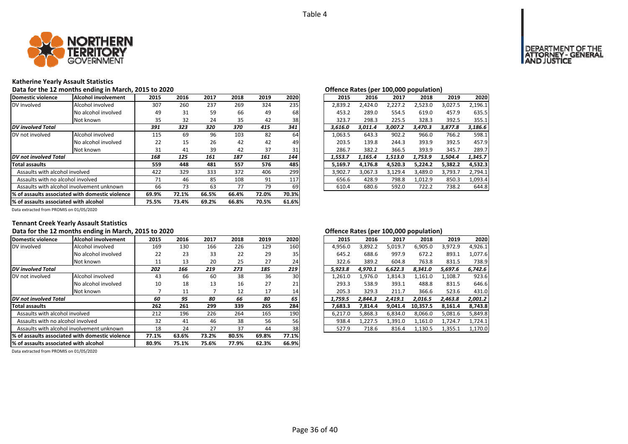

### **Katherine Yearly Assault Statistics**

Data for the 12 months ending in March, 2015 to 2020<br> **Data for the 12 months ending in March, 2015 to 2020** 

| Domestic violence                                | Alcohol involvement | 2015  | 2016  | 2017  | 2018  | 2019  | 2020  | 2015    | 2016    | 2017    | 2018    | 2019    | 2020    |
|--------------------------------------------------|---------------------|-------|-------|-------|-------|-------|-------|---------|---------|---------|---------|---------|---------|
| DV involved                                      | Alcohol involved    | 307   | 260   | 237   | 269   | 324   | 235   | 2,839.2 | 2.424.0 | 2.227.2 | 2,523.0 | 3,027.5 | 2,196.1 |
|                                                  | No alcohol involved | 49    | 31    | 59    | 66    | 49    | 68    | 453.2   | 289.0   | 554.5   | 619.0   | 457.9   | 635.5   |
|                                                  | Not known           | 35    | 32    | 24    | 35    | 42    | 38    | 323.7   | 298.3   | 225.5   | 328.3   | 392.5   | 355.1   |
| <b>DV</b> involved Total                         |                     | 391   | 323   | 320   | 370   | 415   | 341   | 3,616.0 | 3,011.4 | 3,007.2 | 3,470.3 | 3,877.8 | 3,186.6 |
| DV not involved                                  | Alcohol involved    | 115   | 69    | 96    | 103   | 82    | 64    | 1,063.5 | 643.3   | 902.2   | 966.0   | 766.2   | 598.1   |
|                                                  | No alcohol involved | 22    | 15    | 26    | 42    | 42    | 49    | 203.5   | 139.8   | 244.3   | 393.9   | 392.5   | 457.9   |
|                                                  | Not known           | 31    | 41    | 39    | 42    | 37    | 31    | 286.7   | 382.2   | 366.5   | 393.9   | 345.7   | 289.7   |
| DV not involved Total                            |                     | 168   | 125   | 161   | 187   | 161   | 144   | 1,553.7 | 1,165.4 | 1,513.0 | 1,753.9 | 1,504.4 | 1,345.7 |
| <b>Total assaults</b>                            |                     | 559   | 448   | 481   | 557   | 576   | 485   | 5,169.7 | 4,176.8 | 4,520.3 | 5,224.2 | 5,382.2 | 4,532.3 |
| Assaults with alcohol involved                   |                     | 422   | 329   | 333   | 372   | 406   | 299   | 3,902.7 | 3,067.3 | 3,129.4 | 3,489.0 | 3,793.7 | 2,794.1 |
| Assaults with no alcohol involved                |                     | 71    | 46    | 85    | 108   | 91    | 117   | 656.6   | 428.9   | 798.8   | 1,012.9 | 850.3   | 1,093.4 |
| Assaults with alcohol involvement unknown        |                     | 66    | 73    | 63    | 77    | 79    | 69    | 610.4   | 680.6   | 592.0   | 722.2   | 738.2   | 644.8   |
| 1% of assaults associated with domestic violence |                     | 69.9% | 72.1% | 66.5% | 66.4% | 72.0% | 70.3% |         |         |         |         |         |         |
| % of assaults associated with alcohol            |                     | 75.5% | 73.4% | 69.2% | 66.8% | 70.5% | 61.6% |         |         |         |         |         |         |

|                 |      |      |      |      |      |         | $\mathbf{r}$ |         |         |         |         |
|-----------------|------|------|------|------|------|---------|--------------|---------|---------|---------|---------|
| 5               | 2016 | 2017 | 2018 | 2019 | 2020 | 2015    | 2016         | 2017    | 2018    | 2019    | 2020    |
| 17              | 260  | 237  | 269  | 324  | 235  | 2.839.2 | 2.424.0      | 2.227.2 | 2.523.0 | 3.027.5 | 2,196.1 |
| ١9              | 31   | 59   | 66   | 49   | 68   | 453.2   | 289.0        | 554.5   | 619.0   | 457.9   | 635.5   |
| 15              | 32   | 24   | 35   | 42   | 38   | 323.7   | 298.3        | 225.5   | 328.3   | 392.5   | 355.1   |
| 1               | 323  | 320  | 370  | 415  | 341  | 3,616.0 | 3,011.4      | 3,007.2 | 3,470.3 | 3,877.8 | 3,186.6 |
| .5              | 69   | 96   | 103  | 82   | 64   | 1.063.5 | 643.3        | 902.2   | 966.0   | 766.2   | 598.1   |
| :2              | 15   | 26   | 42   | 42   | 49   | 203.5   | 139.8        | 244.3   | 393.9   | 392.5   | 457.9   |
| $1\overline{1}$ | 41   | 39   | 42   | 37   | 31   | 286.7   | 382.2        | 366.5   | 393.9   | 345.7   | 289.7   |
| 8               | 125  | 161  | 187  | 161  | 144  | 1.553.7 | 1.165.4      | 1,513.0 | 1.753.9 | 1.504.4 | 1.345.7 |
| 59              | 448  | 481  | 557  | 576  | 485  | 5.169.7 | 4,176.8      | 4,520.3 | 5.224.2 | 5,382.2 | 4,532.3 |
| $\overline{2}$  | 329  | 333  | 372  | 406  | 299  | 3.902.7 | 3.067.3      | 3.129.4 | 3.489.0 | 3.793.7 | 2.794.1 |
| $^{\prime}1$    | 46   | 85   | 108  | 91   | 117  | 656.6   | 428.9        | 798.8   | 1.012.9 | 850.3   | 1,093.4 |
| ŏ,              | 73   | 63   | 77   | 79   | 69   | 610.4   | 680.6        | 592.0   | 722.2   | 738.2   | 644.8   |
|                 |      |      |      |      |      |         |              |         |         |         |         |

Data extracted from PROMIS on 01/05/2020

## **Tennant Creek Yearly Assault Statistics**

### Data for the 12 months ending in March, 2015 to 2020<br> **Data for the 12 months ending in March, 2015 to 2020**

| Domestic violence                                | Alcohol involvement | 2015  | 2016  | 2017  | 2018  | 2019  | 2020  | 2015    | 2016    | 2017    | 2018     | 2019    | 2020    |
|--------------------------------------------------|---------------------|-------|-------|-------|-------|-------|-------|---------|---------|---------|----------|---------|---------|
| DV involved                                      | Alcohol involved    | 169   | 130   | 166   | 226   | 129   | 160   | 4,956.0 | 3,892.2 | 5,019.7 | 6,905.0  | 3,972.9 | 4,926.1 |
|                                                  | No alcohol involved | 22    | 23    | 33    | 22    | 29    | 35    | 645.2   | 688.6   | 997.9   | 672.2    | 893.1   | 1.077.6 |
|                                                  | Not known           | 11    | 13    | 20    | 25    | 27    | 24    | 322.6   | 389.2   | 604.8   | 763.8    | 831.5   | 738.9   |
| <b>DV</b> involved Total                         |                     | 202   | 166   | 219   | 273   | 185   | 219   | 5,923.8 | 4,970.1 | 6.622.3 | 8,341.0  | 5,697.6 | 6,742.6 |
| DV not involved                                  | Alcohol involved    | 43    | 66    | 60    | 38    | 36    | 30    | 1,261.0 | 1,976.0 | 1,814.3 | 1,161.0  | 1,108.7 | 923.6   |
|                                                  | No alcohol involved | 10    | 18    | 13    | 16    | 27    | 21    | 293.3   | 538.9   | 393.1   | 488.8    | 831.5   | 646.6   |
|                                                  | Not known           |       | 11    |       | 12    | 17    | 14    | 205.3   | 329.3   | 211.7   | 366.6    | 523.6   | 431.0   |
| DV not involved Total                            |                     | 60    | 95    | 80    | 66    | 80    | 65    | 1,759.5 | 2.844.3 | 2.419.1 | 2.016.5  | 2,463.8 | 2,001.2 |
| <b>Total assaults</b>                            |                     | 262   | 261   | 299   | 339   | 265   | 284   | 7,683.3 | 7,814.4 | 9,041.4 | 10,357.5 | 8,161.4 | 8,743.8 |
| Assaults with alcohol involved                   |                     | 212   | 196   | 226   | 264   | 165   | 190   | 6,217.0 | 5,868.3 | 6,834.0 | 8,066.0  | 5,081.6 | 5,849.8 |
| Assaults with no alcohol involved                |                     | 32    | 41    | 46    | 38    | 56    | 56    | 938.4   | 1,227.5 | 1,391.0 | 1,161.0  | 1,724.7 | 1,724.1 |
| Assaults with alcohol involvement unknown        |                     | 18    | 24    | 27    | 37    | 44    | 38    | 527.9   | 718.6   | 816.4   | 1,130.5  | 1,355.1 | 1,170.0 |
| 1% of assaults associated with domestic violence |                     | 77.1% | 63.6% | 73.2% | 80.5% | 69.8% | 77.1% |         |         |         |          |         |         |
| % of assaults associated with alcohol            |                     | 80.9% | 75.1% | 75.6% | 77.9% | 62.3% | 66.9% |         |         |         |          |         |         |

| .5     | 2016 | 2017 | 2018 | 2019 | 2020            | 2015    | 2016    | 2017    | 2018     | 2019    | 2020    |
|--------|------|------|------|------|-----------------|---------|---------|---------|----------|---------|---------|
| 59     | 130  | 166  | 226  | 129  | 160             | 4,956.0 | 3.892.2 | 5,019.7 | 6,905.0  | 3,972.9 | 4,926.1 |
| :2     | 23   | 33   | 22   | 29   | 35 <sub>1</sub> | 645.2   | 688.6   | 997.9   | 672.2    | 893.1   | 1.077.6 |
| .1     | 13   | 20   | 25   | 27   | 24              | 322.6   | 389.2   | 604.8   | 763.8    | 831.5   | 738.9   |
| 2      | 166  | 219  | 273  | 185  | 219             | 5.923.8 | 4.970.1 | 6.622.3 | 8.341.0  | 5.697.6 | 6.742.6 |
| ŀЗ     | 66   | 60   | 38   | 36   | 30              | 1,261.0 | 1,976.0 | 1,814.3 | 1,161.0  | 1,108.7 | 923.6   |
| .0     | 18   | 13   | 16   | 27   | 21              | 293.3   | 538.9   | 393.1   | 488.8    | 831.5   | 646.6   |
| 7      | 11   |      | 12   | 17   | 14              | 205.3   | 329.3   | 211.7   | 366.6    | 523.6   | 431.0   |
| 0      | 95   | 80   | 66   | 80   | 65              | 1.759.5 | 2.844.3 | 2,419.1 | 2,016.5  | 2,463.8 | 2,001.2 |
| $2 \,$ | 261  | 299  | 339  | 265  | 284             | 7.683.3 | 7.814.4 | 9.041.4 | 10.357.5 | 8.161.4 | 8,743.8 |
| .2     | 196  | 226  | 264  | 165  | 190             | 6.217.0 | 5.868.3 | 6.834.0 | 8,066.0  | 5,081.6 | 5,849.8 |
| 2      | 41   | 46   | 38   | 56   | 56              | 938.4   | 1.227.5 | 1.391.0 | 1.161.0  | 1.724.7 | 1,724.1 |
| .8     | 24   | 27   | 37   | 44   | 38              | 527.9   | 718.6   | 816.4   | 1,130.5  | 1,355.1 | 1,170.0 |
|        |      |      |      |      |                 |         |         |         |          |         |         |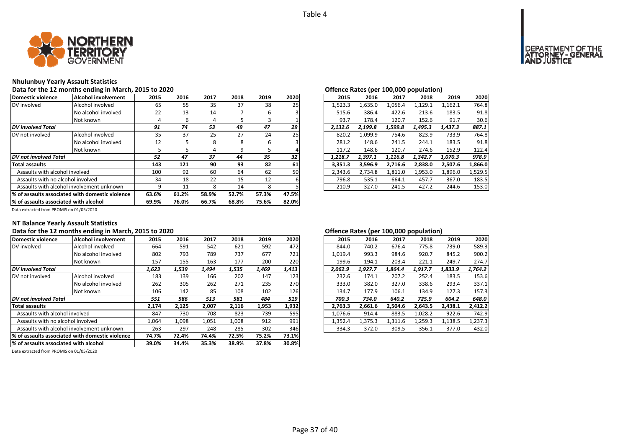

#### **Nhulunbuy Yearly Assault Statistics**

#### **Data for the 12 months ending in March, 2015 to 2020 Offence Rates (per 100,000 population)**

| Domestic violence                                | Alcohol involvement | 2015  | 2016  | 2017  | 2018  | 2019  | 2020 | 2015    | 2016    | 2017    | 2018    | 2019    | 2020    |
|--------------------------------------------------|---------------------|-------|-------|-------|-------|-------|------|---------|---------|---------|---------|---------|---------|
| DV involved                                      | Alcohol involved    | 65    | 55    | 35    | 37    | 38    | 25   | 1,523.3 | 1,635.0 | 1,056.4 | 1,129.1 | 1,162.1 | 764.8   |
|                                                  | No alcohol involved | 22    | 13    | 14    |       | 6     |      | 515.6   | 386.4   | 422.6   | 213.6   | 183.5   | 91.8    |
|                                                  | Not known           |       | 6     | 4     | Ы     | 3     |      | 93.7    | 178.4   | 120.7   | 152.6   | 91.7    | 30.6    |
| <b>DV</b> involved Total                         |                     | 91    | 74    | 53    | 49    | 47    | 29   | 2.132.6 | 2.199.8 | 1,599.8 | 1.495.3 | 1.437.3 | 887.1   |
| DV not involved                                  | Alcohol involved    | 35    | 37    | 25    | 27    | 24    | 25   | 820.2   | 1.099.9 | 754.6   | 823.9   | 733.9   | 764.8   |
|                                                  | No alcohol involved | 12    |       | 8     | 8     | 6     |      | 281.2   | 148.6   | 241.5   | 244.1   | 183.5   | 91.8    |
|                                                  | Not known           |       |       | 4     | 9     |       |      | 117.2   | 148.6   | 120.7   | 274.6   | 152.9   | 122.4   |
| <b>DV</b> not involved Total                     |                     | 52    | 47    | 37    | 44    | 35    | 32   | 1,218.7 | 1,397.1 | 1,116.8 | 1,342.7 | 1,070.3 | 978.9   |
| Total assaults                                   |                     | 143   | 121   | 90    | 93    | 82    | 61   | 3,351.3 | 3,596.9 | 2,716.6 | 2,838.0 | 2,507.6 | 1,866.0 |
| Assaults with alcohol involved                   |                     | 100   | 92    | 60    | 64    | 62    | 50   | 2,343.6 | 2,734.8 | 1,811.0 | 1,953.0 | 1,896.0 | 1,529.5 |
| Assaults with no alcohol involved                |                     | 34    | 18    | 22    | 15    | 12    |      | 796.8   | 535.1   | 664.1   | 457.7   | 367.0   | 183.5   |
| Assaults with alcohol involvement unknown        |                     |       | 11    | 8     | 14    | 8     |      | 210.9   | 327.0   | 241.5   | 427.2   | 244.6   | 153.0   |
| 1% of assaults associated with domestic violence | 63.6%               | 61.2% | 58.9% | 52.7% | 57.3% | 47.5% |      |         |         |         |         |         |         |
| % of assaults associated with alcohol            | 69.9%               | 76.0% | 66.7% | 68.8% | 75.6% | 82.0% |      |         |         |         |         |         |         |

Data extracted from PROMIS on 01/05/2020

## **NT Balance Yearly Assault Statistics**

#### **Data for the 12 months ending in March, 2015 to 2020 Offence Rates (per 100,000 population)**

| Domestic violence                               | Alcohol involvement | 2015  | 2016  | 2017  | 2018  | 2019  | 2020  | 2015    | 2016    | 2017    | 2018    | 2019    | 2020    |
|-------------------------------------------------|---------------------|-------|-------|-------|-------|-------|-------|---------|---------|---------|---------|---------|---------|
| DV involved                                     | Alcohol involved    | 664   | 591   | 542   | 621   | 592   | 472   | 844.0   | 740.2   | 676.4   | 775.8   | 739.0   | 589.3   |
|                                                 | No alcohol involved | 802   | 793   | 789   | 737   | 677   | 721   | 1,019.4 | 993.3   | 984.6   | 920.7   | 845.2   | 900.2   |
|                                                 | Not known           | 157   | 155   | 163   | 177   | 200   | 220   | 199.6   | 194.1   | 203.4   | 221.1   | 249.7   | 274.7   |
| DV involved Total                               |                     | 1,623 | 1,539 | 1.494 | 1,535 | 1,469 | 1,413 | 2.062.9 | 1.927.7 | 1.864.4 | 1.917.7 | 1,833.9 | 1,764.2 |
| DV not involved                                 | Alcohol involved    | 183   | 139   | 166   | 202   | 147   | 123   | 232.6   | 174.1   | 207.2   | 252.4   | 183.5   | 153.6   |
|                                                 | No alcohol involved | 262   | 305   | 262   | 271   | 235   | 270   | 333.0   | 382.0   | 327.0   | 338.6   | 293.4   | 337.1   |
|                                                 | Not known           | 106   | 142   | 85    | 108   | 102   | 126   | 134.7   | 177.9   | 106.1   | 134.9   | 127.3   | 157.3   |
| DV not involved Total                           |                     | 551   | 586   | 513   | 581   | 484   | 519   | 700.3   | 734.0   | 640.2   | 725.9   | 604.2   | 648.0   |
| <b>Total assaults</b>                           |                     | 2,174 | 2.125 | 2.007 | 2,116 | 1,953 | 1,932 | 2.763.3 | 2.661.6 | 2.504.6 | 2.643.5 | 2.438.1 | 2.412.2 |
| Assaults with alcohol involved                  |                     | 847   | 730   | 708   | 823   | 739   | 595   | 1,076.6 | 914.4   | 883.5   | 1,028.2 | 922.6   | 742.9   |
| Assaults with no alcohol involved               |                     | 1,064 | 1,098 | 1,051 | 1,008 | 912   | 991   | 1,352.4 | 1,375.3 | 1,311.6 | 1,259.3 | 1,138.5 | 1,237.3 |
| Assaults with alcohol involvement unknown       |                     | 263   | 297   | 248   | 285   | 302   | 346   | 334.3   | 372.0   | 309.5   | 356.1   | 377.0   | 432.0   |
| % of assaults associated with domestic violence | 74.7%               | 72.4% | 74.4% | 72.5% | 75.2% | 73.1% |       |         |         |         |         |         |         |
| % of assaults associated with alcohol           | 39.0%               | 34.4% | 35.3% | 38.9% | 37.8% | 30.8% |       |         |         |         |         |         |         |

| 2020<br>2015<br>2016<br>2018<br>2019<br>2017<br>589.3<br>844.0<br>740.2<br>676.4<br>775.8<br>739.0<br>1.019.4<br>900.2<br>920.7<br>993.3<br>984.6<br>845.2<br>199.6<br>203.4<br>249.7<br>274.7<br>194.1<br>221.1<br>2.062.9<br>1,833.9<br>1,764.2<br>1.927.7<br>1,864.4<br>1.917.7<br>232.6<br>207.2<br>252.4<br>153.6<br>174.1<br>183.5<br>337.1<br>333.0<br>382.0<br>327.0<br>338.6<br>293.4<br>157.3<br>127.3<br>134.7<br>177.9<br>106.1<br>134.9<br>648.0<br>700.3<br>640.2<br>725.9<br>604.2<br>734.0<br>2.438.1<br>2.412.2<br>2.763.3<br>2.661.6<br>2.504.6<br>2.643.5<br>1,028.2<br>742.9<br>1,076.6<br>914.4<br>883.5<br>922.6<br>1,259.3<br>1.352.4<br>1,375.3<br>1,311.6<br>1,138.5<br>1,237.3<br>372.0<br>309.5<br>432.0<br>334.3<br>356.1<br>377.0 |  |  |  |  |
|----------------------------------------------------------------------------------------------------------------------------------------------------------------------------------------------------------------------------------------------------------------------------------------------------------------------------------------------------------------------------------------------------------------------------------------------------------------------------------------------------------------------------------------------------------------------------------------------------------------------------------------------------------------------------------------------------------------------------------------------------------------|--|--|--|--|
|                                                                                                                                                                                                                                                                                                                                                                                                                                                                                                                                                                                                                                                                                                                                                                |  |  |  |  |
|                                                                                                                                                                                                                                                                                                                                                                                                                                                                                                                                                                                                                                                                                                                                                                |  |  |  |  |
|                                                                                                                                                                                                                                                                                                                                                                                                                                                                                                                                                                                                                                                                                                                                                                |  |  |  |  |
|                                                                                                                                                                                                                                                                                                                                                                                                                                                                                                                                                                                                                                                                                                                                                                |  |  |  |  |
|                                                                                                                                                                                                                                                                                                                                                                                                                                                                                                                                                                                                                                                                                                                                                                |  |  |  |  |
|                                                                                                                                                                                                                                                                                                                                                                                                                                                                                                                                                                                                                                                                                                                                                                |  |  |  |  |
|                                                                                                                                                                                                                                                                                                                                                                                                                                                                                                                                                                                                                                                                                                                                                                |  |  |  |  |
|                                                                                                                                                                                                                                                                                                                                                                                                                                                                                                                                                                                                                                                                                                                                                                |  |  |  |  |
|                                                                                                                                                                                                                                                                                                                                                                                                                                                                                                                                                                                                                                                                                                                                                                |  |  |  |  |
|                                                                                                                                                                                                                                                                                                                                                                                                                                                                                                                                                                                                                                                                                                                                                                |  |  |  |  |
|                                                                                                                                                                                                                                                                                                                                                                                                                                                                                                                                                                                                                                                                                                                                                                |  |  |  |  |
|                                                                                                                                                                                                                                                                                                                                                                                                                                                                                                                                                                                                                                                                                                                                                                |  |  |  |  |
|                                                                                                                                                                                                                                                                                                                                                                                                                                                                                                                                                                                                                                                                                                                                                                |  |  |  |  |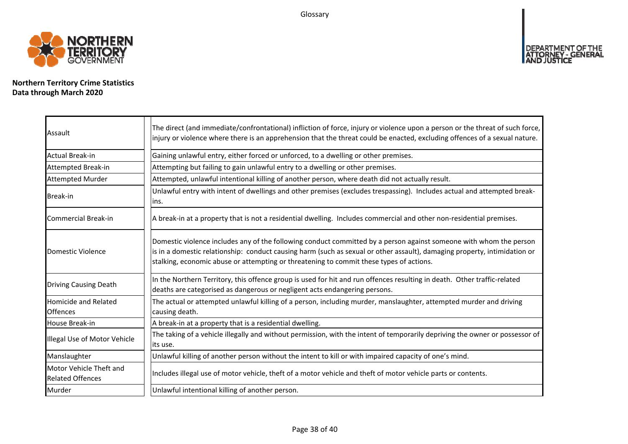Glossary



**Northern Territory Crime Statistics Data through March 2020**

| Assault                                            | The direct (and immediate/confrontational) infliction of force, injury or violence upon a person or the threat of such force,<br>injury or violence where there is an apprehension that the threat could be enacted, excluding offences of a sexual nature.                                                                                |
|----------------------------------------------------|--------------------------------------------------------------------------------------------------------------------------------------------------------------------------------------------------------------------------------------------------------------------------------------------------------------------------------------------|
| Actual Break-in                                    | Gaining unlawful entry, either forced or unforced, to a dwelling or other premises.                                                                                                                                                                                                                                                        |
| Attempted Break-in                                 | Attempting but failing to gain unlawful entry to a dwelling or other premises.                                                                                                                                                                                                                                                             |
| <b>Attempted Murder</b>                            | Attempted, unlawful intentional killing of another person, where death did not actually result.                                                                                                                                                                                                                                            |
| <b>Break-in</b>                                    | Unlawful entry with intent of dwellings and other premises (excludes trespassing). Includes actual and attempted break-<br>lins.                                                                                                                                                                                                           |
| Commercial Break-in                                | A break-in at a property that is not a residential dwelling. Includes commercial and other non-residential premises.                                                                                                                                                                                                                       |
| Domestic Violence                                  | Domestic violence includes any of the following conduct committed by a person against someone with whom the person<br>is in a domestic relationship: conduct causing harm (such as sexual or other assault), damaging property, intimidation or<br>stalking, economic abuse or attempting or threatening to commit these types of actions. |
| <b>Driving Causing Death</b>                       | In the Northern Territory, this offence group is used for hit and run offences resulting in death. Other traffic-related<br>deaths are categorised as dangerous or negligent acts endangering persons.                                                                                                                                     |
| <b>Homicide and Related</b><br><b>Offences</b>     | The actual or attempted unlawful killing of a person, including murder, manslaughter, attempted murder and driving<br>causing death.                                                                                                                                                                                                       |
| House Break-in                                     | A break-in at a property that is a residential dwelling.                                                                                                                                                                                                                                                                                   |
| Illegal Use of Motor Vehicle                       | The taking of a vehicle illegally and without permission, with the intent of temporarily depriving the owner or possessor of<br>lits use.                                                                                                                                                                                                  |
| Manslaughter                                       | Unlawful killing of another person without the intent to kill or with impaired capacity of one's mind.                                                                                                                                                                                                                                     |
| Motor Vehicle Theft and<br><b>Related Offences</b> | Includes illegal use of motor vehicle, theft of a motor vehicle and theft of motor vehicle parts or contents.                                                                                                                                                                                                                              |
| Murder                                             | Unlawful intentional killing of another person.                                                                                                                                                                                                                                                                                            |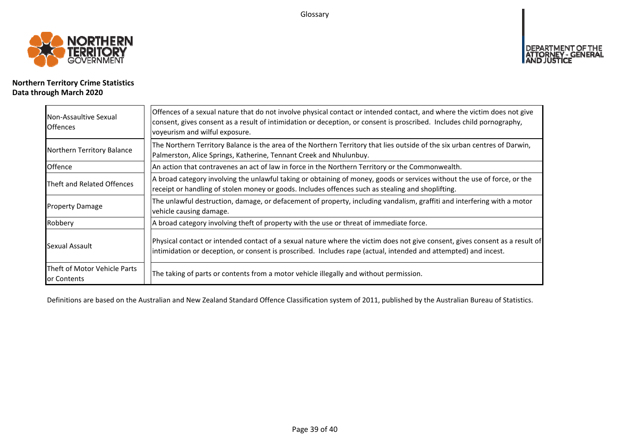Glossary



## **Northern Territory Crime Statistics Data through March 2020**

| Non-Assaultive Sexual<br><b>Offences</b>    | Offences of a sexual nature that do not involve physical contact or intended contact, and where the victim does not give<br>consent, gives consent as a result of intimidation or deception, or consent is proscribed. Includes child pornography,<br>voyeurism and wilful exposure. |
|---------------------------------------------|--------------------------------------------------------------------------------------------------------------------------------------------------------------------------------------------------------------------------------------------------------------------------------------|
| Northern Territory Balance                  | The Northern Territory Balance is the area of the Northern Territory that lies outside of the six urban centres of Darwin,<br>Palmerston, Alice Springs, Katherine, Tennant Creek and Nhulunbuy.                                                                                     |
| <b>Offence</b>                              | An action that contravenes an act of law in force in the Northern Territory or the Commonwealth.                                                                                                                                                                                     |
| Theft and Related Offences                  | A broad category involving the unlawful taking or obtaining of money, goods or services without the use of force, or the<br>receipt or handling of stolen money or goods. Includes offences such as stealing and shoplifting.                                                        |
| <b>Property Damage</b>                      | The unlawful destruction, damage, or defacement of property, including vandalism, graffiti and interfering with a motor<br>vehicle causing damage.                                                                                                                                   |
| Robbery                                     | A broad category involving theft of property with the use or threat of immediate force.                                                                                                                                                                                              |
| Sexual Assault                              | Physical contact or intended contact of a sexual nature where the victim does not give consent, gives consent as a result of<br>intimidation or deception, or consent is proscribed. Includes rape (actual, intended and attempted) and incest.                                      |
| Theft of Motor Vehicle Parts<br>or Contents | The taking of parts or contents from a motor vehicle illegally and without permission.                                                                                                                                                                                               |

Definitions are based on the Australian and New Zealand Standard Offence Classification system of 2011, published by the Australian Bureau of Statistics.